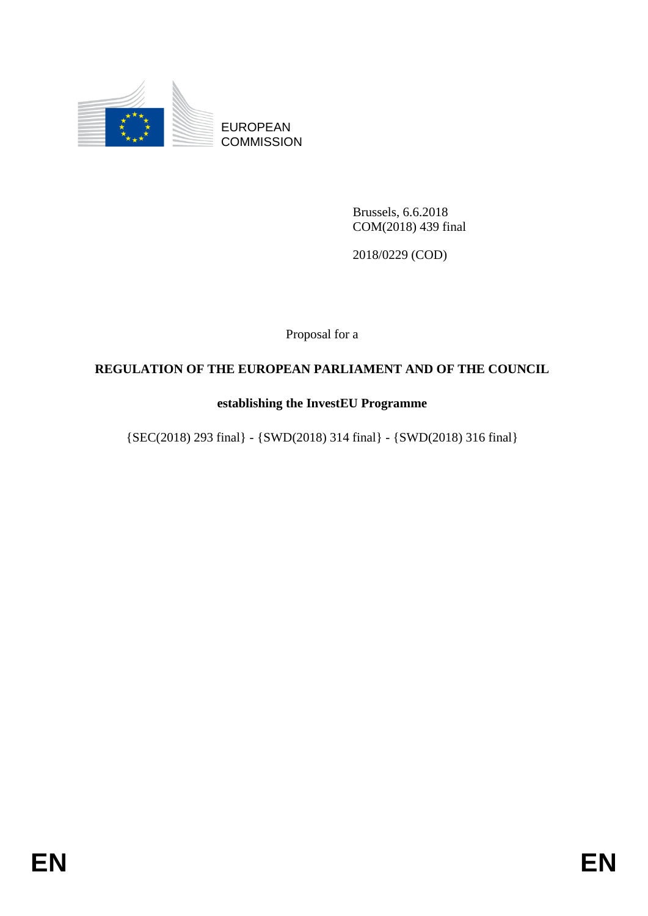

EUROPEAN **COMMISSION** 

> Brussels, 6.6.2018 COM(2018) 439 final

2018/0229 (COD)

Proposal for a

# **REGULATION OF THE EUROPEAN PARLIAMENT AND OF THE COUNCIL**

### **establishing the InvestEU Programme**

{SEC(2018) 293 final} - {SWD(2018) 314 final} - {SWD(2018) 316 final}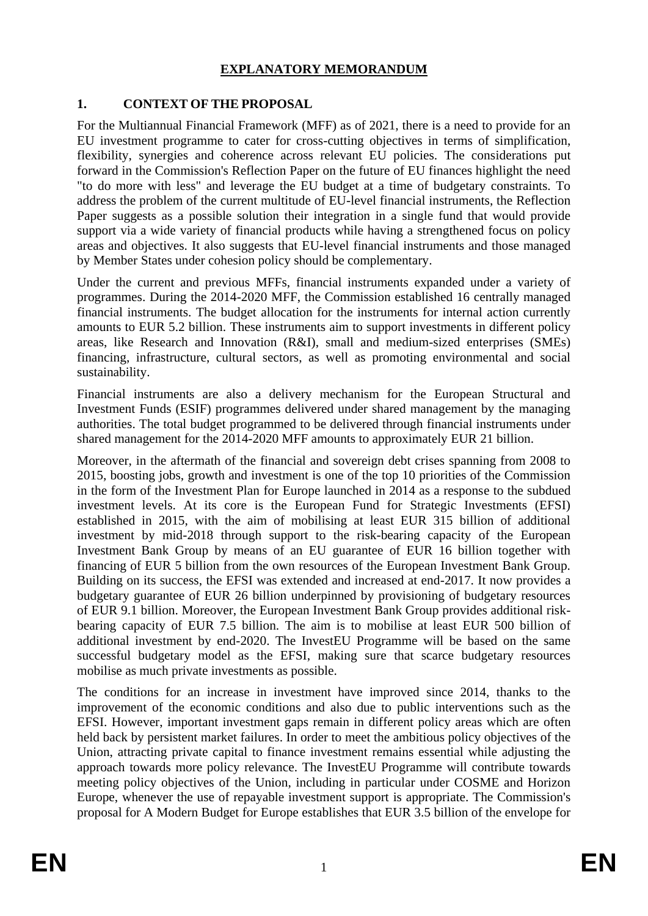#### **EXPLANATORY MEMORANDUM**

#### **1. CONTEXT OF THE PROPOSAL**

For the Multiannual Financial Framework (MFF) as of 2021, there is a need to provide for an EU investment programme to cater for cross-cutting objectives in terms of simplification, flexibility, synergies and coherence across relevant EU policies. The considerations put forward in the Commission's Reflection Paper on the future of EU finances highlight the need "to do more with less" and leverage the EU budget at a time of budgetary constraints. To address the problem of the current multitude of EU-level financial instruments, the Reflection Paper suggests as a possible solution their integration in a single fund that would provide support via a wide variety of financial products while having a strengthened focus on policy areas and objectives. It also suggests that EU-level financial instruments and those managed by Member States under cohesion policy should be complementary.

Under the current and previous MFFs, financial instruments expanded under a variety of programmes. During the 2014-2020 MFF, the Commission established 16 centrally managed financial instruments. The budget allocation for the instruments for internal action currently amounts to EUR 5.2 billion. These instruments aim to support investments in different policy areas, like Research and Innovation (R&I), small and medium-sized enterprises (SMEs) financing, infrastructure, cultural sectors, as well as promoting environmental and social sustainability.

Financial instruments are also a delivery mechanism for the European Structural and Investment Funds (ESIF) programmes delivered under shared management by the managing authorities. The total budget programmed to be delivered through financial instruments under shared management for the 2014-2020 MFF amounts to approximately EUR 21 billion.

Moreover, in the aftermath of the financial and sovereign debt crises spanning from 2008 to 2015, boosting jobs, growth and investment is one of the top 10 priorities of the Commission in the form of the Investment Plan for Europe launched in 2014 as a response to the subdued investment levels. At its core is the European Fund for Strategic Investments (EFSI) established in 2015, with the aim of mobilising at least EUR 315 billion of additional investment by mid-2018 through support to the risk-bearing capacity of the European Investment Bank Group by means of an EU guarantee of EUR 16 billion together with financing of EUR 5 billion from the own resources of the European Investment Bank Group. Building on its success, the EFSI was extended and increased at end-2017. It now provides a budgetary guarantee of EUR 26 billion underpinned by provisioning of budgetary resources of EUR 9.1 billion. Moreover, the European Investment Bank Group provides additional riskbearing capacity of EUR 7.5 billion. The aim is to mobilise at least EUR 500 billion of additional investment by end-2020. The InvestEU Programme will be based on the same successful budgetary model as the EFSI, making sure that scarce budgetary resources mobilise as much private investments as possible.

The conditions for an increase in investment have improved since 2014, thanks to the improvement of the economic conditions and also due to public interventions such as the EFSI. However, important investment gaps remain in different policy areas which are often held back by persistent market failures. In order to meet the ambitious policy objectives of the Union, attracting private capital to finance investment remains essential while adjusting the approach towards more policy relevance. The InvestEU Programme will contribute towards meeting policy objectives of the Union, including in particular under COSME and Horizon Europe, whenever the use of repayable investment support is appropriate. The Commission's proposal for A Modern Budget for Europe establishes that EUR 3.5 billion of the envelope for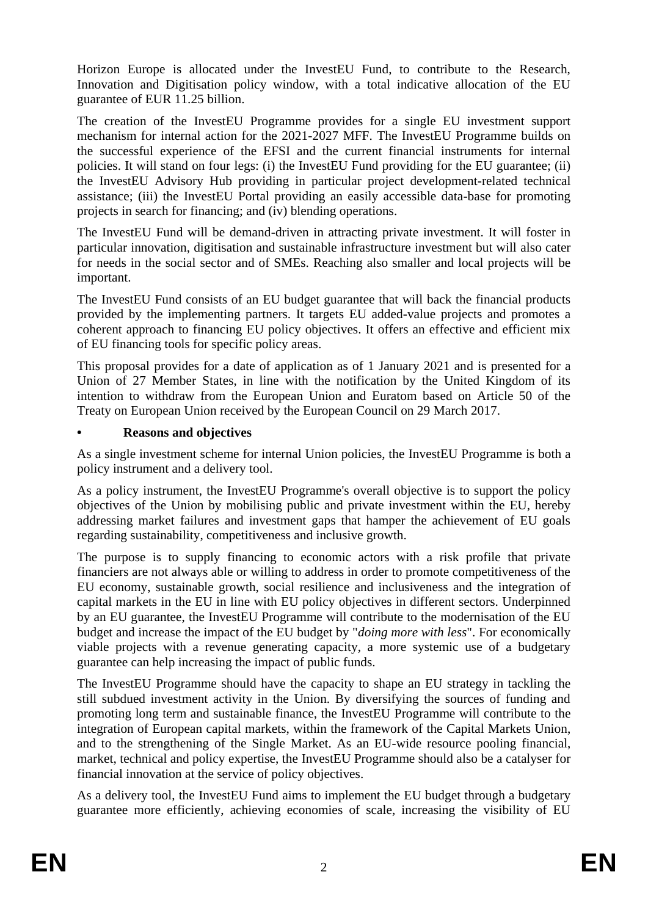Horizon Europe is allocated under the InvestEU Fund, to contribute to the Research, Innovation and Digitisation policy window, with a total indicative allocation of the EU guarantee of EUR 11.25 billion.

The creation of the InvestEU Programme provides for a single EU investment support mechanism for internal action for the 2021-2027 MFF. The InvestEU Programme builds on the successful experience of the EFSI and the current financial instruments for internal policies. It will stand on four legs: (i) the InvestEU Fund providing for the EU guarantee; (ii) the InvestEU Advisory Hub providing in particular project development-related technical assistance; (iii) the InvestEU Portal providing an easily accessible data-base for promoting projects in search for financing; and (iv) blending operations.

The InvestEU Fund will be demand-driven in attracting private investment. It will foster in particular innovation, digitisation and sustainable infrastructure investment but will also cater for needs in the social sector and of SMEs. Reaching also smaller and local projects will be important.

The InvestEU Fund consists of an EU budget guarantee that will back the financial products provided by the implementing partners. It targets EU added-value projects and promotes a coherent approach to financing EU policy objectives. It offers an effective and efficient mix of EU financing tools for specific policy areas.

This proposal provides for a date of application as of 1 January 2021 and is presented for a Union of 27 Member States, in line with the notification by the United Kingdom of its intention to withdraw from the European Union and Euratom based on Article 50 of the Treaty on European Union received by the European Council on 29 March 2017.

#### **• Reasons and objectives**

As a single investment scheme for internal Union policies, the InvestEU Programme is both a policy instrument and a delivery tool.

As a policy instrument, the InvestEU Programme's overall objective is to support the policy objectives of the Union by mobilising public and private investment within the EU, hereby addressing market failures and investment gaps that hamper the achievement of EU goals regarding sustainability, competitiveness and inclusive growth.

The purpose is to supply financing to economic actors with a risk profile that private financiers are not always able or willing to address in order to promote competitiveness of the EU economy, sustainable growth, social resilience and inclusiveness and the integration of capital markets in the EU in line with EU policy objectives in different sectors. Underpinned by an EU guarantee, the InvestEU Programme will contribute to the modernisation of the EU budget and increase the impact of the EU budget by "*doing more with less*". For economically viable projects with a revenue generating capacity, a more systemic use of a budgetary guarantee can help increasing the impact of public funds.

The InvestEU Programme should have the capacity to shape an EU strategy in tackling the still subdued investment activity in the Union. By diversifying the sources of funding and promoting long term and sustainable finance, the InvestEU Programme will contribute to the integration of European capital markets, within the framework of the Capital Markets Union, and to the strengthening of the Single Market. As an EU-wide resource pooling financial, market, technical and policy expertise, the InvestEU Programme should also be a catalyser for financial innovation at the service of policy objectives.

As a delivery tool, the InvestEU Fund aims to implement the EU budget through a budgetary guarantee more efficiently, achieving economies of scale, increasing the visibility of EU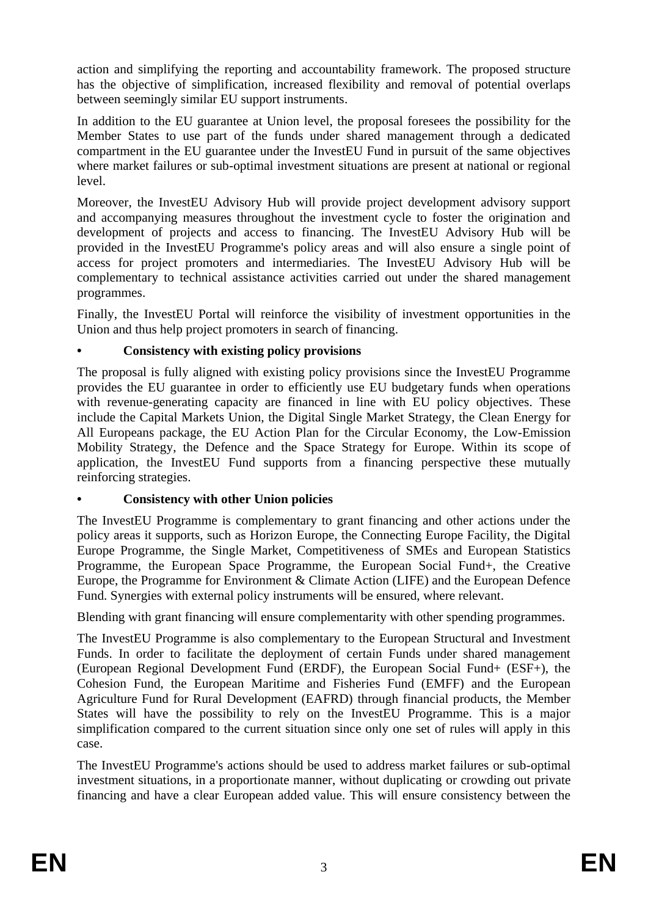action and simplifying the reporting and accountability framework. The proposed structure has the objective of simplification, increased flexibility and removal of potential overlaps between seemingly similar EU support instruments.

In addition to the EU guarantee at Union level, the proposal foresees the possibility for the Member States to use part of the funds under shared management through a dedicated compartment in the EU guarantee under the InvestEU Fund in pursuit of the same objectives where market failures or sub-optimal investment situations are present at national or regional level.

Moreover, the InvestEU Advisory Hub will provide project development advisory support and accompanying measures throughout the investment cycle to foster the origination and development of projects and access to financing. The InvestEU Advisory Hub will be provided in the InvestEU Programme's policy areas and will also ensure a single point of access for project promoters and intermediaries. The InvestEU Advisory Hub will be complementary to technical assistance activities carried out under the shared management programmes.

Finally, the InvestEU Portal will reinforce the visibility of investment opportunities in the Union and thus help project promoters in search of financing.

### **• Consistency with existing policy provisions**

The proposal is fully aligned with existing policy provisions since the InvestEU Programme provides the EU guarantee in order to efficiently use EU budgetary funds when operations with revenue-generating capacity are financed in line with EU policy objectives. These include the Capital Markets Union, the Digital Single Market Strategy, the Clean Energy for All Europeans package, the EU Action Plan for the Circular Economy, the Low-Emission Mobility Strategy, the Defence and the Space Strategy for Europe. Within its scope of application, the InvestEU Fund supports from a financing perspective these mutually reinforcing strategies.

### **• Consistency with other Union policies**

The InvestEU Programme is complementary to grant financing and other actions under the policy areas it supports, such as Horizon Europe, the Connecting Europe Facility, the Digital Europe Programme, the Single Market, Competitiveness of SMEs and European Statistics Programme, the European Space Programme, the European Social Fund+, the Creative Europe, the Programme for Environment & Climate Action (LIFE) and the European Defence Fund. Synergies with external policy instruments will be ensured, where relevant.

Blending with grant financing will ensure complementarity with other spending programmes.

The InvestEU Programme is also complementary to the European Structural and Investment Funds. In order to facilitate the deployment of certain Funds under shared management (European Regional Development Fund (ERDF), the European Social Fund+ (ESF+), the Cohesion Fund, the European Maritime and Fisheries Fund (EMFF) and the European Agriculture Fund for Rural Development (EAFRD) through financial products, the Member States will have the possibility to rely on the InvestEU Programme. This is a major simplification compared to the current situation since only one set of rules will apply in this case.

The InvestEU Programme's actions should be used to address market failures or sub-optimal investment situations, in a proportionate manner, without duplicating or crowding out private financing and have a clear European added value. This will ensure consistency between the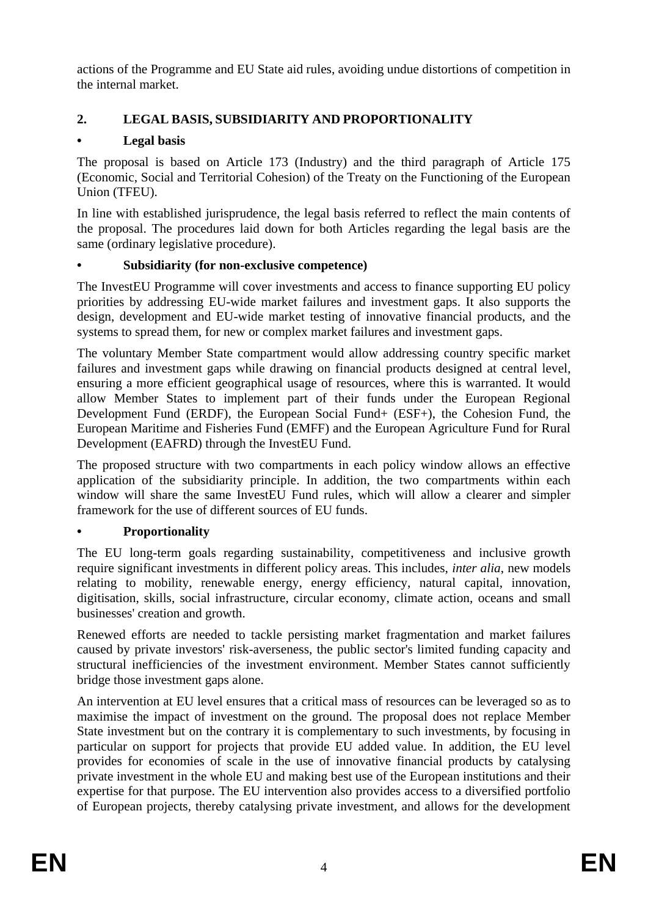actions of the Programme and EU State aid rules, avoiding undue distortions of competition in the internal market.

# **2. LEGAL BASIS, SUBSIDIARITY AND PROPORTIONALITY**

# **• Legal basis**

The proposal is based on Article 173 (Industry) and the third paragraph of Article 175 (Economic, Social and Territorial Cohesion) of the Treaty on the Functioning of the European Union (TFEU).

In line with established jurisprudence, the legal basis referred to reflect the main contents of the proposal. The procedures laid down for both Articles regarding the legal basis are the same (ordinary legislative procedure).

# **• Subsidiarity (for non-exclusive competence)**

The InvestEU Programme will cover investments and access to finance supporting EU policy priorities by addressing EU-wide market failures and investment gaps. It also supports the design, development and EU-wide market testing of innovative financial products, and the systems to spread them, for new or complex market failures and investment gaps.

The voluntary Member State compartment would allow addressing country specific market failures and investment gaps while drawing on financial products designed at central level, ensuring a more efficient geographical usage of resources, where this is warranted. It would allow Member States to implement part of their funds under the European Regional Development Fund (ERDF), the European Social Fund+ (ESF+), the Cohesion Fund, the European Maritime and Fisheries Fund (EMFF) and the European Agriculture Fund for Rural Development (EAFRD) through the InvestEU Fund.

The proposed structure with two compartments in each policy window allows an effective application of the subsidiarity principle. In addition, the two compartments within each window will share the same InvestEU Fund rules, which will allow a clearer and simpler framework for the use of different sources of EU funds.

# **• Proportionality**

The EU long-term goals regarding sustainability, competitiveness and inclusive growth require significant investments in different policy areas. This includes, *inter alia*, new models relating to mobility, renewable energy, energy efficiency, natural capital, innovation, digitisation, skills, social infrastructure, circular economy, climate action, oceans and small businesses' creation and growth.

Renewed efforts are needed to tackle persisting market fragmentation and market failures caused by private investors' risk-averseness, the public sector's limited funding capacity and structural inefficiencies of the investment environment. Member States cannot sufficiently bridge those investment gaps alone.

An intervention at EU level ensures that a critical mass of resources can be leveraged so as to maximise the impact of investment on the ground. The proposal does not replace Member State investment but on the contrary it is complementary to such investments, by focusing in particular on support for projects that provide EU added value. In addition, the EU level provides for economies of scale in the use of innovative financial products by catalysing private investment in the whole EU and making best use of the European institutions and their expertise for that purpose. The EU intervention also provides access to a diversified portfolio of European projects, thereby catalysing private investment, and allows for the development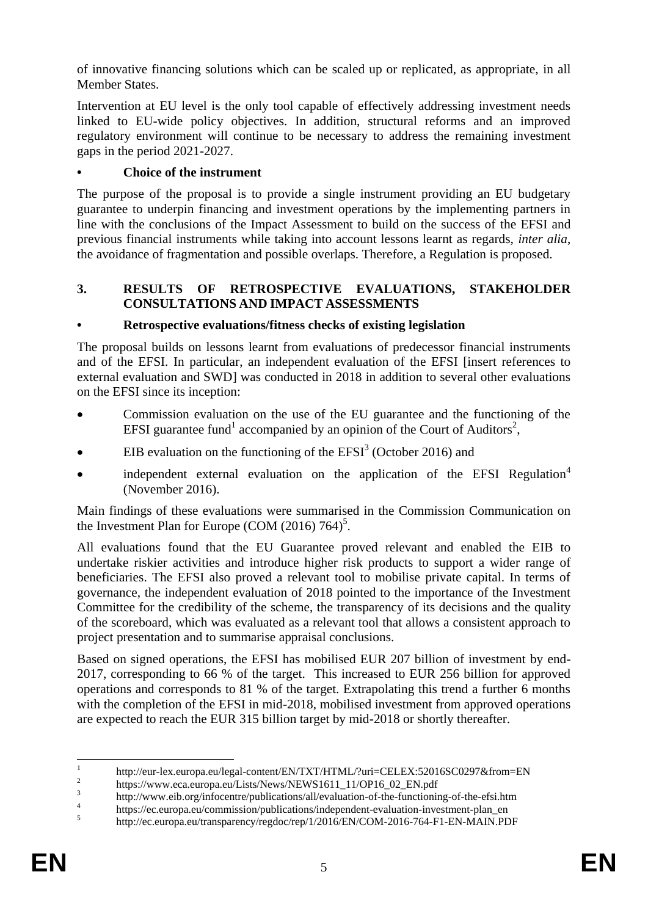of innovative financing solutions which can be scaled up or replicated, as appropriate, in all Member States.

Intervention at EU level is the only tool capable of effectively addressing investment needs linked to EU-wide policy objectives. In addition, structural reforms and an improved regulatory environment will continue to be necessary to address the remaining investment gaps in the period 2021-2027.

### **• Choice of the instrument**

The purpose of the proposal is to provide a single instrument providing an EU budgetary guarantee to underpin financing and investment operations by the implementing partners in line with the conclusions of the Impact Assessment to build on the success of the EFSI and previous financial instruments while taking into account lessons learnt as regards, *inter alia*, the avoidance of fragmentation and possible overlaps. Therefore, a Regulation is proposed.

#### **3. RESULTS OF RETROSPECTIVE EVALUATIONS, STAKEHOLDER CONSULTATIONS AND IMPACT ASSESSMENTS**

### **• Retrospective evaluations/fitness checks of existing legislation**

The proposal builds on lessons learnt from evaluations of predecessor financial instruments and of the EFSI. In particular, an independent evaluation of the EFSI [insert references to external evaluation and SWD] was conducted in 2018 in addition to several other evaluations on the EFSI since its inception:

- Commission evaluation on the use of the EU guarantee and the functioning of the EFSI guarantee fund<sup>1</sup> accompanied by an opinion of the Court of Auditors<sup>2</sup>,
- EIB evaluation on the functioning of the  $EFSI<sup>3</sup>$  (October 2016) and
- independent external evaluation on the application of the EFSI Regulation<sup>4</sup> (November 2016).

Main findings of these evaluations were summarised in the Commission Communication on the Investment Plan for Europe (COM  $(2016)$  764)<sup>5</sup>.

All evaluations found that the EU Guarantee proved relevant and enabled the EIB to undertake riskier activities and introduce higher risk products to support a wider range of beneficiaries. The EFSI also proved a relevant tool to mobilise private capital. In terms of governance, the independent evaluation of 2018 pointed to the importance of the Investment Committee for the credibility of the scheme, the transparency of its decisions and the quality of the scoreboard, which was evaluated as a relevant tool that allows a consistent approach to project presentation and to summarise appraisal conclusions.

Based on signed operations, the EFSI has mobilised EUR 207 billion of investment by end-2017, corresponding to 66 % of the target. This increased to EUR 256 billion for approved operations and corresponds to 81 % of the target. Extrapolating this trend a further 6 months with the completion of the EFSI in mid-2018, mobilised investment from approved operations are expected to reach the EUR 315 billion target by mid-2018 or shortly thereafter.

 $\frac{1}{1}$ http://eur-lex.europa.eu/legal-content/EN/TXT/HTML/?uri=CELEX:52016SC0297&from=EN

<sup>2</sup> https://www.eca.europa.eu/Lists/News/NEWS1611\_11/OP16\_02\_EN.pdf

<sup>3</sup> http://www.eib.org/infocentre/publications/all/evaluation-of-the-functioning-of-the-efsi.htm 4

https://ec.europa.eu/commission/publications/independent-evaluation-investment-plan\_en 5

http://ec.europa.eu/transparency/regdoc/rep/1/2016/EN/COM-2016-764-F1-EN-MAIN.PDF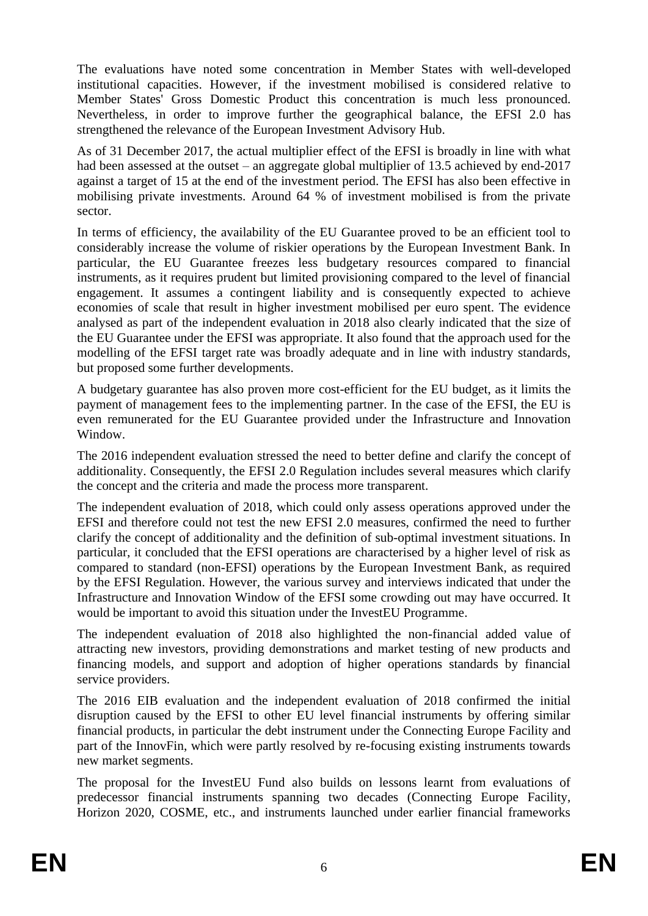The evaluations have noted some concentration in Member States with well-developed institutional capacities. However, if the investment mobilised is considered relative to Member States' Gross Domestic Product this concentration is much less pronounced. Nevertheless, in order to improve further the geographical balance, the EFSI 2.0 has strengthened the relevance of the European Investment Advisory Hub.

As of 31 December 2017, the actual multiplier effect of the EFSI is broadly in line with what had been assessed at the outset – an aggregate global multiplier of 13.5 achieved by end-2017 against a target of 15 at the end of the investment period. The EFSI has also been effective in mobilising private investments. Around 64 % of investment mobilised is from the private sector.

In terms of efficiency, the availability of the EU Guarantee proved to be an efficient tool to considerably increase the volume of riskier operations by the European Investment Bank. In particular, the EU Guarantee freezes less budgetary resources compared to financial instruments, as it requires prudent but limited provisioning compared to the level of financial engagement. It assumes a contingent liability and is consequently expected to achieve economies of scale that result in higher investment mobilised per euro spent. The evidence analysed as part of the independent evaluation in 2018 also clearly indicated that the size of the EU Guarantee under the EFSI was appropriate. It also found that the approach used for the modelling of the EFSI target rate was broadly adequate and in line with industry standards, but proposed some further developments.

A budgetary guarantee has also proven more cost-efficient for the EU budget, as it limits the payment of management fees to the implementing partner. In the case of the EFSI, the EU is even remunerated for the EU Guarantee provided under the Infrastructure and Innovation Window.

The 2016 independent evaluation stressed the need to better define and clarify the concept of additionality. Consequently, the EFSI 2.0 Regulation includes several measures which clarify the concept and the criteria and made the process more transparent.

The independent evaluation of 2018, which could only assess operations approved under the EFSI and therefore could not test the new EFSI 2.0 measures, confirmed the need to further clarify the concept of additionality and the definition of sub-optimal investment situations. In particular, it concluded that the EFSI operations are characterised by a higher level of risk as compared to standard (non-EFSI) operations by the European Investment Bank, as required by the EFSI Regulation. However, the various survey and interviews indicated that under the Infrastructure and Innovation Window of the EFSI some crowding out may have occurred. It would be important to avoid this situation under the InvestEU Programme.

The independent evaluation of 2018 also highlighted the non-financial added value of attracting new investors, providing demonstrations and market testing of new products and financing models, and support and adoption of higher operations standards by financial service providers.

The 2016 EIB evaluation and the independent evaluation of 2018 confirmed the initial disruption caused by the EFSI to other EU level financial instruments by offering similar financial products, in particular the debt instrument under the Connecting Europe Facility and part of the InnovFin, which were partly resolved by re-focusing existing instruments towards new market segments.

The proposal for the InvestEU Fund also builds on lessons learnt from evaluations of predecessor financial instruments spanning two decades (Connecting Europe Facility, Horizon 2020, COSME, etc., and instruments launched under earlier financial frameworks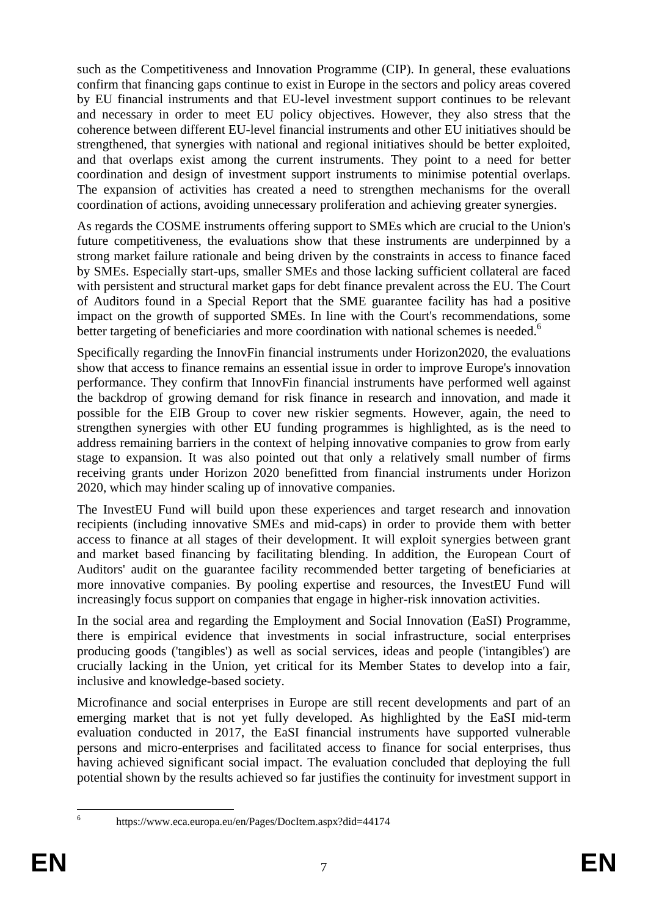such as the Competitiveness and Innovation Programme (CIP). In general, these evaluations confirm that financing gaps continue to exist in Europe in the sectors and policy areas covered by EU financial instruments and that EU-level investment support continues to be relevant and necessary in order to meet EU policy objectives. However, they also stress that the coherence between different EU-level financial instruments and other EU initiatives should be strengthened, that synergies with national and regional initiatives should be better exploited, and that overlaps exist among the current instruments. They point to a need for better coordination and design of investment support instruments to minimise potential overlaps. The expansion of activities has created a need to strengthen mechanisms for the overall coordination of actions, avoiding unnecessary proliferation and achieving greater synergies.

As regards the COSME instruments offering support to SMEs which are crucial to the Union's future competitiveness, the evaluations show that these instruments are underpinned by a strong market failure rationale and being driven by the constraints in access to finance faced by SMEs. Especially start-ups, smaller SMEs and those lacking sufficient collateral are faced with persistent and structural market gaps for debt finance prevalent across the EU. The Court of Auditors found in a Special Report that the SME guarantee facility has had a positive impact on the growth of supported SMEs. In line with the Court's recommendations, some better targeting of beneficiaries and more coordination with national schemes is needed.<sup>6</sup>

Specifically regarding the InnovFin financial instruments under Horizon2020, the evaluations show that access to finance remains an essential issue in order to improve Europe's innovation performance. They confirm that InnovFin financial instruments have performed well against the backdrop of growing demand for risk finance in research and innovation, and made it possible for the EIB Group to cover new riskier segments. However, again, the need to strengthen synergies with other EU funding programmes is highlighted, as is the need to address remaining barriers in the context of helping innovative companies to grow from early stage to expansion. It was also pointed out that only a relatively small number of firms receiving grants under Horizon 2020 benefitted from financial instruments under Horizon 2020, which may hinder scaling up of innovative companies.

The InvestEU Fund will build upon these experiences and target research and innovation recipients (including innovative SMEs and mid-caps) in order to provide them with better access to finance at all stages of their development. It will exploit synergies between grant and market based financing by facilitating blending. In addition, the European Court of Auditors' audit on the guarantee facility recommended better targeting of beneficiaries at more innovative companies. By pooling expertise and resources, the InvestEU Fund will increasingly focus support on companies that engage in higher-risk innovation activities.

In the social area and regarding the Employment and Social Innovation (EaSI) Programme, there is empirical evidence that investments in social infrastructure, social enterprises producing goods ('tangibles') as well as social services, ideas and people ('intangibles') are crucially lacking in the Union, yet critical for its Member States to develop into a fair, inclusive and knowledge-based society.

Microfinance and social enterprises in Europe are still recent developments and part of an emerging market that is not yet fully developed. As highlighted by the EaSI mid-term evaluation conducted in 2017, the EaSI financial instruments have supported vulnerable persons and micro-enterprises and facilitated access to finance for social enterprises, thus having achieved significant social impact. The evaluation concluded that deploying the full potential shown by the results achieved so far justifies the continuity for investment support in

 $\frac{1}{6}$ 

https://www.eca.europa.eu/en/Pages/DocItem.aspx?did=44174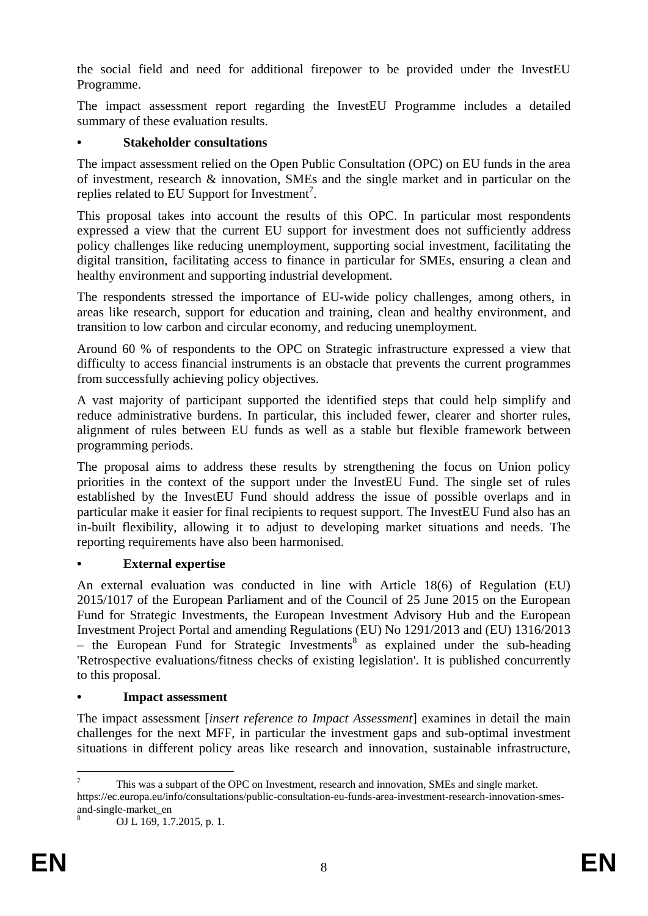the social field and need for additional firepower to be provided under the InvestEU Programme.

The impact assessment report regarding the InvestEU Programme includes a detailed summary of these evaluation results.

### **• Stakeholder consultations**

The impact assessment relied on the Open Public Consultation (OPC) on EU funds in the area of investment, research & innovation, SMEs and the single market and in particular on the replies related to EU Support for Investment<sup>7</sup>.

This proposal takes into account the results of this OPC. In particular most respondents expressed a view that the current EU support for investment does not sufficiently address policy challenges like reducing unemployment, supporting social investment, facilitating the digital transition, facilitating access to finance in particular for SMEs, ensuring a clean and healthy environment and supporting industrial development.

The respondents stressed the importance of EU-wide policy challenges, among others, in areas like research, support for education and training, clean and healthy environment, and transition to low carbon and circular economy, and reducing unemployment.

Around 60 % of respondents to the OPC on Strategic infrastructure expressed a view that difficulty to access financial instruments is an obstacle that prevents the current programmes from successfully achieving policy objectives.

A vast majority of participant supported the identified steps that could help simplify and reduce administrative burdens. In particular, this included fewer, clearer and shorter rules, alignment of rules between EU funds as well as a stable but flexible framework between programming periods.

The proposal aims to address these results by strengthening the focus on Union policy priorities in the context of the support under the InvestEU Fund. The single set of rules established by the InvestEU Fund should address the issue of possible overlaps and in particular make it easier for final recipients to request support. The InvestEU Fund also has an in-built flexibility, allowing it to adjust to developing market situations and needs. The reporting requirements have also been harmonised.

# **• External expertise**

An external evaluation was conducted in line with Article 18(6) of Regulation (EU) 2015/1017 of the European Parliament and of the Council of 25 June 2015 on the European Fund for Strategic Investments, the European Investment Advisory Hub and the European Investment Project Portal and amending Regulations (EU) No 1291/2013 and (EU) 1316/2013  $-$  the European Fund for Strategic Investments<sup>8</sup> as explained under the sub-heading 'Retrospective evaluations/fitness checks of existing legislation'. It is published concurrently to this proposal.

### **• Impact assessment**

The impact assessment [*insert reference to Impact Assessment*] examines in detail the main challenges for the next MFF, in particular the investment gaps and sub-optimal investment situations in different policy areas like research and innovation, sustainable infrastructure,

<sup>&</sup>lt;u>.</u> <sup>7</sup> This was a subpart of the OPC on Investment, research and innovation, SMEs and single market. https://ec.europa.eu/info/consultations/public-consultation-eu-funds-area-investment-research-innovation-smesand-single-market\_en

<sup>8</sup> OJ L 169, 1.7.2015, p. 1.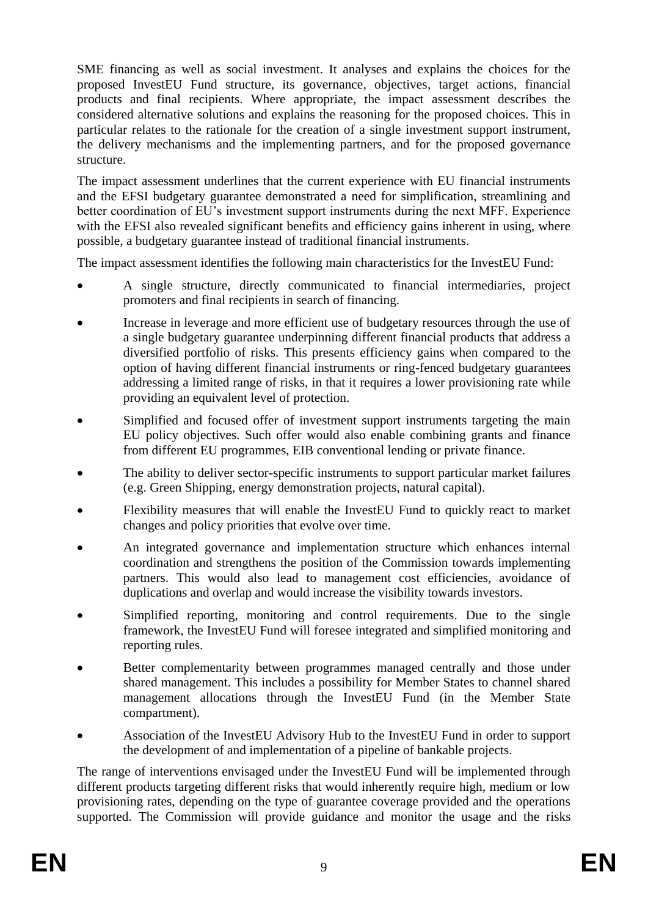SME financing as well as social investment. It analyses and explains the choices for the proposed InvestEU Fund structure, its governance, objectives, target actions, financial products and final recipients. Where appropriate, the impact assessment describes the considered alternative solutions and explains the reasoning for the proposed choices. This in particular relates to the rationale for the creation of a single investment support instrument, the delivery mechanisms and the implementing partners, and for the proposed governance structure.

The impact assessment underlines that the current experience with EU financial instruments and the EFSI budgetary guarantee demonstrated a need for simplification, streamlining and better coordination of EU's investment support instruments during the next MFF. Experience with the EFSI also revealed significant benefits and efficiency gains inherent in using, where possible, a budgetary guarantee instead of traditional financial instruments.

The impact assessment identifies the following main characteristics for the InvestEU Fund:

- A single structure, directly communicated to financial intermediaries, project promoters and final recipients in search of financing.
- Increase in leverage and more efficient use of budgetary resources through the use of a single budgetary guarantee underpinning different financial products that address a diversified portfolio of risks. This presents efficiency gains when compared to the option of having different financial instruments or ring-fenced budgetary guarantees addressing a limited range of risks, in that it requires a lower provisioning rate while providing an equivalent level of protection.
- Simplified and focused offer of investment support instruments targeting the main EU policy objectives. Such offer would also enable combining grants and finance from different EU programmes, EIB conventional lending or private finance.
- The ability to deliver sector-specific instruments to support particular market failures (e.g. Green Shipping, energy demonstration projects, natural capital).
- Flexibility measures that will enable the InvestEU Fund to quickly react to market changes and policy priorities that evolve over time.
- An integrated governance and implementation structure which enhances internal coordination and strengthens the position of the Commission towards implementing partners. This would also lead to management cost efficiencies, avoidance of duplications and overlap and would increase the visibility towards investors.
- Simplified reporting, monitoring and control requirements. Due to the single framework, the InvestEU Fund will foresee integrated and simplified monitoring and reporting rules.
- Better complementarity between programmes managed centrally and those under shared management. This includes a possibility for Member States to channel shared management allocations through the InvestEU Fund (in the Member State compartment).
- Association of the InvestEU Advisory Hub to the InvestEU Fund in order to support the development of and implementation of a pipeline of bankable projects.

The range of interventions envisaged under the InvestEU Fund will be implemented through different products targeting different risks that would inherently require high, medium or low provisioning rates, depending on the type of guarantee coverage provided and the operations supported. The Commission will provide guidance and monitor the usage and the risks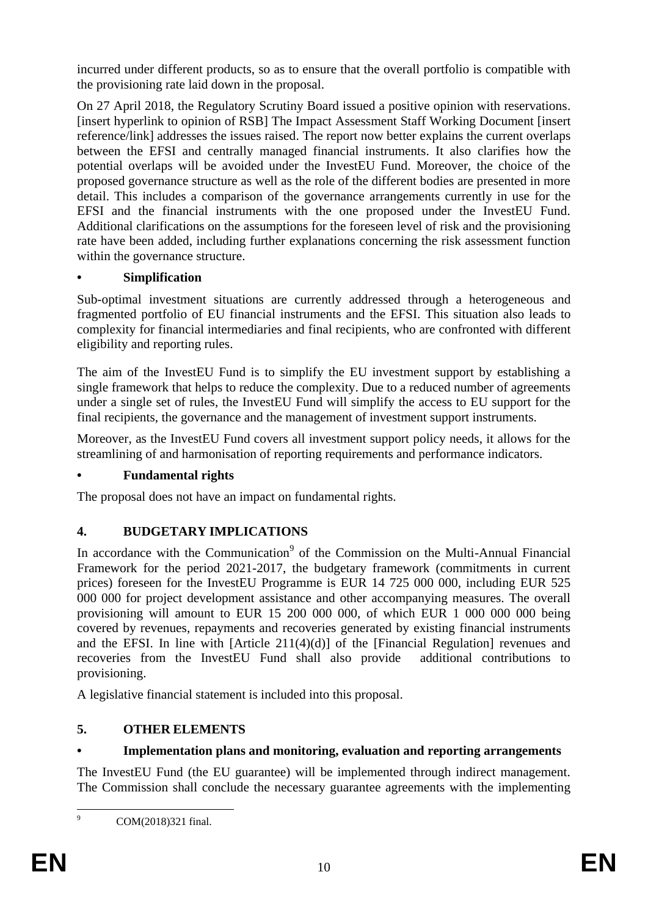incurred under different products, so as to ensure that the overall portfolio is compatible with the provisioning rate laid down in the proposal.

On 27 April 2018, the Regulatory Scrutiny Board issued a positive opinion with reservations. [insert hyperlink to opinion of RSB] The Impact Assessment Staff Working Document [insert reference/link] addresses the issues raised. The report now better explains the current overlaps between the EFSI and centrally managed financial instruments. It also clarifies how the potential overlaps will be avoided under the InvestEU Fund. Moreover, the choice of the proposed governance structure as well as the role of the different bodies are presented in more detail. This includes a comparison of the governance arrangements currently in use for the EFSI and the financial instruments with the one proposed under the InvestEU Fund. Additional clarifications on the assumptions for the foreseen level of risk and the provisioning rate have been added, including further explanations concerning the risk assessment function within the governance structure.

### **• Simplification**

Sub-optimal investment situations are currently addressed through a heterogeneous and fragmented portfolio of EU financial instruments and the EFSI. This situation also leads to complexity for financial intermediaries and final recipients, who are confronted with different eligibility and reporting rules.

The aim of the InvestEU Fund is to simplify the EU investment support by establishing a single framework that helps to reduce the complexity. Due to a reduced number of agreements under a single set of rules, the InvestEU Fund will simplify the access to EU support for the final recipients, the governance and the management of investment support instruments.

Moreover, as the InvestEU Fund covers all investment support policy needs, it allows for the streamlining of and harmonisation of reporting requirements and performance indicators.

# **• Fundamental rights**

The proposal does not have an impact on fundamental rights.

# **4. BUDGETARY IMPLICATIONS**

In accordance with the Communication<sup>9</sup> of the Commission on the Multi-Annual Financial Framework for the period 2021-2017, the budgetary framework (commitments in current prices) foreseen for the InvestEU Programme is EUR 14 725 000 000, including EUR 525 000 000 for project development assistance and other accompanying measures. The overall provisioning will amount to EUR 15 200 000 000, of which EUR 1 000 000 000 being covered by revenues, repayments and recoveries generated by existing financial instruments and the EFSI. In line with [Article 211(4)(d)] of the [Financial Regulation] revenues and recoveries from the InvestEU Fund shall also provide additional contributions to provisioning.

A legislative financial statement is included into this proposal.

# **5. OTHER ELEMENTS**

# **• Implementation plans and monitoring, evaluation and reporting arrangements**

The InvestEU Fund (the EU guarantee) will be implemented through indirect management. The Commission shall conclude the necessary guarantee agreements with the implementing

 $\overline{9}$ 

COM(2018)321 final.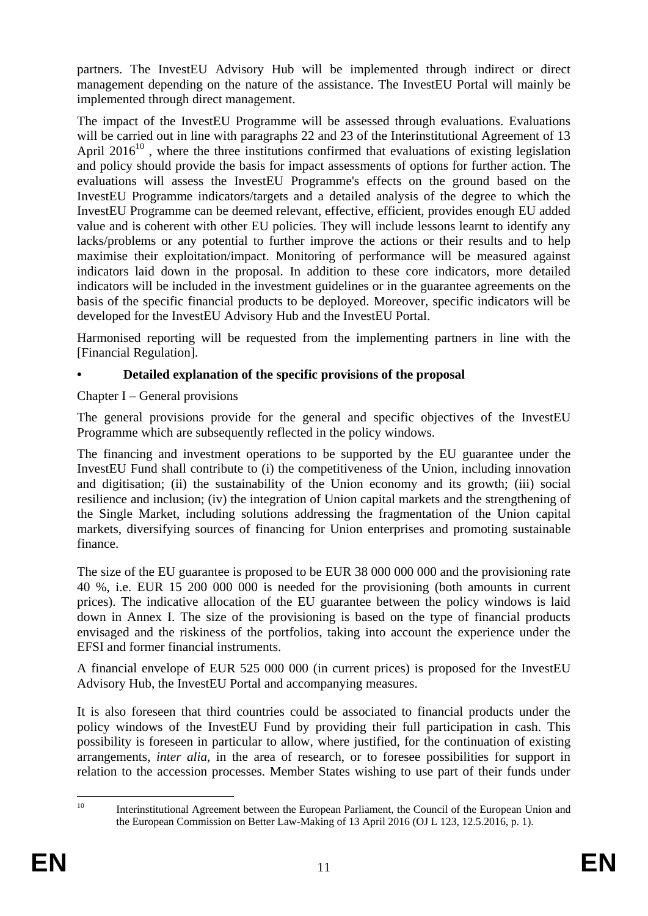partners. The InvestEU Advisory Hub will be implemented through indirect or direct management depending on the nature of the assistance. The InvestEU Portal will mainly be implemented through direct management.

The impact of the InvestEU Programme will be assessed through evaluations. Evaluations will be carried out in line with paragraphs 22 and 23 of the Interinstitutional Agreement of 13 April 2016<sup>10</sup>, where the three institutions confirmed that evaluations of existing legislation and policy should provide the basis for impact assessments of options for further action. The evaluations will assess the InvestEU Programme's effects on the ground based on the InvestEU Programme indicators/targets and a detailed analysis of the degree to which the InvestEU Programme can be deemed relevant, effective, efficient, provides enough EU added value and is coherent with other EU policies. They will include lessons learnt to identify any lacks/problems or any potential to further improve the actions or their results and to help maximise their exploitation/impact. Monitoring of performance will be measured against indicators laid down in the proposal. In addition to these core indicators, more detailed indicators will be included in the investment guidelines or in the guarantee agreements on the basis of the specific financial products to be deployed. Moreover, specific indicators will be developed for the InvestEU Advisory Hub and the InvestEU Portal.

Harmonised reporting will be requested from the implementing partners in line with the [Financial Regulation].

# **• Detailed explanation of the specific provisions of the proposal**

Chapter I – General provisions

The general provisions provide for the general and specific objectives of the InvestEU Programme which are subsequently reflected in the policy windows.

The financing and investment operations to be supported by the EU guarantee under the InvestEU Fund shall contribute to (i) the competitiveness of the Union, including innovation and digitisation; (ii) the sustainability of the Union economy and its growth; (iii) social resilience and inclusion; (iv) the integration of Union capital markets and the strengthening of the Single Market, including solutions addressing the fragmentation of the Union capital markets, diversifying sources of financing for Union enterprises and promoting sustainable finance.

The size of the EU guarantee is proposed to be EUR 38 000 000 000 and the provisioning rate 40 %, i.e. EUR 15 200 000 000 is needed for the provisioning (both amounts in current prices). The indicative allocation of the EU guarantee between the policy windows is laid down in Annex I. The size of the provisioning is based on the type of financial products envisaged and the riskiness of the portfolios, taking into account the experience under the EFSI and former financial instruments.

A financial envelope of EUR 525 000 000 (in current prices) is proposed for the InvestEU Advisory Hub, the InvestEU Portal and accompanying measures.

It is also foreseen that third countries could be associated to financial products under the policy windows of the InvestEU Fund by providing their full participation in cash. This possibility is foreseen in particular to allow, where justified, for the continuation of existing arrangements, *inter alia*, in the area of research, or to foresee possibilities for support in relation to the accession processes. Member States wishing to use part of their funds under

 $10$ Interinstitutional Agreement between the European Parliament, the Council of the European Union and the European Commission on Better Law-Making of 13 April 2016 (OJ L 123, 12.5.2016, p. 1).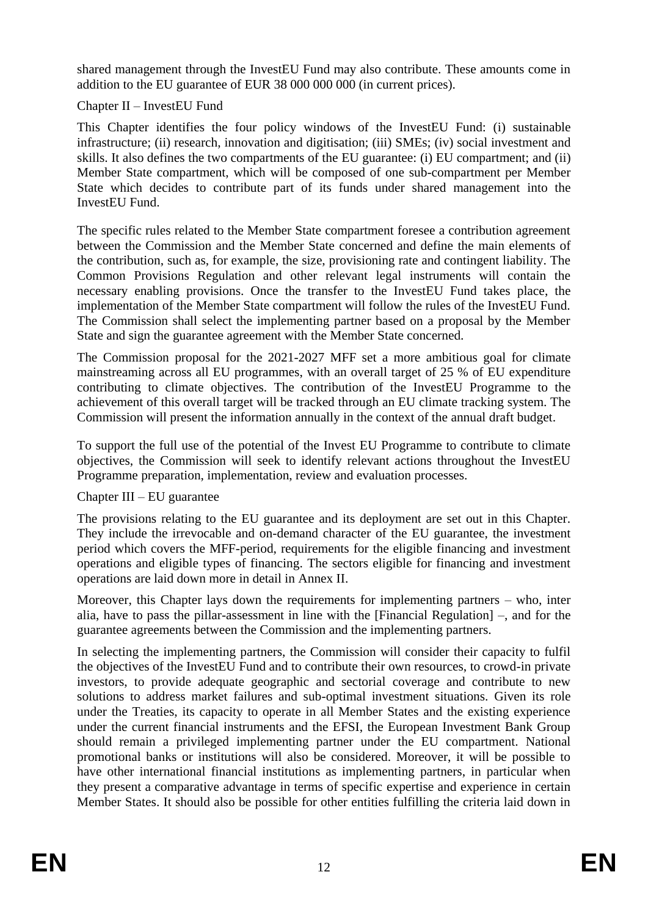shared management through the InvestEU Fund may also contribute. These amounts come in addition to the EU guarantee of EUR 38 000 000 000 (in current prices).

#### Chapter II – InvestEU Fund

This Chapter identifies the four policy windows of the InvestEU Fund: (i) sustainable infrastructure; (ii) research, innovation and digitisation; (iii) SMEs; (iv) social investment and skills. It also defines the two compartments of the EU guarantee: (i) EU compartment; and (ii) Member State compartment, which will be composed of one sub-compartment per Member State which decides to contribute part of its funds under shared management into the InvestEU Fund.

The specific rules related to the Member State compartment foresee a contribution agreement between the Commission and the Member State concerned and define the main elements of the contribution, such as, for example, the size, provisioning rate and contingent liability. The Common Provisions Regulation and other relevant legal instruments will contain the necessary enabling provisions. Once the transfer to the InvestEU Fund takes place, the implementation of the Member State compartment will follow the rules of the InvestEU Fund. The Commission shall select the implementing partner based on a proposal by the Member State and sign the guarantee agreement with the Member State concerned.

The Commission proposal for the 2021-2027 MFF set a more ambitious goal for climate mainstreaming across all EU programmes, with an overall target of 25 % of EU expenditure contributing to climate objectives. The contribution of the InvestEU Programme to the achievement of this overall target will be tracked through an EU climate tracking system. The Commission will present the information annually in the context of the annual draft budget.

To support the full use of the potential of the Invest EU Programme to contribute to climate objectives, the Commission will seek to identify relevant actions throughout the InvestEU Programme preparation, implementation, review and evaluation processes.

### Chapter III – EU guarantee

The provisions relating to the EU guarantee and its deployment are set out in this Chapter. They include the irrevocable and on-demand character of the EU guarantee, the investment period which covers the MFF-period, requirements for the eligible financing and investment operations and eligible types of financing. The sectors eligible for financing and investment operations are laid down more in detail in Annex II.

Moreover, this Chapter lays down the requirements for implementing partners – who, inter alia, have to pass the pillar-assessment in line with the [Financial Regulation] –, and for the guarantee agreements between the Commission and the implementing partners.

In selecting the implementing partners, the Commission will consider their capacity to fulfil the objectives of the InvestEU Fund and to contribute their own resources, to crowd-in private investors, to provide adequate geographic and sectorial coverage and contribute to new solutions to address market failures and sub-optimal investment situations. Given its role under the Treaties, its capacity to operate in all Member States and the existing experience under the current financial instruments and the EFSI, the European Investment Bank Group should remain a privileged implementing partner under the EU compartment. National promotional banks or institutions will also be considered. Moreover, it will be possible to have other international financial institutions as implementing partners, in particular when they present a comparative advantage in terms of specific expertise and experience in certain Member States. It should also be possible for other entities fulfilling the criteria laid down in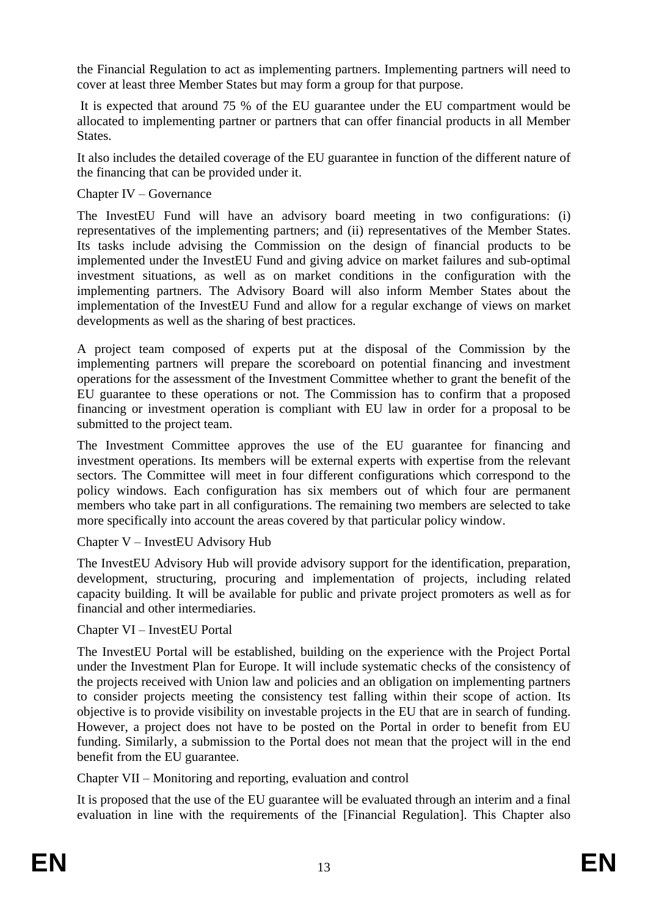the Financial Regulation to act as implementing partners. Implementing partners will need to cover at least three Member States but may form a group for that purpose.

It is expected that around 75 % of the EU guarantee under the EU compartment would be allocated to implementing partner or partners that can offer financial products in all Member States.

It also includes the detailed coverage of the EU guarantee in function of the different nature of the financing that can be provided under it.

#### Chapter IV – Governance

The InvestEU Fund will have an advisory board meeting in two configurations: (i) representatives of the implementing partners; and (ii) representatives of the Member States. Its tasks include advising the Commission on the design of financial products to be implemented under the InvestEU Fund and giving advice on market failures and sub-optimal investment situations, as well as on market conditions in the configuration with the implementing partners. The Advisory Board will also inform Member States about the implementation of the InvestEU Fund and allow for a regular exchange of views on market developments as well as the sharing of best practices.

A project team composed of experts put at the disposal of the Commission by the implementing partners will prepare the scoreboard on potential financing and investment operations for the assessment of the Investment Committee whether to grant the benefit of the EU guarantee to these operations or not. The Commission has to confirm that a proposed financing or investment operation is compliant with EU law in order for a proposal to be submitted to the project team.

The Investment Committee approves the use of the EU guarantee for financing and investment operations. Its members will be external experts with expertise from the relevant sectors. The Committee will meet in four different configurations which correspond to the policy windows. Each configuration has six members out of which four are permanent members who take part in all configurations. The remaining two members are selected to take more specifically into account the areas covered by that particular policy window.

Chapter V – InvestEU Advisory Hub

The InvestEU Advisory Hub will provide advisory support for the identification, preparation, development, structuring, procuring and implementation of projects, including related capacity building. It will be available for public and private project promoters as well as for financial and other intermediaries.

#### Chapter VI – InvestEU Portal

The InvestEU Portal will be established, building on the experience with the Project Portal under the Investment Plan for Europe. It will include systematic checks of the consistency of the projects received with Union law and policies and an obligation on implementing partners to consider projects meeting the consistency test falling within their scope of action. Its objective is to provide visibility on investable projects in the EU that are in search of funding. However, a project does not have to be posted on the Portal in order to benefit from EU funding. Similarly, a submission to the Portal does not mean that the project will in the end benefit from the EU guarantee.

Chapter VII – Monitoring and reporting, evaluation and control

It is proposed that the use of the EU guarantee will be evaluated through an interim and a final evaluation in line with the requirements of the [Financial Regulation]. This Chapter also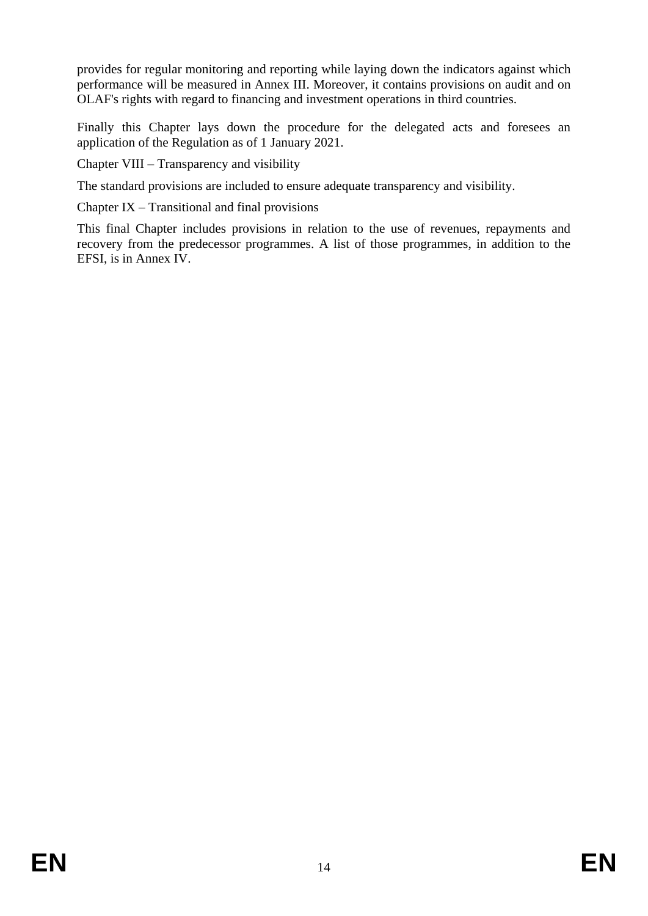provides for regular monitoring and reporting while laying down the indicators against which performance will be measured in Annex III. Moreover, it contains provisions on audit and on OLAF's rights with regard to financing and investment operations in third countries.

Finally this Chapter lays down the procedure for the delegated acts and foresees an application of the Regulation as of 1 January 2021.

Chapter VIII – Transparency and visibility

The standard provisions are included to ensure adequate transparency and visibility.

Chapter IX – Transitional and final provisions

This final Chapter includes provisions in relation to the use of revenues, repayments and recovery from the predecessor programmes. A list of those programmes, in addition to the EFSI, is in Annex IV.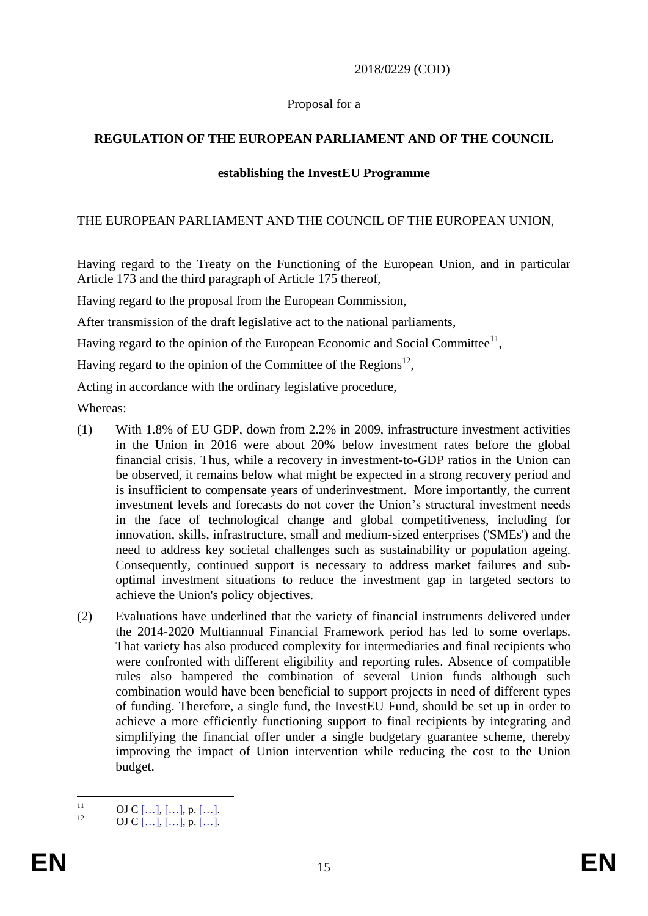#### 2018/0229 (COD)

#### Proposal for a

### **REGULATION OF THE EUROPEAN PARLIAMENT AND OF THE COUNCIL**

#### **establishing the InvestEU Programme**

#### THE EUROPEAN PARLIAMENT AND THE COUNCIL OF THE EUROPEAN UNION,

Having regard to the Treaty on the Functioning of the European Union, and in particular Article 173 and the third paragraph of Article 175 thereof,

Having regard to the proposal from the European Commission,

After transmission of the draft legislative act to the national parliaments,

Having regard to the opinion of the European Economic and Social Committee $^{11}$ ,

Having regard to the opinion of the Committee of the Regions $^{12}$ ,

Acting in accordance with the ordinary legislative procedure,

Whereas:

- (1) With 1.8% of EU GDP, down from 2.2% in 2009, infrastructure investment activities in the Union in 2016 were about 20% below investment rates before the global financial crisis. Thus, while a recovery in investment-to-GDP ratios in the Union can be observed, it remains below what might be expected in a strong recovery period and is insufficient to compensate years of underinvestment. More importantly, the current investment levels and forecasts do not cover the Union's structural investment needs in the face of technological change and global competitiveness, including for innovation, skills, infrastructure, small and medium-sized enterprises ('SMEs') and the need to address key societal challenges such as sustainability or population ageing. Consequently, continued support is necessary to address market failures and suboptimal investment situations to reduce the investment gap in targeted sectors to achieve the Union's policy objectives.
- (2) Evaluations have underlined that the variety of financial instruments delivered under the 2014-2020 Multiannual Financial Framework period has led to some overlaps. That variety has also produced complexity for intermediaries and final recipients who were confronted with different eligibility and reporting rules. Absence of compatible rules also hampered the combination of several Union funds although such combination would have been beneficial to support projects in need of different types of funding. Therefore, a single fund, the InvestEU Fund, should be set up in order to achieve a more efficiently functioning support to final recipients by integrating and simplifying the financial offer under a single budgetary guarantee scheme, thereby improving the impact of Union intervention while reducing the cost to the Union budget.

 $11$  $\frac{11}{12}$  OJ C […], […], p. […].

OJ C  $[...]$ ,  $[...]$ , p.  $[...]$ .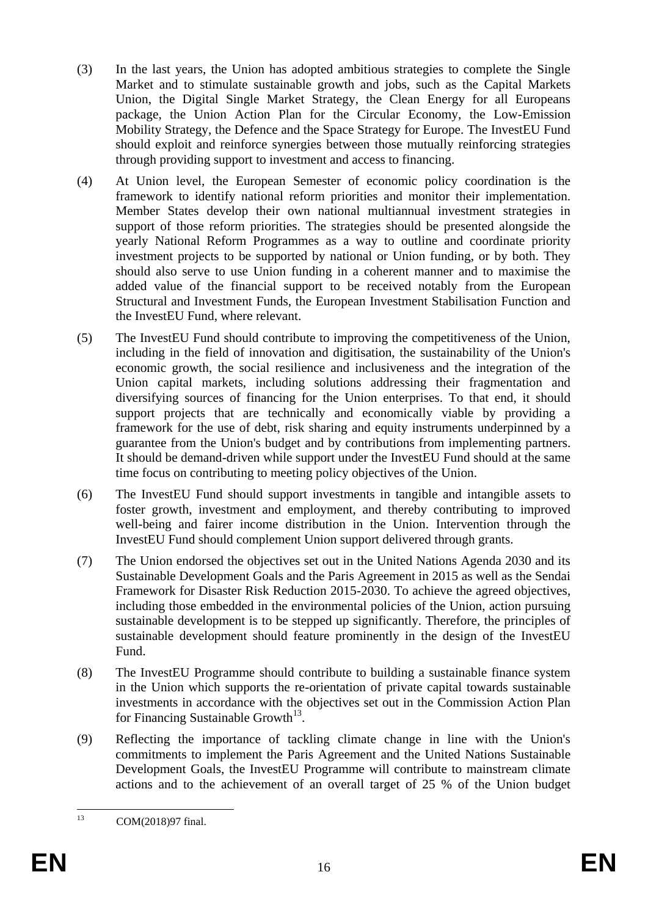- (3) In the last years, the Union has adopted ambitious strategies to complete the Single Market and to stimulate sustainable growth and jobs, such as the Capital Markets Union, the Digital Single Market Strategy, the Clean Energy for all Europeans package, the Union Action Plan for the Circular Economy, the Low-Emission Mobility Strategy, the Defence and the Space Strategy for Europe. The InvestEU Fund should exploit and reinforce synergies between those mutually reinforcing strategies through providing support to investment and access to financing.
- (4) At Union level, the European Semester of economic policy coordination is the framework to identify national reform priorities and monitor their implementation. Member States develop their own national multiannual investment strategies in support of those reform priorities. The strategies should be presented alongside the yearly National Reform Programmes as a way to outline and coordinate priority investment projects to be supported by national or Union funding, or by both. They should also serve to use Union funding in a coherent manner and to maximise the added value of the financial support to be received notably from the European Structural and Investment Funds, the European Investment Stabilisation Function and the InvestEU Fund, where relevant.
- (5) The InvestEU Fund should contribute to improving the competitiveness of the Union, including in the field of innovation and digitisation, the sustainability of the Union's economic growth, the social resilience and inclusiveness and the integration of the Union capital markets, including solutions addressing their fragmentation and diversifying sources of financing for the Union enterprises. To that end, it should support projects that are technically and economically viable by providing a framework for the use of debt, risk sharing and equity instruments underpinned by a guarantee from the Union's budget and by contributions from implementing partners. It should be demand-driven while support under the InvestEU Fund should at the same time focus on contributing to meeting policy objectives of the Union.
- (6) The InvestEU Fund should support investments in tangible and intangible assets to foster growth, investment and employment, and thereby contributing to improved well-being and fairer income distribution in the Union. Intervention through the InvestEU Fund should complement Union support delivered through grants.
- (7) The Union endorsed the objectives set out in the United Nations Agenda 2030 and its Sustainable Development Goals and the Paris Agreement in 2015 as well as the Sendai Framework for Disaster Risk Reduction 2015-2030. To achieve the agreed objectives, including those embedded in the environmental policies of the Union, action pursuing sustainable development is to be stepped up significantly. Therefore, the principles of sustainable development should feature prominently in the design of the InvestEU Fund.
- (8) The InvestEU Programme should contribute to building a sustainable finance system in the Union which supports the re-orientation of private capital towards sustainable investments in accordance with the objectives set out in the Commission Action Plan for Financing Sustainable Growth<sup>13</sup>.
- (9) Reflecting the importance of tackling climate change in line with the Union's commitments to implement the Paris Agreement and the United Nations Sustainable Development Goals, the InvestEU Programme will contribute to mainstream climate actions and to the achievement of an overall target of 25 % of the Union budget

 $13$ COM(2018)97 final.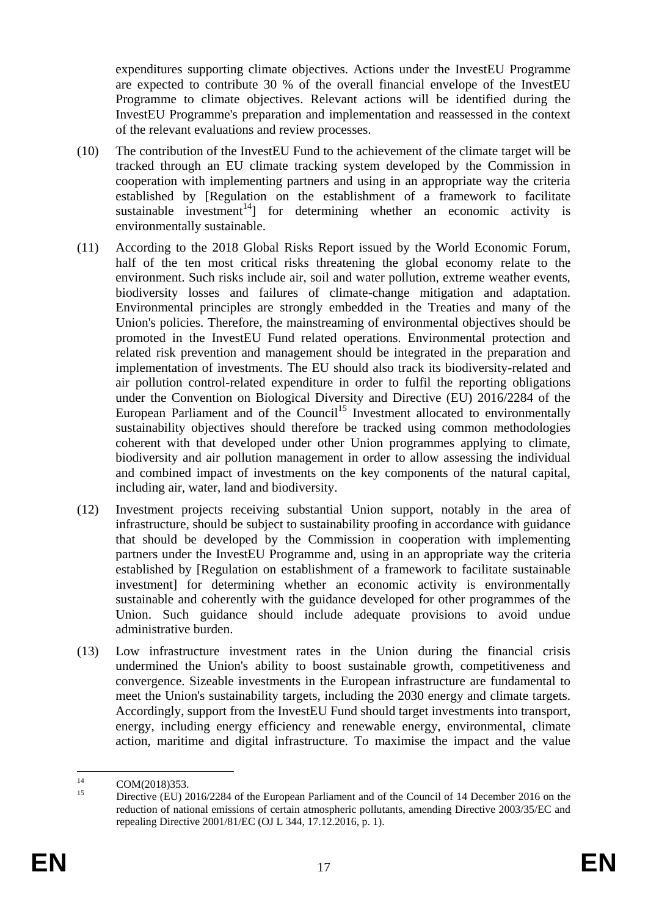expenditures supporting climate objectives. Actions under the InvestEU Programme are expected to contribute 30 % of the overall financial envelope of the InvestEU Programme to climate objectives. Relevant actions will be identified during the InvestEU Programme's preparation and implementation and reassessed in the context of the relevant evaluations and review processes.

- (10) The contribution of the InvestEU Fund to the achievement of the climate target will be tracked through an EU climate tracking system developed by the Commission in cooperation with implementing partners and using in an appropriate way the criteria established by [Regulation on the establishment of a framework to facilitate sustainable investment<sup>14</sup> for determining whether an economic activity is environmentally sustainable.
- (11) According to the 2018 Global Risks Report issued by the World Economic Forum, half of the ten most critical risks threatening the global economy relate to the environment. Such risks include air, soil and water pollution, extreme weather events, biodiversity losses and failures of climate-change mitigation and adaptation. Environmental principles are strongly embedded in the Treaties and many of the Union's policies. Therefore, the mainstreaming of environmental objectives should be promoted in the InvestEU Fund related operations. Environmental protection and related risk prevention and management should be integrated in the preparation and implementation of investments. The EU should also track its biodiversity-related and air pollution control-related expenditure in order to fulfil the reporting obligations under the Convention on Biological Diversity and Directive (EU) 2016/2284 of the European Parliament and of the Council<sup>15</sup> Investment allocated to environmentally sustainability objectives should therefore be tracked using common methodologies coherent with that developed under other Union programmes applying to climate, biodiversity and air pollution management in order to allow assessing the individual and combined impact of investments on the key components of the natural capital, including air, water, land and biodiversity.
- (12) Investment projects receiving substantial Union support, notably in the area of infrastructure, should be subject to sustainability proofing in accordance with guidance that should be developed by the Commission in cooperation with implementing partners under the InvestEU Programme and, using in an appropriate way the criteria established by [Regulation on establishment of a framework to facilitate sustainable investment] for determining whether an economic activity is environmentally sustainable and coherently with the guidance developed for other programmes of the Union. Such guidance should include adequate provisions to avoid undue administrative burden.
- (13) Low infrastructure investment rates in the Union during the financial crisis undermined the Union's ability to boost sustainable growth, competitiveness and convergence. Sizeable investments in the European infrastructure are fundamental to meet the Union's sustainability targets, including the 2030 energy and climate targets. Accordingly, support from the InvestEU Fund should target investments into transport, energy, including energy efficiency and renewable energy, environmental, climate action, maritime and digital infrastructure. To maximise the impact and the value

 $14$  $14 \text{ COM}(2018)353.$ <br>15 Directive (EU) 2

Directive (EU) 2016/2284 of the European Parliament and of the Council of 14 December 2016 on the reduction of national emissions of certain atmospheric pollutants, amending Directive 2003/35/EC and repealing Directive 2001/81/EC (OJ L 344, 17.12.2016, p. 1).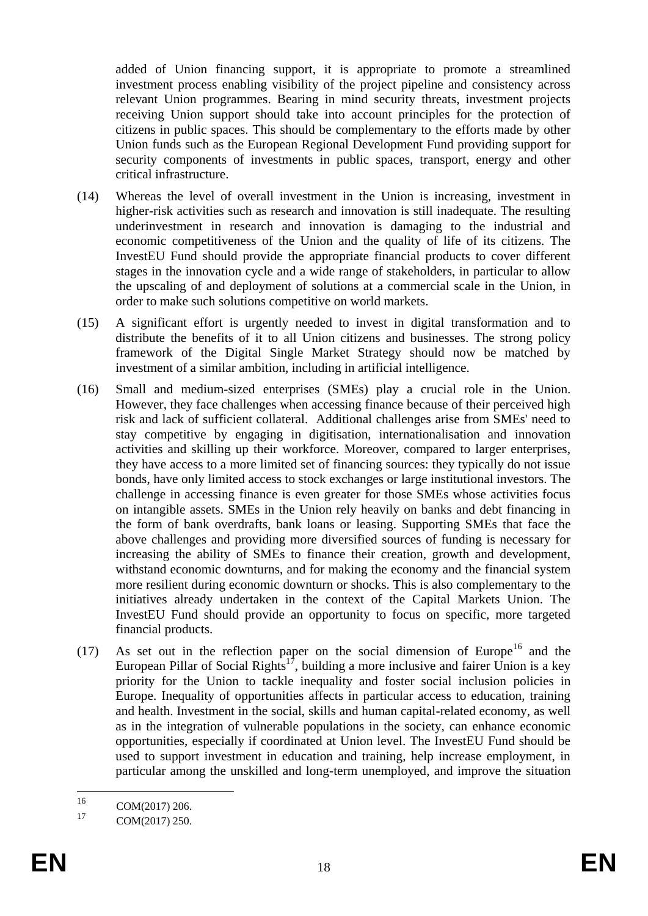added of Union financing support, it is appropriate to promote a streamlined investment process enabling visibility of the project pipeline and consistency across relevant Union programmes. Bearing in mind security threats, investment projects receiving Union support should take into account principles for the protection of citizens in public spaces. This should be complementary to the efforts made by other Union funds such as the European Regional Development Fund providing support for security components of investments in public spaces, transport, energy and other critical infrastructure.

- (14) Whereas the level of overall investment in the Union is increasing, investment in higher-risk activities such as research and innovation is still inadequate. The resulting underinvestment in research and innovation is damaging to the industrial and economic competitiveness of the Union and the quality of life of its citizens. The InvestEU Fund should provide the appropriate financial products to cover different stages in the innovation cycle and a wide range of stakeholders, in particular to allow the upscaling of and deployment of solutions at a commercial scale in the Union, in order to make such solutions competitive on world markets.
- (15) A significant effort is urgently needed to invest in digital transformation and to distribute the benefits of it to all Union citizens and businesses. The strong policy framework of the Digital Single Market Strategy should now be matched by investment of a similar ambition, including in artificial intelligence.
- (16) Small and medium-sized enterprises (SMEs) play a crucial role in the Union. However, they face challenges when accessing finance because of their perceived high risk and lack of sufficient collateral. Additional challenges arise from SMEs' need to stay competitive by engaging in digitisation, internationalisation and innovation activities and skilling up their workforce. Moreover, compared to larger enterprises, they have access to a more limited set of financing sources: they typically do not issue bonds, have only limited access to stock exchanges or large institutional investors. The challenge in accessing finance is even greater for those SMEs whose activities focus on intangible assets. SMEs in the Union rely heavily on banks and debt financing in the form of bank overdrafts, bank loans or leasing. Supporting SMEs that face the above challenges and providing more diversified sources of funding is necessary for increasing the ability of SMEs to finance their creation, growth and development, withstand economic downturns, and for making the economy and the financial system more resilient during economic downturn or shocks. This is also complementary to the initiatives already undertaken in the context of the Capital Markets Union. The InvestEU Fund should provide an opportunity to focus on specific, more targeted financial products.
- (17) As set out in the reflection paper on the social dimension of Europe<sup>16</sup> and the European Pillar of Social Rights<sup>17</sup>, building a more inclusive and fairer Union is a key priority for the Union to tackle inequality and foster social inclusion policies in Europe. Inequality of opportunities affects in particular access to education, training and health. Investment in the social, skills and human capital-related economy, as well as in the integration of vulnerable populations in the society, can enhance economic opportunities, especially if coordinated at Union level. The InvestEU Fund should be used to support investment in education and training, help increase employment, in particular among the unskilled and long-term unemployed, and improve the situation

<sup>16</sup>  $^{16}$  COM(2017) 206.

COM(2017) 250.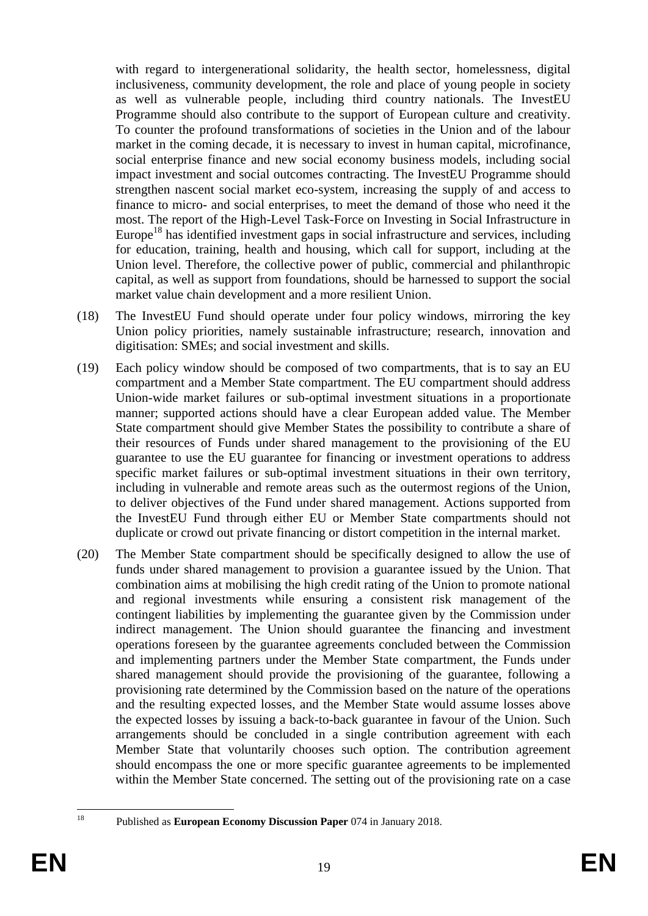with regard to intergenerational solidarity, the health sector, homelessness, digital inclusiveness, community development, the role and place of young people in society as well as vulnerable people, including third country nationals. The InvestEU Programme should also contribute to the support of European culture and creativity. To counter the profound transformations of societies in the Union and of the labour market in the coming decade, it is necessary to invest in human capital, microfinance, social enterprise finance and new social economy business models, including social impact investment and social outcomes contracting. The InvestEU Programme should strengthen nascent social market eco-system, increasing the supply of and access to finance to micro- and social enterprises, to meet the demand of those who need it the most. The report of the High-Level Task-Force on Investing in Social Infrastructure in Europe<sup>18</sup> has identified investment gaps in social infrastructure and services, including for education, training, health and housing, which call for support, including at the Union level. Therefore, the collective power of public, commercial and philanthropic capital, as well as support from foundations, should be harnessed to support the social market value chain development and a more resilient Union.

- (18) The InvestEU Fund should operate under four policy windows, mirroring the key Union policy priorities, namely sustainable infrastructure; research, innovation and digitisation: SMEs; and social investment and skills.
- (19) Each policy window should be composed of two compartments, that is to say an EU compartment and a Member State compartment. The EU compartment should address Union-wide market failures or sub-optimal investment situations in a proportionate manner; supported actions should have a clear European added value. The Member State compartment should give Member States the possibility to contribute a share of their resources of Funds under shared management to the provisioning of the EU guarantee to use the EU guarantee for financing or investment operations to address specific market failures or sub-optimal investment situations in their own territory, including in vulnerable and remote areas such as the outermost regions of the Union, to deliver objectives of the Fund under shared management. Actions supported from the InvestEU Fund through either EU or Member State compartments should not duplicate or crowd out private financing or distort competition in the internal market.
- (20) The Member State compartment should be specifically designed to allow the use of funds under shared management to provision a guarantee issued by the Union. That combination aims at mobilising the high credit rating of the Union to promote national and regional investments while ensuring a consistent risk management of the contingent liabilities by implementing the guarantee given by the Commission under indirect management. The Union should guarantee the financing and investment operations foreseen by the guarantee agreements concluded between the Commission and implementing partners under the Member State compartment, the Funds under shared management should provide the provisioning of the guarantee, following a provisioning rate determined by the Commission based on the nature of the operations and the resulting expected losses, and the Member State would assume losses above the expected losses by issuing a back-to-back guarantee in favour of the Union. Such arrangements should be concluded in a single contribution agreement with each Member State that voluntarily chooses such option. The contribution agreement should encompass the one or more specific guarantee agreements to be implemented within the Member State concerned. The setting out of the provisioning rate on a case

18

<sup>18</sup> Published as **European Economy Discussion Paper** 074 in January 2018.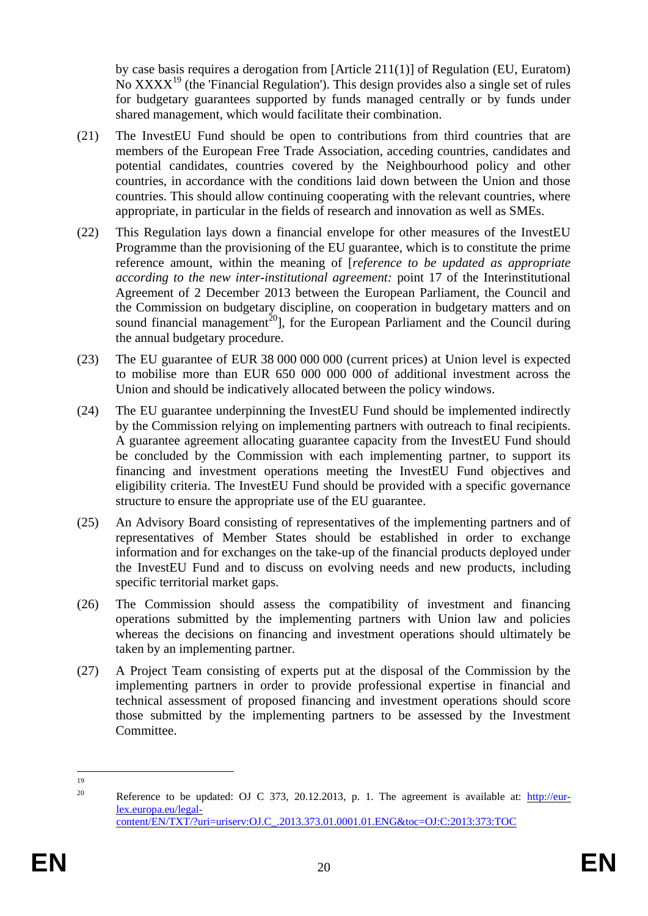by case basis requires a derogation from [Article 211(1)] of Regulation (EU, Euratom) No  $\text{XXX}^{19}$  (the 'Financial Regulation'). This design provides also a single set of rules for budgetary guarantees supported by funds managed centrally or by funds under shared management, which would facilitate their combination.

- (21) The InvestEU Fund should be open to contributions from third countries that are members of the European Free Trade Association, acceding countries, candidates and potential candidates, countries covered by the Neighbourhood policy and other countries, in accordance with the conditions laid down between the Union and those countries. This should allow continuing cooperating with the relevant countries, where appropriate, in particular in the fields of research and innovation as well as SMEs.
- (22) This Regulation lays down a financial envelope for other measures of the InvestEU Programme than the provisioning of the EU guarantee, which is to constitute the prime reference amount, within the meaning of [*reference to be updated as appropriate according to the new inter-institutional agreement:* point 17 of the Interinstitutional Agreement of 2 December 2013 between the European Parliament, the Council and the Commission on budgetary discipline, on cooperation in budgetary matters and on sound financial management<sup>20</sup>], for the European Parliament and the Council during the annual budgetary procedure.
- (23) The EU guarantee of EUR 38 000 000 000 (current prices) at Union level is expected to mobilise more than EUR 650 000 000 000 of additional investment across the Union and should be indicatively allocated between the policy windows.
- (24) The EU guarantee underpinning the InvestEU Fund should be implemented indirectly by the Commission relying on implementing partners with outreach to final recipients. A guarantee agreement allocating guarantee capacity from the InvestEU Fund should be concluded by the Commission with each implementing partner, to support its financing and investment operations meeting the InvestEU Fund objectives and eligibility criteria. The InvestEU Fund should be provided with a specific governance structure to ensure the appropriate use of the EU guarantee.
- (25) An Advisory Board consisting of representatives of the implementing partners and of representatives of Member States should be established in order to exchange information and for exchanges on the take-up of the financial products deployed under the InvestEU Fund and to discuss on evolving needs and new products, including specific territorial market gaps.
- (26) The Commission should assess the compatibility of investment and financing operations submitted by the implementing partners with Union law and policies whereas the decisions on financing and investment operations should ultimately be taken by an implementing partner.
- (27) A Project Team consisting of experts put at the disposal of the Commission by the implementing partners in order to provide professional expertise in financial and technical assessment of proposed financing and investment operations should score those submitted by the implementing partners to be assessed by the Investment Committee.

 $\frac{1}{19}$ 

<sup>&</sup>lt;sup>20</sup> Reference to be updated: OJ C 373, 20.12.2013, p. 1. The agreement is available at: [http://eur](http://eur-lex.europa.eu/legal-content/EN/TXT/?uri=uriserv:OJ.C_.2013.373.01.0001.01.ENG&toc=OJ:C:2013:373:TOC)[lex.europa.eu/legal](http://eur-lex.europa.eu/legal-content/EN/TXT/?uri=uriserv:OJ.C_.2013.373.01.0001.01.ENG&toc=OJ:C:2013:373:TOC)[content/EN/TXT/?uri=uriserv:OJ.C\\_.2013.373.01.0001.01.ENG&toc=OJ:C:2013:373:TOC](http://eur-lex.europa.eu/legal-content/EN/TXT/?uri=uriserv:OJ.C_.2013.373.01.0001.01.ENG&toc=OJ:C:2013:373:TOC)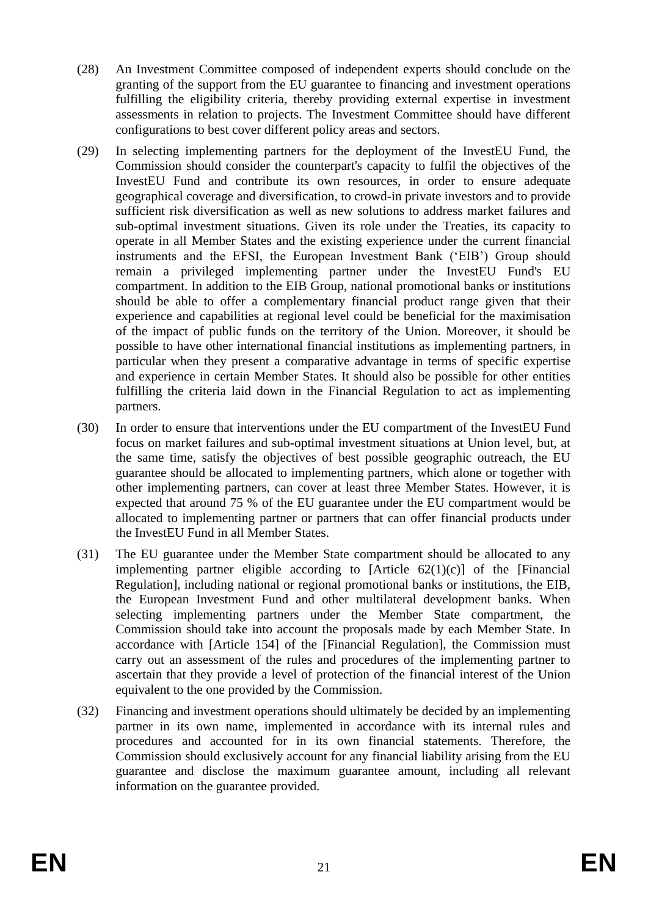- (28) An Investment Committee composed of independent experts should conclude on the granting of the support from the EU guarantee to financing and investment operations fulfilling the eligibility criteria, thereby providing external expertise in investment assessments in relation to projects. The Investment Committee should have different configurations to best cover different policy areas and sectors.
- (29) In selecting implementing partners for the deployment of the InvestEU Fund, the Commission should consider the counterpart's capacity to fulfil the objectives of the InvestEU Fund and contribute its own resources, in order to ensure adequate geographical coverage and diversification, to crowd-in private investors and to provide sufficient risk diversification as well as new solutions to address market failures and sub-optimal investment situations. Given its role under the Treaties, its capacity to operate in all Member States and the existing experience under the current financial instruments and the EFSI, the European Investment Bank ('EIB') Group should remain a privileged implementing partner under the InvestEU Fund's EU compartment. In addition to the EIB Group, national promotional banks or institutions should be able to offer a complementary financial product range given that their experience and capabilities at regional level could be beneficial for the maximisation of the impact of public funds on the territory of the Union. Moreover, it should be possible to have other international financial institutions as implementing partners, in particular when they present a comparative advantage in terms of specific expertise and experience in certain Member States. It should also be possible for other entities fulfilling the criteria laid down in the Financial Regulation to act as implementing partners.
- (30) In order to ensure that interventions under the EU compartment of the InvestEU Fund focus on market failures and sub-optimal investment situations at Union level, but, at the same time, satisfy the objectives of best possible geographic outreach, the EU guarantee should be allocated to implementing partners, which alone or together with other implementing partners, can cover at least three Member States. However, it is expected that around 75 % of the EU guarantee under the EU compartment would be allocated to implementing partner or partners that can offer financial products under the InvestEU Fund in all Member States.
- (31) The EU guarantee under the Member State compartment should be allocated to any implementing partner eligible according to  $[Article 62(1)(c)]$  of the  $[Financial]$ Regulation], including national or regional promotional banks or institutions, the EIB, the European Investment Fund and other multilateral development banks. When selecting implementing partners under the Member State compartment, the Commission should take into account the proposals made by each Member State. In accordance with [Article 154] of the [Financial Regulation], the Commission must carry out an assessment of the rules and procedures of the implementing partner to ascertain that they provide a level of protection of the financial interest of the Union equivalent to the one provided by the Commission.
- (32) Financing and investment operations should ultimately be decided by an implementing partner in its own name, implemented in accordance with its internal rules and procedures and accounted for in its own financial statements. Therefore, the Commission should exclusively account for any financial liability arising from the EU guarantee and disclose the maximum guarantee amount, including all relevant information on the guarantee provided.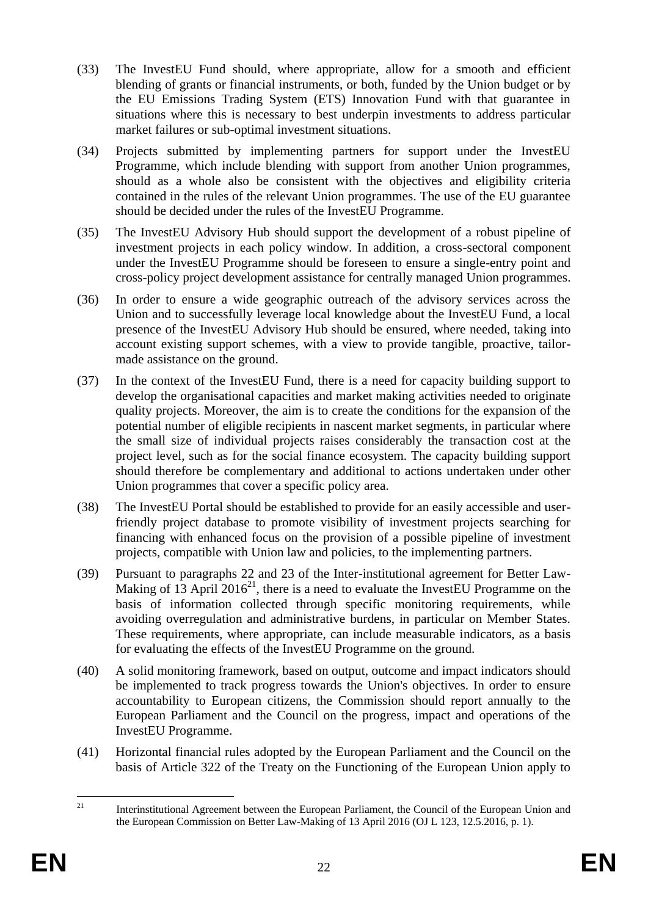- (33) The InvestEU Fund should, where appropriate, allow for a smooth and efficient blending of grants or financial instruments, or both, funded by the Union budget or by the EU Emissions Trading System (ETS) Innovation Fund with that guarantee in situations where this is necessary to best underpin investments to address particular market failures or sub-optimal investment situations.
- (34) Projects submitted by implementing partners for support under the InvestEU Programme, which include blending with support from another Union programmes, should as a whole also be consistent with the objectives and eligibility criteria contained in the rules of the relevant Union programmes. The use of the EU guarantee should be decided under the rules of the InvestEU Programme.
- (35) The InvestEU Advisory Hub should support the development of a robust pipeline of investment projects in each policy window. In addition, a cross-sectoral component under the InvestEU Programme should be foreseen to ensure a single-entry point and cross-policy project development assistance for centrally managed Union programmes.
- (36) In order to ensure a wide geographic outreach of the advisory services across the Union and to successfully leverage local knowledge about the InvestEU Fund, a local presence of the InvestEU Advisory Hub should be ensured, where needed, taking into account existing support schemes, with a view to provide tangible, proactive, tailormade assistance on the ground.
- (37) In the context of the InvestEU Fund, there is a need for capacity building support to develop the organisational capacities and market making activities needed to originate quality projects. Moreover, the aim is to create the conditions for the expansion of the potential number of eligible recipients in nascent market segments, in particular where the small size of individual projects raises considerably the transaction cost at the project level, such as for the social finance ecosystem. The capacity building support should therefore be complementary and additional to actions undertaken under other Union programmes that cover a specific policy area.
- (38) The InvestEU Portal should be established to provide for an easily accessible and userfriendly project database to promote visibility of investment projects searching for financing with enhanced focus on the provision of a possible pipeline of investment projects, compatible with Union law and policies, to the implementing partners.
- (39) Pursuant to paragraphs 22 and 23 of the Inter-institutional agreement for Better Law-Making of  $13$  April  $2016^{21}$ , there is a need to evaluate the InvestEU Programme on the basis of information collected through specific monitoring requirements, while avoiding overregulation and administrative burdens, in particular on Member States. These requirements, where appropriate, can include measurable indicators, as a basis for evaluating the effects of the InvestEU Programme on the ground.
- (40) A solid monitoring framework, based on output, outcome and impact indicators should be implemented to track progress towards the Union's objectives. In order to ensure accountability to European citizens, the Commission should report annually to the European Parliament and the Council on the progress, impact and operations of the InvestEU Programme.
- (41) Horizontal financial rules adopted by the European Parliament and the Council on the basis of Article 322 of the Treaty on the Functioning of the European Union apply to

 $21$ <sup>21</sup> Interinstitutional Agreement between the European Parliament, the Council of the European Union and the European Commission on Better Law-Making of 13 April 2016 (OJ L 123, 12.5.2016, p. 1).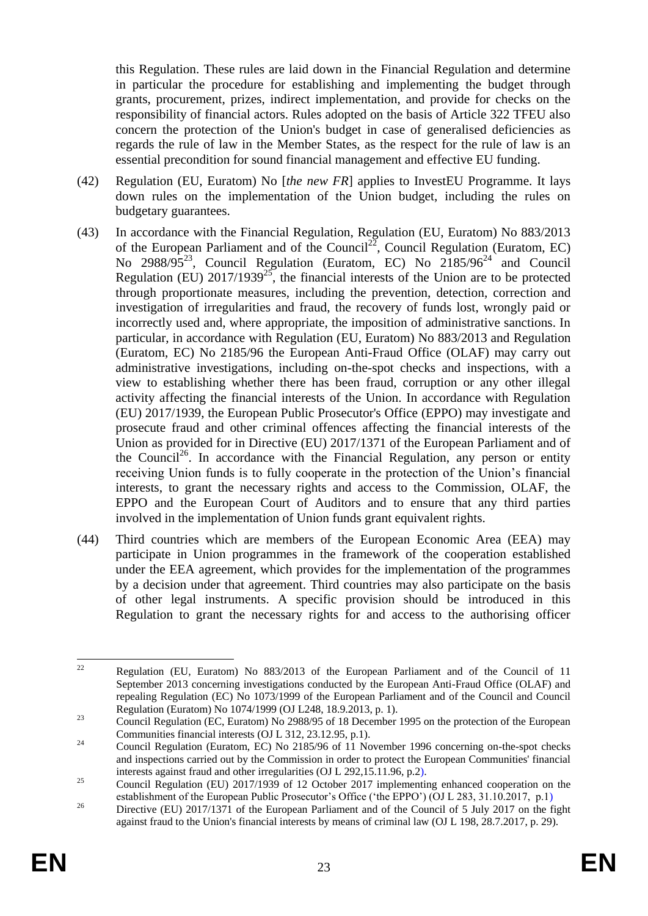this Regulation. These rules are laid down in the Financial Regulation and determine in particular the procedure for establishing and implementing the budget through grants, procurement, prizes, indirect implementation, and provide for checks on the responsibility of financial actors. Rules adopted on the basis of Article 322 TFEU also concern the protection of the Union's budget in case of generalised deficiencies as regards the rule of law in the Member States, as the respect for the rule of law is an essential precondition for sound financial management and effective EU funding.

- (42) Regulation (EU, Euratom) No [*the new FR*] applies to InvestEU Programme. It lays down rules on the implementation of the Union budget, including the rules on budgetary guarantees.
- (43) In accordance with the Financial Regulation, Regulation (EU, Euratom) No 883/2013 of the European Parliament and of the Council<sup>22</sup>, Council Regulation (Euratom, EC) No 2988/95<sup>23</sup>, Council Regulation (Euratom, EC) No  $2185/96^{24}$  and Council Regulation (EU)  $2017/1939^{25}$ , the financial interests of the Union are to be protected through proportionate measures, including the prevention, detection, correction and investigation of irregularities and fraud, the recovery of funds lost, wrongly paid or incorrectly used and, where appropriate, the imposition of administrative sanctions. In particular, in accordance with Regulation (EU, Euratom) No 883/2013 and Regulation (Euratom, EC) No 2185/96 the European Anti-Fraud Office (OLAF) may carry out administrative investigations, including on-the-spot checks and inspections, with a view to establishing whether there has been fraud, corruption or any other illegal activity affecting the financial interests of the Union. In accordance with Regulation (EU) 2017/1939, the European Public Prosecutor's Office (EPPO) may investigate and prosecute fraud and other criminal offences affecting the financial interests of the Union as provided for in Directive (EU) 2017/1371 of the European Parliament and of the Council<sup>26</sup>. In accordance with the Financial Regulation, any person or entity receiving Union funds is to fully cooperate in the protection of the Union's financial interests, to grant the necessary rights and access to the Commission, OLAF, the EPPO and the European Court of Auditors and to ensure that any third parties involved in the implementation of Union funds grant equivalent rights.
- (44) Third countries which are members of the European Economic Area (EEA) may participate in Union programmes in the framework of the cooperation established under the EEA agreement, which provides for the implementation of the programmes by a decision under that agreement. Third countries may also participate on the basis of other legal instruments. A specific provision should be introduced in this Regulation to grant the necessary rights for and access to the authorising officer

<sup>22</sup> <sup>22</sup> Regulation (EU, Euratom) No 883/2013 of the European Parliament and of the Council of 11 September 2013 concerning investigations conducted by the European Anti-Fraud Office (OLAF) and repealing Regulation (EC) No 1073/1999 of the European Parliament and of the Council and Council Regulation (Euratom) No 1074/1999 (OJ L248, 18.9.2013, p. 1).

<sup>&</sup>lt;sup>23</sup> Council Regulation (EC, Euratom) No 2988/95 of 18 December 1995 on the protection of the European Communities financial interests (OJ L 312, 23.12.95, p.1).

 $24$  Council Regulation (Euratom, EC) No 2185/96 of 11 November 1996 concerning on-the-spot checks and inspections carried out by the Commission in order to protect the European Communities' financial interests against fraud and other irregularities (OJ L 292,15.11.96, p.2).

<sup>&</sup>lt;sup>25</sup> Council Regulation (EU) 2017/1939 of 12 October 2017 implementing enhanced cooperation on the establishment of the European Public Prosecutor's Office ('the EPPO') (OJ L 283, 31.10.2017, p.1)

<sup>&</sup>lt;sup>26</sup> Directive (EU) 2017/1371 of the European Parliament and of the Council of 5 July 2017 on the fight against fraud to the Union's financial interests by means of criminal law (OJ L 198, 28.7.2017, p. 29).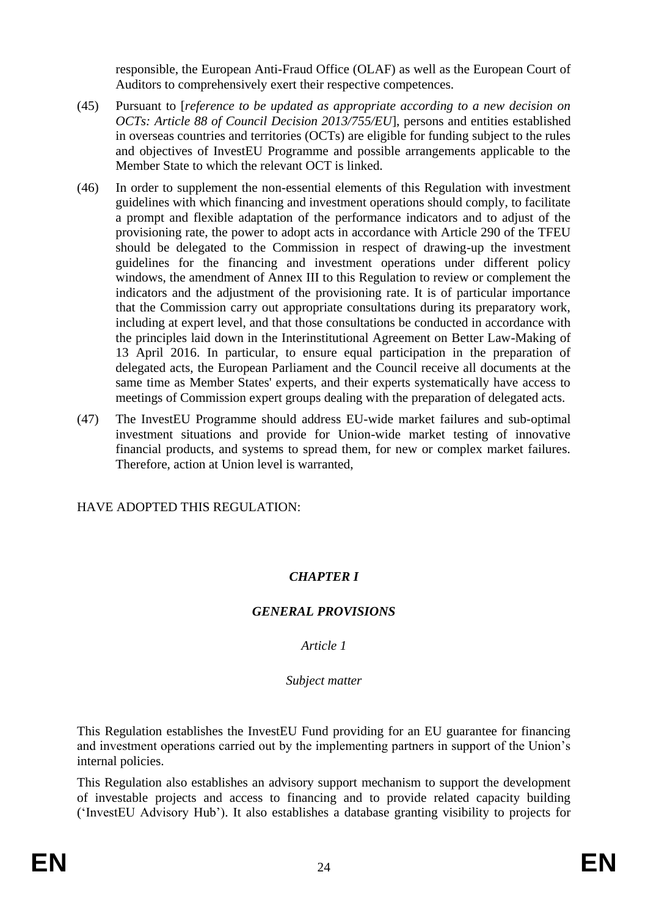responsible, the European Anti-Fraud Office (OLAF) as well as the European Court of Auditors to comprehensively exert their respective competences.

- (45) Pursuant to [*reference to be updated as appropriate according to a new decision on OCTs: Article 88 of Council Decision 2013/755/EU*], persons and entities established in overseas countries and territories (OCTs) are eligible for funding subject to the rules and objectives of InvestEU Programme and possible arrangements applicable to the Member State to which the relevant OCT is linked.
- (46) In order to supplement the non-essential elements of this Regulation with investment guidelines with which financing and investment operations should comply, to facilitate a prompt and flexible adaptation of the performance indicators and to adjust of the provisioning rate, the power to adopt acts in accordance with Article 290 of the TFEU should be delegated to the Commission in respect of drawing-up the investment guidelines for the financing and investment operations under different policy windows, the amendment of Annex III to this Regulation to review or complement the indicators and the adjustment of the provisioning rate. It is of particular importance that the Commission carry out appropriate consultations during its preparatory work, including at expert level, and that those consultations be conducted in accordance with the principles laid down in the Interinstitutional Agreement on Better Law-Making of 13 April 2016. In particular, to ensure equal participation in the preparation of delegated acts, the European Parliament and the Council receive all documents at the same time as Member States' experts, and their experts systematically have access to meetings of Commission expert groups dealing with the preparation of delegated acts.
- (47) The InvestEU Programme should address EU-wide market failures and sub-optimal investment situations and provide for Union-wide market testing of innovative financial products, and systems to spread them, for new or complex market failures. Therefore, action at Union level is warranted,

HAVE ADOPTED THIS REGULATION:

# *CHAPTER I*

# *GENERAL PROVISIONS*

*Article 1*

### *Subject matter*

This Regulation establishes the InvestEU Fund providing for an EU guarantee for financing and investment operations carried out by the implementing partners in support of the Union's internal policies.

This Regulation also establishes an advisory support mechanism to support the development of investable projects and access to financing and to provide related capacity building ('InvestEU Advisory Hub'). It also establishes a database granting visibility to projects for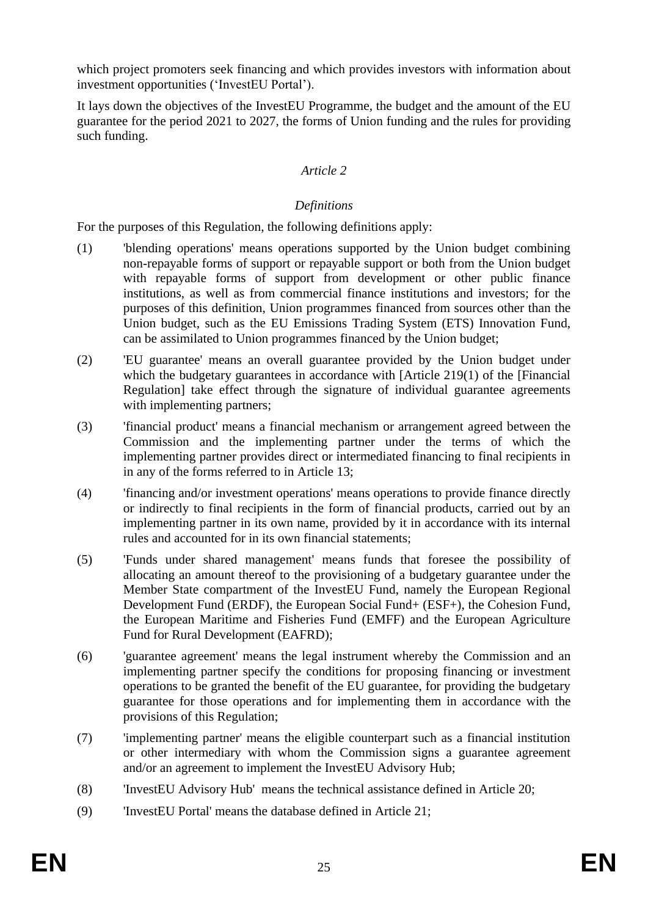which project promoters seek financing and which provides investors with information about investment opportunities ('InvestEU Portal').

It lays down the objectives of the InvestEU Programme, the budget and the amount of the EU guarantee for the period 2021 to 2027, the forms of Union funding and the rules for providing such funding.

### *Article 2*

### *Definitions*

For the purposes of this Regulation, the following definitions apply:

- (1) 'blending operations' means operations supported by the Union budget combining non-repayable forms of support or repayable support or both from the Union budget with repayable forms of support from development or other public finance institutions, as well as from commercial finance institutions and investors; for the purposes of this definition, Union programmes financed from sources other than the Union budget, such as the EU Emissions Trading System (ETS) Innovation Fund, can be assimilated to Union programmes financed by the Union budget;
- (2) 'EU guarantee' means an overall guarantee provided by the Union budget under which the budgetary guarantees in accordance with [Article 219(1) of the [Financial] Regulation] take effect through the signature of individual guarantee agreements with implementing partners;
- (3) 'financial product' means a financial mechanism or arrangement agreed between the Commission and the implementing partner under the terms of which the implementing partner provides direct or intermediated financing to final recipients in in any of the forms referred to in Article 13;
- (4) 'financing and/or investment operations' means operations to provide finance directly or indirectly to final recipients in the form of financial products, carried out by an implementing partner in its own name, provided by it in accordance with its internal rules and accounted for in its own financial statements;
- (5) 'Funds under shared management' means funds that foresee the possibility of allocating an amount thereof to the provisioning of a budgetary guarantee under the Member State compartment of the InvestEU Fund, namely the European Regional Development Fund (ERDF), the European Social Fund+ (ESF+), the Cohesion Fund, the European Maritime and Fisheries Fund (EMFF) and the European Agriculture Fund for Rural Development (EAFRD);
- (6) 'guarantee agreement' means the legal instrument whereby the Commission and an implementing partner specify the conditions for proposing financing or investment operations to be granted the benefit of the EU guarantee, for providing the budgetary guarantee for those operations and for implementing them in accordance with the provisions of this Regulation;
- (7) 'implementing partner' means the eligible counterpart such as a financial institution or other intermediary with whom the Commission signs a guarantee agreement and/or an agreement to implement the InvestEU Advisory Hub;
- (8) 'InvestEU Advisory Hub' means the technical assistance defined in Article 20;
- (9) 'InvestEU Portal' means the database defined in Article 21;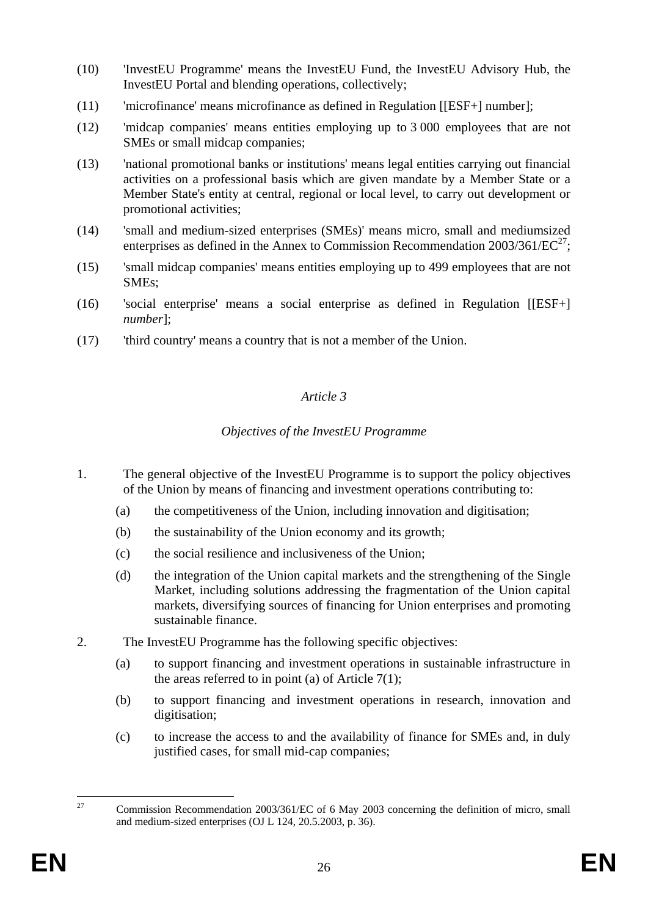- (10) 'InvestEU Programme' means the InvestEU Fund, the InvestEU Advisory Hub, the InvestEU Portal and blending operations, collectively;
- (11) 'microfinance' means microfinance as defined in Regulation [[ESF+] number];
- (12) 'midcap companies' means entities employing up to 3 000 employees that are not SMEs or small midcap companies;
- (13) 'national promotional banks or institutions' means legal entities carrying out financial activities on a professional basis which are given mandate by a Member State or a Member State's entity at central, regional or local level, to carry out development or promotional activities;
- (14) 'small and medium-sized enterprises (SMEs)' means micro, small and mediumsized enterprises as defined in the Annex to Commission Recommendation  $2003/361/EC^{27}$ ;
- (15) 'small midcap companies' means entities employing up to 499 employees that are not SMEs;
- (16) 'social enterprise' means a social enterprise as defined in Regulation [[ESF+] *number*];
- (17) 'third country' means a country that is not a member of the Union.

### *Article 3*

### *Objectives of the InvestEU Programme*

- 1. The general objective of the InvestEU Programme is to support the policy objectives of the Union by means of financing and investment operations contributing to:
	- (a) the competitiveness of the Union, including innovation and digitisation;
	- (b) the sustainability of the Union economy and its growth;
	- (c) the social resilience and inclusiveness of the Union;
	- (d) the integration of the Union capital markets and the strengthening of the Single Market, including solutions addressing the fragmentation of the Union capital markets, diversifying sources of financing for Union enterprises and promoting sustainable finance.
- 2. The InvestEU Programme has the following specific objectives:
	- (a) to support financing and investment operations in sustainable infrastructure in the areas referred to in point (a) of Article  $7(1)$ ;
	- (b) to support financing and investment operations in research, innovation and digitisation;
	- (c) to increase the access to and the availability of finance for SMEs and, in duly justified cases, for small mid-cap companies;

<sup>27</sup> <sup>27</sup> Commission Recommendation 2003/361/EC of 6 May 2003 concerning the definition of micro, small and medium-sized enterprises (OJ L 124, 20.5.2003, p. 36).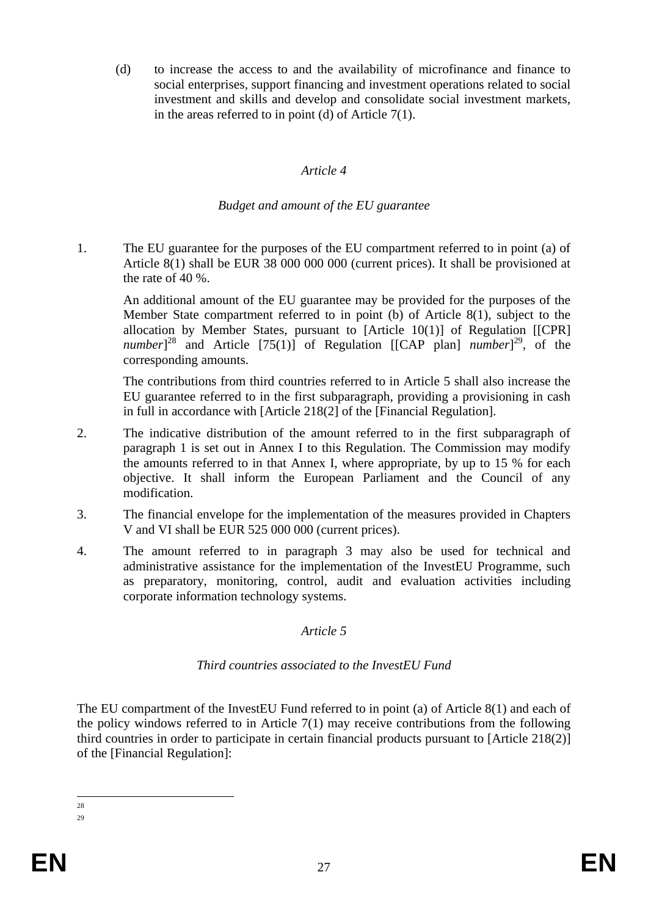(d) to increase the access to and the availability of microfinance and finance to social enterprises, support financing and investment operations related to social investment and skills and develop and consolidate social investment markets, in the areas referred to in point (d) of Article 7(1).

#### *Article 4*

#### *Budget and amount of the EU guarantee*

1. The EU guarantee for the purposes of the EU compartment referred to in point (a) of Article 8(1) shall be EUR 38 000 000 000 (current prices). It shall be provisioned at the rate of 40 %.

An additional amount of the EU guarantee may be provided for the purposes of the Member State compartment referred to in point (b) of Article 8(1), subject to the allocation by Member States, pursuant to  $[Article 10(1)]$  of Regulation  $[[CPR]$ *number*]<sup>28</sup> and Article [75(1)] of Regulation [[CAP plan] *number*]<sup>29</sup>, of the corresponding amounts.

The contributions from third countries referred to in Article 5 shall also increase the EU guarantee referred to in the first subparagraph, providing a provisioning in cash in full in accordance with [Article 218(2] of the [Financial Regulation].

- 2. The indicative distribution of the amount referred to in the first subparagraph of paragraph 1 is set out in Annex I to this Regulation. The Commission may modify the amounts referred to in that Annex I, where appropriate, by up to 15 % for each objective. It shall inform the European Parliament and the Council of any modification.
- 3. The financial envelope for the implementation of the measures provided in Chapters V and VI shall be EUR 525 000 000 (current prices).
- 4. The amount referred to in paragraph 3 may also be used for technical and administrative assistance for the implementation of the InvestEU Programme, such as preparatory, monitoring, control, audit and evaluation activities including corporate information technology systems.

### *Article 5*

### *Third countries associated to the InvestEU Fund*

The EU compartment of the InvestEU Fund referred to in point (a) of Article 8(1) and each of the policy windows referred to in Article 7(1) may receive contributions from the following third countries in order to participate in certain financial products pursuant to [Article 218(2)] of the [Financial Regulation]:

 $\frac{1}{28}$ 29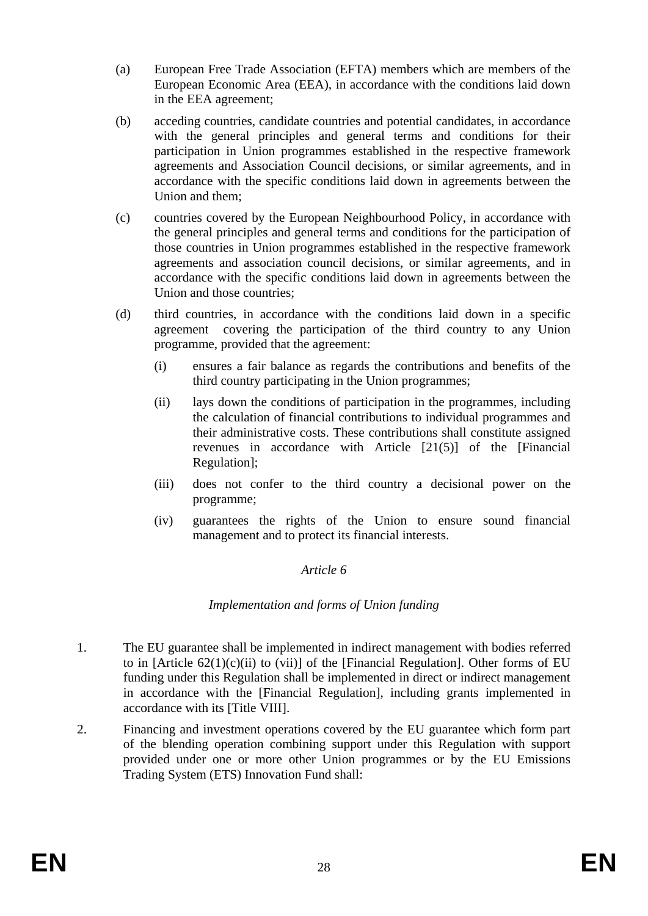- (a) European Free Trade Association (EFTA) members which are members of the European Economic Area (EEA), in accordance with the conditions laid down in the EEA agreement;
- (b) acceding countries, candidate countries and potential candidates, in accordance with the general principles and general terms and conditions for their participation in Union programmes established in the respective framework agreements and Association Council decisions, or similar agreements, and in accordance with the specific conditions laid down in agreements between the Union and them;
- (c) countries covered by the European Neighbourhood Policy, in accordance with the general principles and general terms and conditions for the participation of those countries in Union programmes established in the respective framework agreements and association council decisions, or similar agreements, and in accordance with the specific conditions laid down in agreements between the Union and those countries;
- (d) third countries, in accordance with the conditions laid down in a specific agreement covering the participation of the third country to any Union programme, provided that the agreement:
	- (i) ensures a fair balance as regards the contributions and benefits of the third country participating in the Union programmes;
	- (ii) lays down the conditions of participation in the programmes, including the calculation of financial contributions to individual programmes and their administrative costs. These contributions shall constitute assigned revenues in accordance with Article [21(5)] of the [Financial Regulation];
	- (iii) does not confer to the third country a decisional power on the programme;
	- (iv) guarantees the rights of the Union to ensure sound financial management and to protect its financial interests.

### *Article 6*

### *Implementation and forms of Union funding*

- 1. The EU guarantee shall be implemented in indirect management with bodies referred to in [Article  $62(1)(c)(ii)$  to (vii)] of the [Financial Regulation]. Other forms of EU funding under this Regulation shall be implemented in direct or indirect management in accordance with the [Financial Regulation], including grants implemented in accordance with its [Title VIII].
- 2. Financing and investment operations covered by the EU guarantee which form part of the blending operation combining support under this Regulation with support provided under one or more other Union programmes or by the EU Emissions Trading System (ETS) Innovation Fund shall: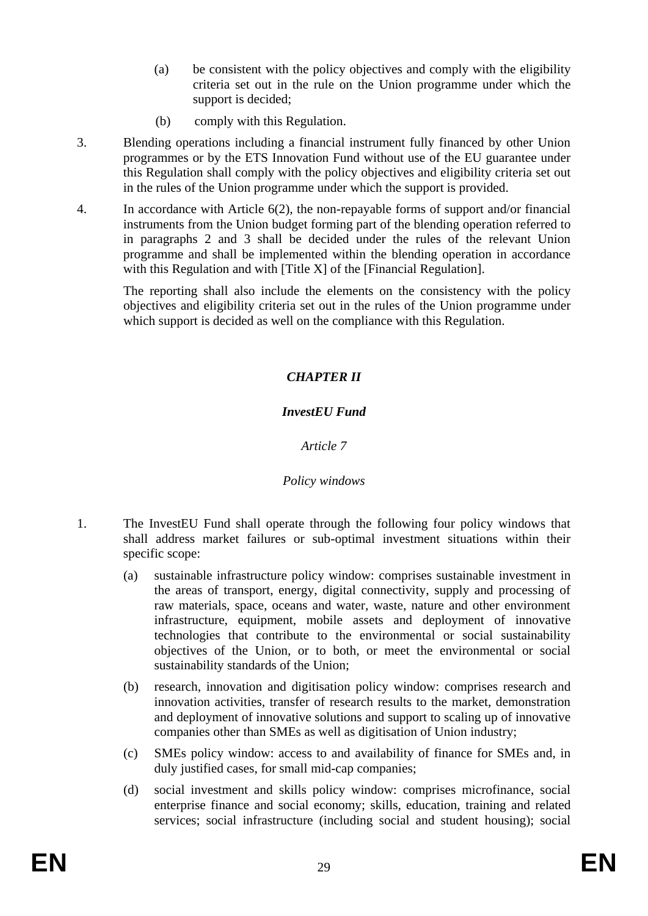- (a) be consistent with the policy objectives and comply with the eligibility criteria set out in the rule on the Union programme under which the support is decided;
- (b) comply with this Regulation.
- 3. Blending operations including a financial instrument fully financed by other Union programmes or by the ETS Innovation Fund without use of the EU guarantee under this Regulation shall comply with the policy objectives and eligibility criteria set out in the rules of the Union programme under which the support is provided.
- 4. In accordance with Article 6(2), the non-repayable forms of support and/or financial instruments from the Union budget forming part of the blending operation referred to in paragraphs 2 and 3 shall be decided under the rules of the relevant Union programme and shall be implemented within the blending operation in accordance with this Regulation and with [Title X] of the [Financial Regulation].

The reporting shall also include the elements on the consistency with the policy objectives and eligibility criteria set out in the rules of the Union programme under which support is decided as well on the compliance with this Regulation.

# *CHAPTER II*

### *InvestEU Fund*

*Article 7*

### *Policy windows*

- 1. The InvestEU Fund shall operate through the following four policy windows that shall address market failures or sub-optimal investment situations within their specific scope:
	- (a) sustainable infrastructure policy window: comprises sustainable investment in the areas of transport, energy, digital connectivity, supply and processing of raw materials, space, oceans and water, waste, nature and other environment infrastructure, equipment, mobile assets and deployment of innovative technologies that contribute to the environmental or social sustainability objectives of the Union, or to both, or meet the environmental or social sustainability standards of the Union;
	- (b) research, innovation and digitisation policy window: comprises research and innovation activities, transfer of research results to the market, demonstration and deployment of innovative solutions and support to scaling up of innovative companies other than SMEs as well as digitisation of Union industry;
	- (c) SMEs policy window: access to and availability of finance for SMEs and, in duly justified cases, for small mid-cap companies;
	- (d) social investment and skills policy window: comprises microfinance, social enterprise finance and social economy; skills, education, training and related services; social infrastructure (including social and student housing); social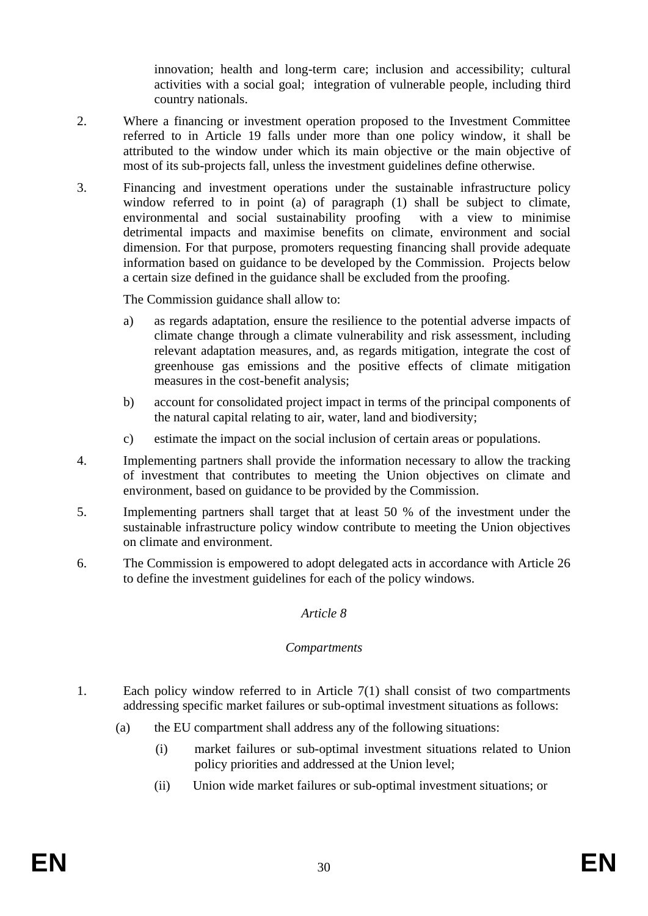innovation; health and long-term care; inclusion and accessibility; cultural activities with a social goal; integration of vulnerable people, including third country nationals.

- 2. Where a financing or investment operation proposed to the Investment Committee referred to in Article 19 falls under more than one policy window, it shall be attributed to the window under which its main objective or the main objective of most of its sub-projects fall, unless the investment guidelines define otherwise.
- 3. Financing and investment operations under the sustainable infrastructure policy window referred to in point (a) of paragraph (1) shall be subject to climate, environmental and social sustainability proofing with a view to minimise detrimental impacts and maximise benefits on climate, environment and social dimension. For that purpose, promoters requesting financing shall provide adequate information based on guidance to be developed by the Commission. Projects below a certain size defined in the guidance shall be excluded from the proofing.

The Commission guidance shall allow to:

- a) as regards adaptation, ensure the resilience to the potential adverse impacts of climate change through a climate vulnerability and risk assessment, including relevant adaptation measures, and, as regards mitigation, integrate the cost of greenhouse gas emissions and the positive effects of climate mitigation measures in the cost-benefit analysis;
- b) account for consolidated project impact in terms of the principal components of the natural capital relating to air, water, land and biodiversity;
- c) estimate the impact on the social inclusion of certain areas or populations.
- 4. Implementing partners shall provide the information necessary to allow the tracking of investment that contributes to meeting the Union objectives on climate and environment, based on guidance to be provided by the Commission.
- 5. Implementing partners shall target that at least 50 % of the investment under the sustainable infrastructure policy window contribute to meeting the Union objectives on climate and environment.
- 6. The Commission is empowered to adopt delegated acts in accordance with Article 26 to define the investment guidelines for each of the policy windows.

### *Article 8*

### *Compartments*

- 1. Each policy window referred to in Article 7(1) shall consist of two compartments addressing specific market failures or sub-optimal investment situations as follows:
	- (a) the EU compartment shall address any of the following situations:
		- (i) market failures or sub-optimal investment situations related to Union policy priorities and addressed at the Union level;
		- (ii) Union wide market failures or sub-optimal investment situations; or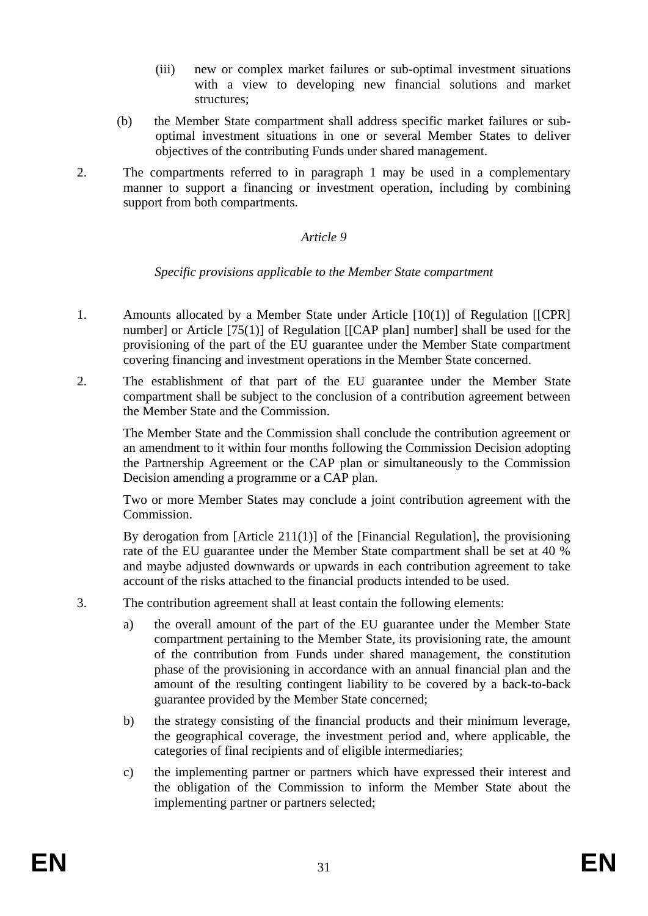- (iii) new or complex market failures or sub-optimal investment situations with a view to developing new financial solutions and market structures;
- (b) the Member State compartment shall address specific market failures or suboptimal investment situations in one or several Member States to deliver objectives of the contributing Funds under shared management.
- 2. The compartments referred to in paragraph 1 may be used in a complementary manner to support a financing or investment operation, including by combining support from both compartments.

### *Article 9*

#### *Specific provisions applicable to the Member State compartment*

- 1. Amounts allocated by a Member State under Article [10(1)] of Regulation [[CPR] number] or Article [75(1)] of Regulation [[CAP plan] number] shall be used for the provisioning of the part of the EU guarantee under the Member State compartment covering financing and investment operations in the Member State concerned.
- 2. The establishment of that part of the EU guarantee under the Member State compartment shall be subject to the conclusion of a contribution agreement between the Member State and the Commission.

The Member State and the Commission shall conclude the contribution agreement or an amendment to it within four months following the Commission Decision adopting the Partnership Agreement or the CAP plan or simultaneously to the Commission Decision amending a programme or a CAP plan.

Two or more Member States may conclude a joint contribution agreement with the Commission.

By derogation from  $[Article 211(1)]$  of the  $[Financial Regulation]$ , the provisioning rate of the EU guarantee under the Member State compartment shall be set at 40 % and maybe adjusted downwards or upwards in each contribution agreement to take account of the risks attached to the financial products intended to be used.

- 3. The contribution agreement shall at least contain the following elements:
	- a) the overall amount of the part of the EU guarantee under the Member State compartment pertaining to the Member State, its provisioning rate, the amount of the contribution from Funds under shared management, the constitution phase of the provisioning in accordance with an annual financial plan and the amount of the resulting contingent liability to be covered by a back-to-back guarantee provided by the Member State concerned;
	- b) the strategy consisting of the financial products and their minimum leverage, the geographical coverage, the investment period and, where applicable, the categories of final recipients and of eligible intermediaries;
	- c) the implementing partner or partners which have expressed their interest and the obligation of the Commission to inform the Member State about the implementing partner or partners selected;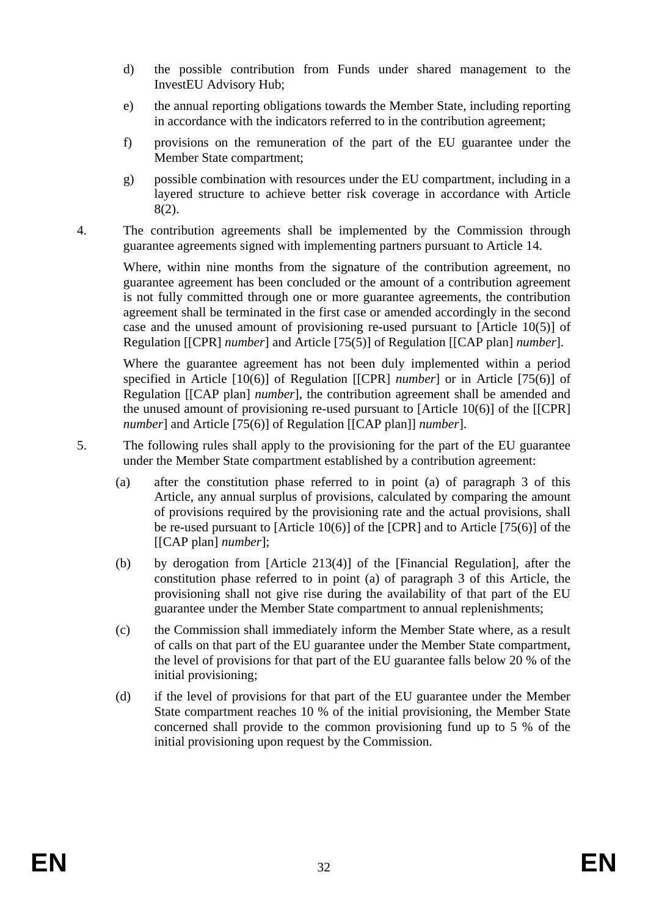- d) the possible contribution from Funds under shared management to the InvestEU Advisory Hub;
- e) the annual reporting obligations towards the Member State, including reporting in accordance with the indicators referred to in the contribution agreement;
- f) provisions on the remuneration of the part of the EU guarantee under the Member State compartment;
- g) possible combination with resources under the EU compartment, including in a layered structure to achieve better risk coverage in accordance with Article 8(2).
- 4. The contribution agreements shall be implemented by the Commission through guarantee agreements signed with implementing partners pursuant to Article 14.

Where, within nine months from the signature of the contribution agreement, no guarantee agreement has been concluded or the amount of a contribution agreement is not fully committed through one or more guarantee agreements, the contribution agreement shall be terminated in the first case or amended accordingly in the second case and the unused amount of provisioning re-used pursuant to [Article 10(5)] of Regulation [[CPR] *number*] and Article [75(5)] of Regulation [[CAP plan] *number*].

Where the guarantee agreement has not been duly implemented within a period specified in Article [10(6)] of Regulation [[CPR] *number*] or in Article [75(6)] of Regulation [[CAP plan] *number*], the contribution agreement shall be amended and the unused amount of provisioning re-used pursuant to [Article 10(6)] of the [[CPR] *number*] and Article [75(6)] of Regulation [[CAP plan]] *number*].

- 5. The following rules shall apply to the provisioning for the part of the EU guarantee under the Member State compartment established by a contribution agreement:
	- (a) after the constitution phase referred to in point (a) of paragraph 3 of this Article, any annual surplus of provisions, calculated by comparing the amount of provisions required by the provisioning rate and the actual provisions, shall be re-used pursuant to [Article 10(6)] of the [CPR] and to Article [75(6)] of the [[CAP plan] *number*];
	- (b) by derogation from [Article 213(4)] of the [Financial Regulation], after the constitution phase referred to in point (a) of paragraph 3 of this Article, the provisioning shall not give rise during the availability of that part of the EU guarantee under the Member State compartment to annual replenishments;
	- (c) the Commission shall immediately inform the Member State where, as a result of calls on that part of the EU guarantee under the Member State compartment, the level of provisions for that part of the EU guarantee falls below 20 % of the initial provisioning;
	- (d) if the level of provisions for that part of the EU guarantee under the Member State compartment reaches 10 % of the initial provisioning, the Member State concerned shall provide to the common provisioning fund up to 5 % of the initial provisioning upon request by the Commission.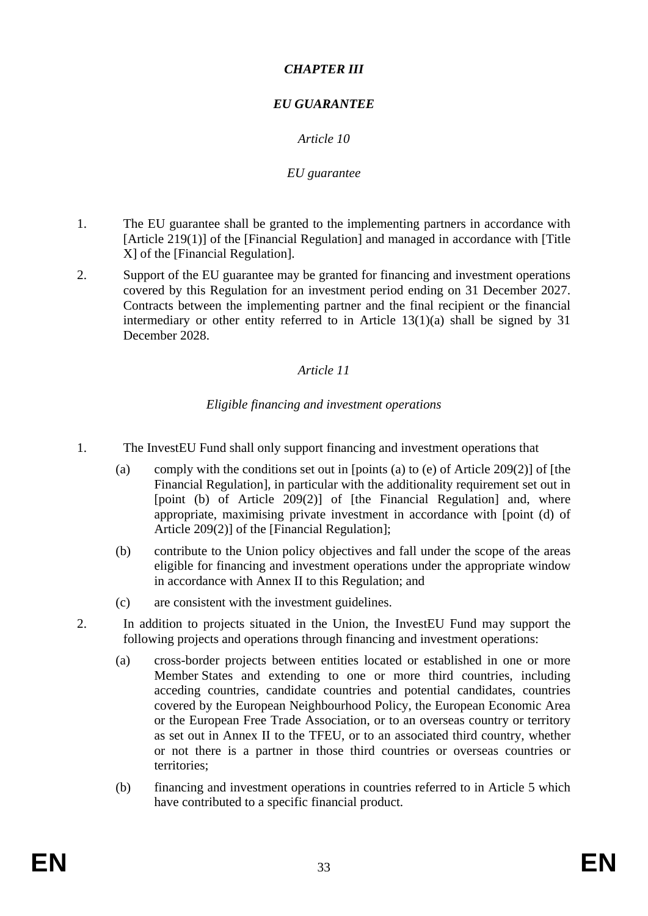### *CHAPTER III*

# *EU GUARANTEE*

# *Article 10*

### *EU guarantee*

- 1. The EU guarantee shall be granted to the implementing partners in accordance with [Article 219(1)] of the [Financial Regulation] and managed in accordance with [Title X] of the [Financial Regulation].
- 2. Support of the EU guarantee may be granted for financing and investment operations covered by this Regulation for an investment period ending on 31 December 2027. Contracts between the implementing partner and the final recipient or the financial intermediary or other entity referred to in Article 13(1)(a) shall be signed by 31 December 2028.

### *Article 11*

### *Eligible financing and investment operations*

- 1. The InvestEU Fund shall only support financing and investment operations that
	- (a) comply with the conditions set out in [points (a) to (e) of Article 209(2)] of [the Financial Regulation], in particular with the additionality requirement set out in [point (b) of Article 209(2)] of [the Financial Regulation] and, where appropriate, maximising private investment in accordance with [point (d) of Article 209(2)] of the [Financial Regulation];
	- (b) contribute to the Union policy objectives and fall under the scope of the areas eligible for financing and investment operations under the appropriate window in accordance with Annex II to this Regulation; and
	- (c) are consistent with the investment guidelines.
- 2. In addition to projects situated in the Union, the InvestEU Fund may support the following projects and operations through financing and investment operations:
	- (a) cross-border projects between entities located or established in one or more Member States and extending to one or more third countries, including acceding countries, candidate countries and potential candidates, countries covered by the European Neighbourhood Policy, the European Economic Area or the European Free Trade Association, or to an overseas country or territory as set out in Annex II to the TFEU, or to an associated third country, whether or not there is a partner in those third countries or overseas countries or territories;
	- (b) financing and investment operations in countries referred to in Article 5 which have contributed to a specific financial product.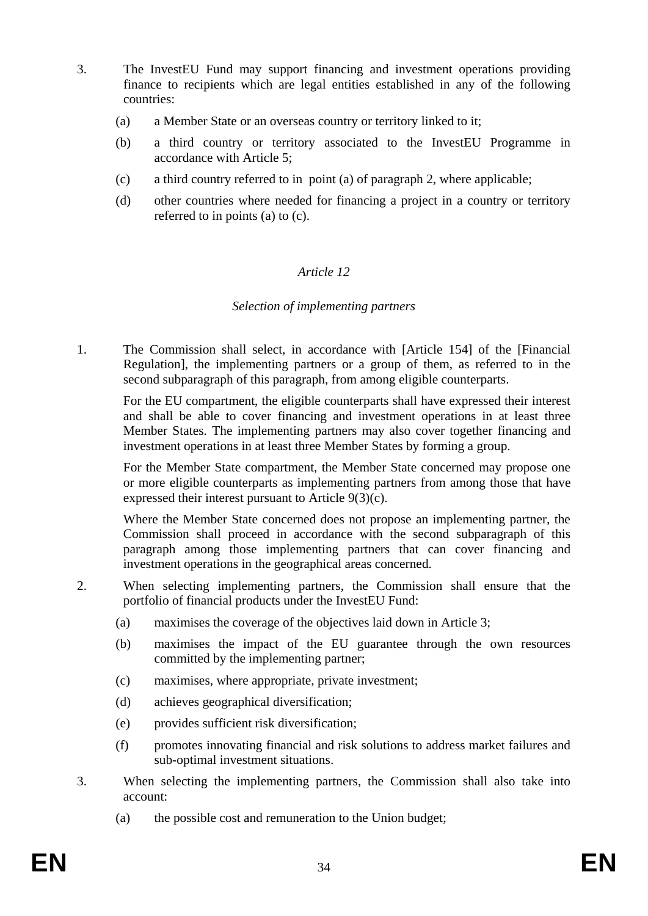- 3. The InvestEU Fund may support financing and investment operations providing finance to recipients which are legal entities established in any of the following countries:
	- (a) a Member State or an overseas country or territory linked to it;
	- (b) a third country or territory associated to the InvestEU Programme in accordance with Article 5;
	- (c) a third country referred to in point (a) of paragraph 2, where applicable;
	- (d) other countries where needed for financing a project in a country or territory referred to in points (a) to (c).

### *Article 12*

#### *Selection of implementing partners*

1. The Commission shall select, in accordance with [Article 154] of the [Financial Regulation], the implementing partners or a group of them, as referred to in the second subparagraph of this paragraph, from among eligible counterparts.

For the EU compartment, the eligible counterparts shall have expressed their interest and shall be able to cover financing and investment operations in at least three Member States. The implementing partners may also cover together financing and investment operations in at least three Member States by forming a group.

For the Member State compartment, the Member State concerned may propose one or more eligible counterparts as implementing partners from among those that have expressed their interest pursuant to Article 9(3)(c).

Where the Member State concerned does not propose an implementing partner, the Commission shall proceed in accordance with the second subparagraph of this paragraph among those implementing partners that can cover financing and investment operations in the geographical areas concerned.

- 2. When selecting implementing partners, the Commission shall ensure that the portfolio of financial products under the InvestEU Fund:
	- (a) maximises the coverage of the objectives laid down in Article 3;
	- (b) maximises the impact of the EU guarantee through the own resources committed by the implementing partner;
	- (c) maximises, where appropriate, private investment;
	- (d) achieves geographical diversification;
	- (e) provides sufficient risk diversification;
	- (f) promotes innovating financial and risk solutions to address market failures and sub-optimal investment situations.
- 3. When selecting the implementing partners, the Commission shall also take into account:
	- (a) the possible cost and remuneration to the Union budget;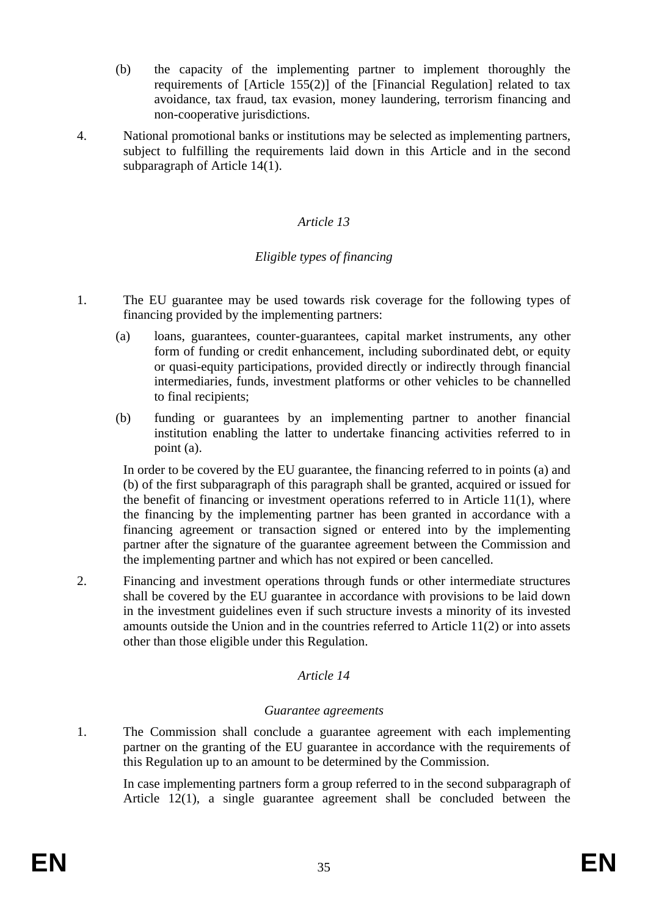- (b) the capacity of the implementing partner to implement thoroughly the requirements of [Article 155(2)] of the [Financial Regulation] related to tax avoidance, tax fraud, tax evasion, money laundering, terrorism financing and non-cooperative jurisdictions.
- 4. National promotional banks or institutions may be selected as implementing partners, subject to fulfilling the requirements laid down in this Article and in the second subparagraph of Article 14(1).

#### *Article 13*

#### *Eligible types of financing*

- 1. The EU guarantee may be used towards risk coverage for the following types of financing provided by the implementing partners:
	- (a) loans, guarantees, counter-guarantees, capital market instruments, any other form of funding or credit enhancement, including subordinated debt, or equity or quasi-equity participations, provided directly or indirectly through financial intermediaries, funds, investment platforms or other vehicles to be channelled to final recipients;
	- (b) funding or guarantees by an implementing partner to another financial institution enabling the latter to undertake financing activities referred to in point (a).

In order to be covered by the EU guarantee, the financing referred to in points (a) and (b) of the first subparagraph of this paragraph shall be granted, acquired or issued for the benefit of financing or investment operations referred to in Article 11(1), where the financing by the implementing partner has been granted in accordance with a financing agreement or transaction signed or entered into by the implementing partner after the signature of the guarantee agreement between the Commission and the implementing partner and which has not expired or been cancelled.

2. Financing and investment operations through funds or other intermediate structures shall be covered by the EU guarantee in accordance with provisions to be laid down in the investment guidelines even if such structure invests a minority of its invested amounts outside the Union and in the countries referred to Article 11(2) or into assets other than those eligible under this Regulation.

#### *Article 14*

#### *Guarantee agreements*

1. The Commission shall conclude a guarantee agreement with each implementing partner on the granting of the EU guarantee in accordance with the requirements of this Regulation up to an amount to be determined by the Commission.

In case implementing partners form a group referred to in the second subparagraph of Article 12(1), a single guarantee agreement shall be concluded between the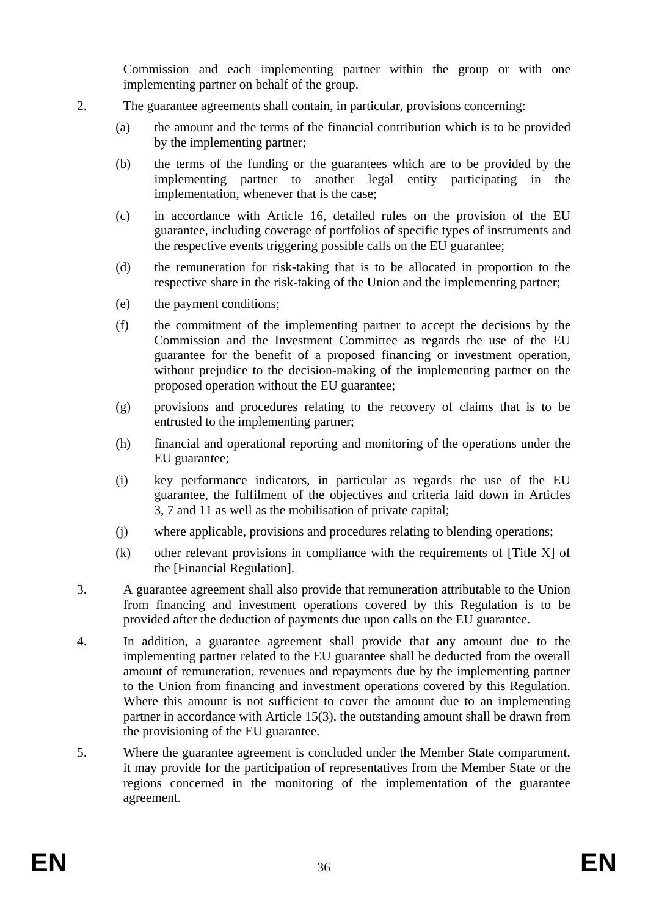Commission and each implementing partner within the group or with one implementing partner on behalf of the group.

- 2. The guarantee agreements shall contain, in particular, provisions concerning:
	- (a) the amount and the terms of the financial contribution which is to be provided by the implementing partner;
	- (b) the terms of the funding or the guarantees which are to be provided by the implementing partner to another legal entity participating in the implementation, whenever that is the case;
	- (c) in accordance with Article 16, detailed rules on the provision of the EU guarantee, including coverage of portfolios of specific types of instruments and the respective events triggering possible calls on the EU guarantee;
	- (d) the remuneration for risk-taking that is to be allocated in proportion to the respective share in the risk-taking of the Union and the implementing partner;
	- (e) the payment conditions;
	- (f) the commitment of the implementing partner to accept the decisions by the Commission and the Investment Committee as regards the use of the EU guarantee for the benefit of a proposed financing or investment operation, without prejudice to the decision-making of the implementing partner on the proposed operation without the EU guarantee;
	- (g) provisions and procedures relating to the recovery of claims that is to be entrusted to the implementing partner;
	- (h) financial and operational reporting and monitoring of the operations under the EU guarantee;
	- (i) key performance indicators, in particular as regards the use of the EU guarantee, the fulfilment of the objectives and criteria laid down in Articles 3, 7 and 11 as well as the mobilisation of private capital;
	- (j) where applicable, provisions and procedures relating to blending operations;
	- (k) other relevant provisions in compliance with the requirements of [Title X] of the [Financial Regulation].
- 3. A guarantee agreement shall also provide that remuneration attributable to the Union from financing and investment operations covered by this Regulation is to be provided after the deduction of payments due upon calls on the EU guarantee.
- 4. In addition, a guarantee agreement shall provide that any amount due to the implementing partner related to the EU guarantee shall be deducted from the overall amount of remuneration, revenues and repayments due by the implementing partner to the Union from financing and investment operations covered by this Regulation. Where this amount is not sufficient to cover the amount due to an implementing partner in accordance with Article 15(3), the outstanding amount shall be drawn from the provisioning of the EU guarantee.
- 5. Where the guarantee agreement is concluded under the Member State compartment, it may provide for the participation of representatives from the Member State or the regions concerned in the monitoring of the implementation of the guarantee agreement.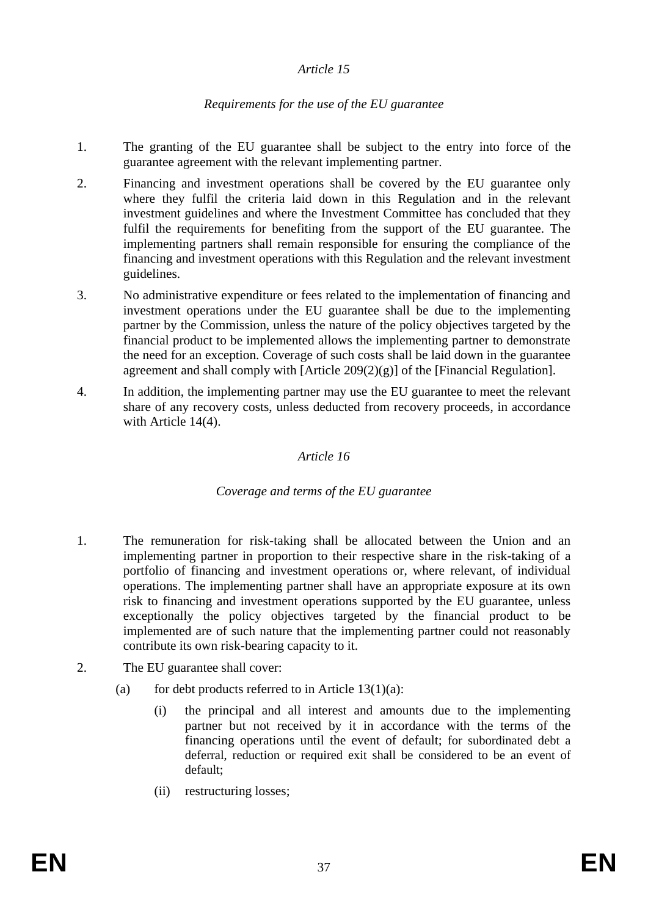### *Article 15*

### *Requirements for the use of the EU guarantee*

- 1. The granting of the EU guarantee shall be subject to the entry into force of the guarantee agreement with the relevant implementing partner.
- 2. Financing and investment operations shall be covered by the EU guarantee only where they fulfil the criteria laid down in this Regulation and in the relevant investment guidelines and where the Investment Committee has concluded that they fulfil the requirements for benefiting from the support of the EU guarantee. The implementing partners shall remain responsible for ensuring the compliance of the financing and investment operations with this Regulation and the relevant investment guidelines.
- 3. No administrative expenditure or fees related to the implementation of financing and investment operations under the EU guarantee shall be due to the implementing partner by the Commission, unless the nature of the policy objectives targeted by the financial product to be implemented allows the implementing partner to demonstrate the need for an exception. Coverage of such costs shall be laid down in the guarantee agreement and shall comply with [Article 209(2)(g)] of the [Financial Regulation].
- 4. In addition, the implementing partner may use the EU guarantee to meet the relevant share of any recovery costs, unless deducted from recovery proceeds, in accordance with Article 14(4).

#### *Article 16*

### *Coverage and terms of the EU guarantee*

- 1. The remuneration for risk-taking shall be allocated between the Union and an implementing partner in proportion to their respective share in the risk-taking of a portfolio of financing and investment operations or, where relevant, of individual operations. The implementing partner shall have an appropriate exposure at its own risk to financing and investment operations supported by the EU guarantee, unless exceptionally the policy objectives targeted by the financial product to be implemented are of such nature that the implementing partner could not reasonably contribute its own risk-bearing capacity to it.
- 2. The EU guarantee shall cover:
	- (a) for debt products referred to in Article  $13(1)(a)$ :
		- (i) the principal and all interest and amounts due to the implementing partner but not received by it in accordance with the terms of the financing operations until the event of default; for subordinated debt a deferral, reduction or required exit shall be considered to be an event of default;
		- (ii) restructuring losses;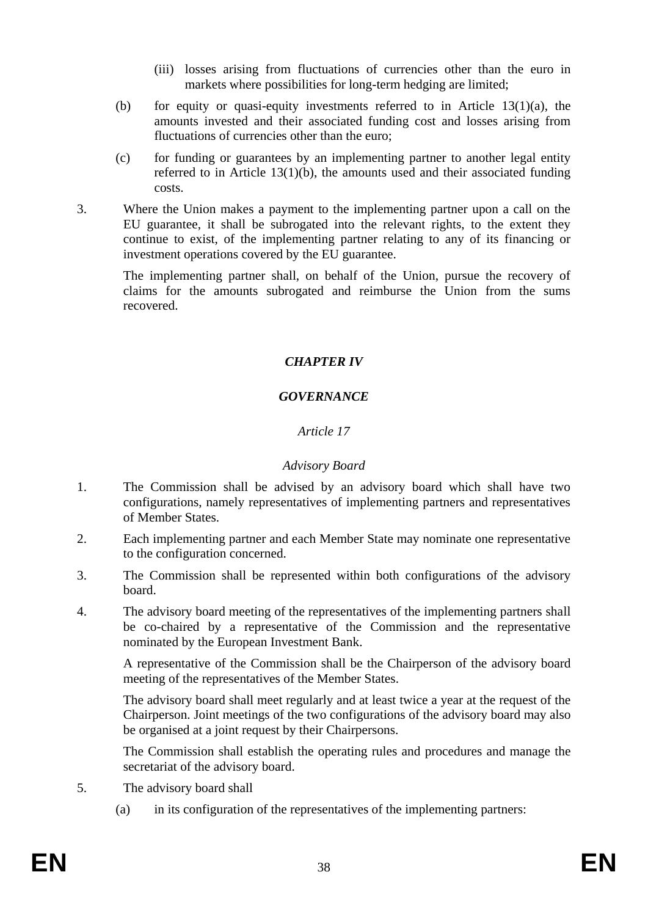- (iii) losses arising from fluctuations of currencies other than the euro in markets where possibilities for long-term hedging are limited;
- (b) for equity or quasi-equity investments referred to in Article  $13(1)(a)$ , the amounts invested and their associated funding cost and losses arising from fluctuations of currencies other than the euro;
- (c) for funding or guarantees by an implementing partner to another legal entity referred to in Article 13(1)(b), the amounts used and their associated funding costs.
- 3. Where the Union makes a payment to the implementing partner upon a call on the EU guarantee, it shall be subrogated into the relevant rights, to the extent they continue to exist, of the implementing partner relating to any of its financing or investment operations covered by the EU guarantee.

The implementing partner shall, on behalf of the Union, pursue the recovery of claims for the amounts subrogated and reimburse the Union from the sums recovered.

# *CHAPTER IV*

### *GOVERNANCE*

### *Article 17*

#### *Advisory Board*

- 1. The Commission shall be advised by an advisory board which shall have two configurations, namely representatives of implementing partners and representatives of Member States.
- 2. Each implementing partner and each Member State may nominate one representative to the configuration concerned.
- 3. The Commission shall be represented within both configurations of the advisory board.
- 4. The advisory board meeting of the representatives of the implementing partners shall be co-chaired by a representative of the Commission and the representative nominated by the European Investment Bank.

A representative of the Commission shall be the Chairperson of the advisory board meeting of the representatives of the Member States.

The advisory board shall meet regularly and at least twice a year at the request of the Chairperson. Joint meetings of the two configurations of the advisory board may also be organised at a joint request by their Chairpersons.

The Commission shall establish the operating rules and procedures and manage the secretariat of the advisory board.

- 5. The advisory board shall
	- (a) in its configuration of the representatives of the implementing partners: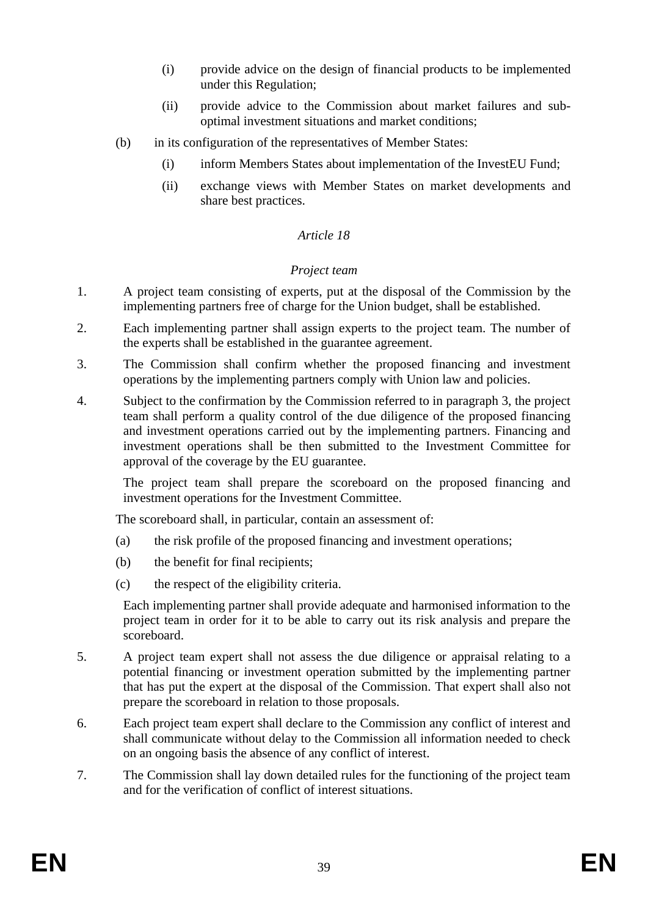- (i) provide advice on the design of financial products to be implemented under this Regulation;
- (ii) provide advice to the Commission about market failures and suboptimal investment situations and market conditions;
- (b) in its configuration of the representatives of Member States:
	- (i) inform Members States about implementation of the InvestEU Fund;
	- (ii) exchange views with Member States on market developments and share best practices.

### *Article 18*

#### *Project team*

- 1. A project team consisting of experts, put at the disposal of the Commission by the implementing partners free of charge for the Union budget, shall be established.
- 2. Each implementing partner shall assign experts to the project team. The number of the experts shall be established in the guarantee agreement.
- 3. The Commission shall confirm whether the proposed financing and investment operations by the implementing partners comply with Union law and policies.
- 4. Subject to the confirmation by the Commission referred to in paragraph 3, the project team shall perform a quality control of the due diligence of the proposed financing and investment operations carried out by the implementing partners. Financing and investment operations shall be then submitted to the Investment Committee for approval of the coverage by the EU guarantee.

The project team shall prepare the scoreboard on the proposed financing and investment operations for the Investment Committee.

The scoreboard shall, in particular, contain an assessment of:

- (a) the risk profile of the proposed financing and investment operations;
- (b) the benefit for final recipients;
- (c) the respect of the eligibility criteria.

Each implementing partner shall provide adequate and harmonised information to the project team in order for it to be able to carry out its risk analysis and prepare the scoreboard.

- 5. A project team expert shall not assess the due diligence or appraisal relating to a potential financing or investment operation submitted by the implementing partner that has put the expert at the disposal of the Commission. That expert shall also not prepare the scoreboard in relation to those proposals.
- 6. Each project team expert shall declare to the Commission any conflict of interest and shall communicate without delay to the Commission all information needed to check on an ongoing basis the absence of any conflict of interest.
- 7. The Commission shall lay down detailed rules for the functioning of the project team and for the verification of conflict of interest situations.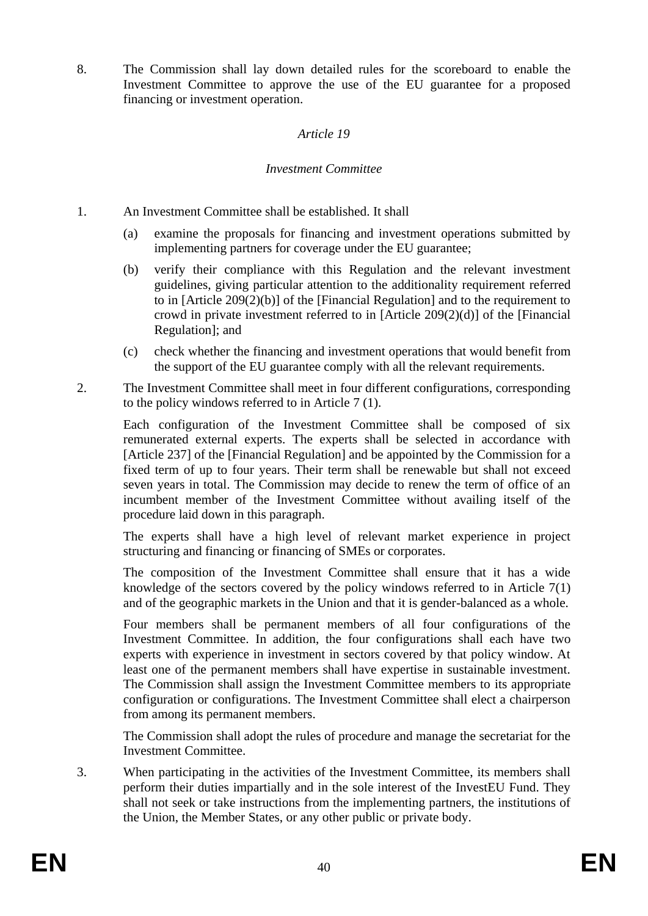8. The Commission shall lay down detailed rules for the scoreboard to enable the Investment Committee to approve the use of the EU guarantee for a proposed financing or investment operation.

#### *Article 19*

#### *Investment Committee*

- 1. An Investment Committee shall be established. It shall
	- (a) examine the proposals for financing and investment operations submitted by implementing partners for coverage under the EU guarantee;
	- (b) verify their compliance with this Regulation and the relevant investment guidelines, giving particular attention to the additionality requirement referred to in [Article 209(2)(b)] of the [Financial Regulation] and to the requirement to crowd in private investment referred to in [Article 209(2)(d)] of the [Financial Regulation]; and
	- (c) check whether the financing and investment operations that would benefit from the support of the EU guarantee comply with all the relevant requirements.
- 2. The Investment Committee shall meet in four different configurations, corresponding to the policy windows referred to in Article 7 (1).

Each configuration of the Investment Committee shall be composed of six remunerated external experts. The experts shall be selected in accordance with [Article 237] of the [Financial Regulation] and be appointed by the Commission for a fixed term of up to four years. Their term shall be renewable but shall not exceed seven years in total. The Commission may decide to renew the term of office of an incumbent member of the Investment Committee without availing itself of the procedure laid down in this paragraph.

The experts shall have a high level of relevant market experience in project structuring and financing or financing of SMEs or corporates.

The composition of the Investment Committee shall ensure that it has a wide knowledge of the sectors covered by the policy windows referred to in Article 7(1) and of the geographic markets in the Union and that it is gender-balanced as a whole.

Four members shall be permanent members of all four configurations of the Investment Committee. In addition, the four configurations shall each have two experts with experience in investment in sectors covered by that policy window. At least one of the permanent members shall have expertise in sustainable investment. The Commission shall assign the Investment Committee members to its appropriate configuration or configurations. The Investment Committee shall elect a chairperson from among its permanent members.

The Commission shall adopt the rules of procedure and manage the secretariat for the Investment Committee.

3. When participating in the activities of the Investment Committee, its members shall perform their duties impartially and in the sole interest of the InvestEU Fund. They shall not seek or take instructions from the implementing partners, the institutions of the Union, the Member States, or any other public or private body.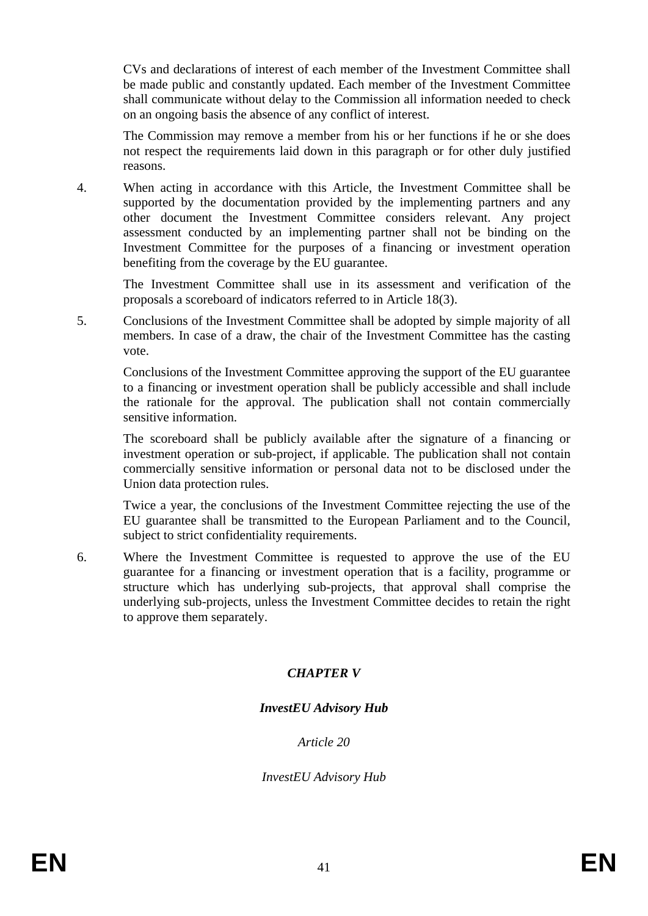CVs and declarations of interest of each member of the Investment Committee shall be made public and constantly updated. Each member of the Investment Committee shall communicate without delay to the Commission all information needed to check on an ongoing basis the absence of any conflict of interest.

The Commission may remove a member from his or her functions if he or she does not respect the requirements laid down in this paragraph or for other duly justified reasons.

4. When acting in accordance with this Article, the Investment Committee shall be supported by the documentation provided by the implementing partners and any other document the Investment Committee considers relevant. Any project assessment conducted by an implementing partner shall not be binding on the Investment Committee for the purposes of a financing or investment operation benefiting from the coverage by the EU guarantee.

The Investment Committee shall use in its assessment and verification of the proposals a scoreboard of indicators referred to in Article 18(3).

5. Conclusions of the Investment Committee shall be adopted by simple majority of all members. In case of a draw, the chair of the Investment Committee has the casting vote.

Conclusions of the Investment Committee approving the support of the EU guarantee to a financing or investment operation shall be publicly accessible and shall include the rationale for the approval. The publication shall not contain commercially sensitive information.

The scoreboard shall be publicly available after the signature of a financing or investment operation or sub-project, if applicable. The publication shall not contain commercially sensitive information or personal data not to be disclosed under the Union data protection rules.

Twice a year, the conclusions of the Investment Committee rejecting the use of the EU guarantee shall be transmitted to the European Parliament and to the Council, subject to strict confidentiality requirements.

6. Where the Investment Committee is requested to approve the use of the EU guarantee for a financing or investment operation that is a facility, programme or structure which has underlying sub-projects, that approval shall comprise the underlying sub-projects, unless the Investment Committee decides to retain the right to approve them separately.

# *CHAPTER V*

### *InvestEU Advisory Hub*

*Article 20*

*InvestEU Advisory Hub*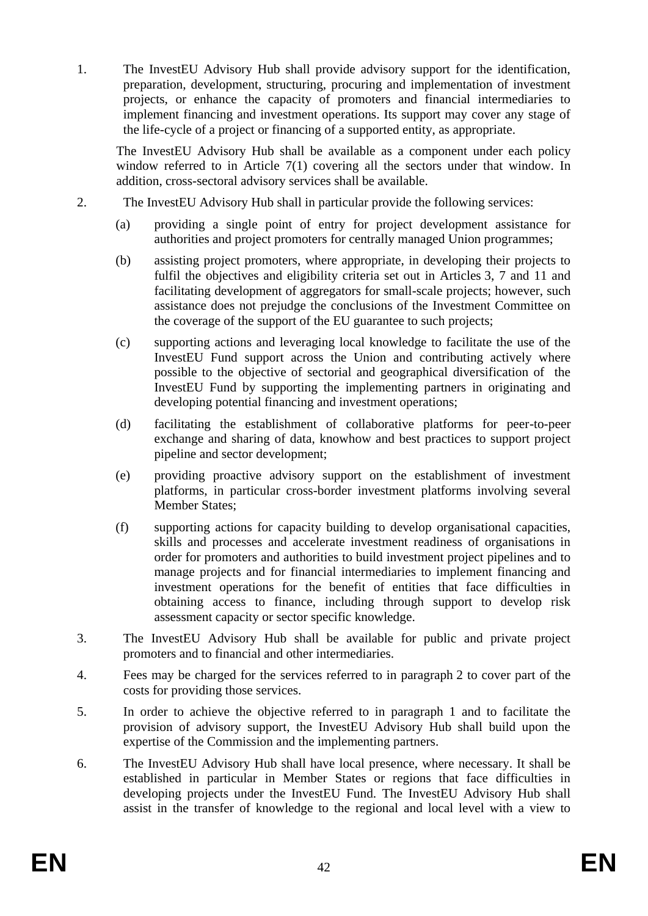1. The InvestEU Advisory Hub shall provide advisory support for the identification, preparation, development, structuring, procuring and implementation of investment projects, or enhance the capacity of promoters and financial intermediaries to implement financing and investment operations. Its support may cover any stage of the life-cycle of a project or financing of a supported entity, as appropriate.

The InvestEU Advisory Hub shall be available as a component under each policy window referred to in Article 7(1) covering all the sectors under that window. In addition, cross-sectoral advisory services shall be available.

- 2. The InvestEU Advisory Hub shall in particular provide the following services:
	- (a) providing a single point of entry for project development assistance for authorities and project promoters for centrally managed Union programmes;
	- (b) assisting project promoters, where appropriate, in developing their projects to fulfil the objectives and eligibility criteria set out in Articles 3, 7 and 11 and facilitating development of aggregators for small-scale projects; however, such assistance does not prejudge the conclusions of the Investment Committee on the coverage of the support of the EU guarantee to such projects;
	- (c) supporting actions and leveraging local knowledge to facilitate the use of the InvestEU Fund support across the Union and contributing actively where possible to the objective of sectorial and geographical diversification of the InvestEU Fund by supporting the implementing partners in originating and developing potential financing and investment operations;
	- (d) facilitating the establishment of collaborative platforms for peer-to-peer exchange and sharing of data, knowhow and best practices to support project pipeline and sector development;
	- (e) providing proactive advisory support on the establishment of investment platforms, in particular cross-border investment platforms involving several Member States;
	- (f) supporting actions for capacity building to develop organisational capacities, skills and processes and accelerate investment readiness of organisations in order for promoters and authorities to build investment project pipelines and to manage projects and for financial intermediaries to implement financing and investment operations for the benefit of entities that face difficulties in obtaining access to finance, including through support to develop risk assessment capacity or sector specific knowledge.
- 3. The InvestEU Advisory Hub shall be available for public and private project promoters and to financial and other intermediaries.
- 4. Fees may be charged for the services referred to in paragraph 2 to cover part of the costs for providing those services.
- 5. In order to achieve the objective referred to in paragraph 1 and to facilitate the provision of advisory support, the InvestEU Advisory Hub shall build upon the expertise of the Commission and the implementing partners.
- 6. The InvestEU Advisory Hub shall have local presence, where necessary. It shall be established in particular in Member States or regions that face difficulties in developing projects under the InvestEU Fund. The InvestEU Advisory Hub shall assist in the transfer of knowledge to the regional and local level with a view to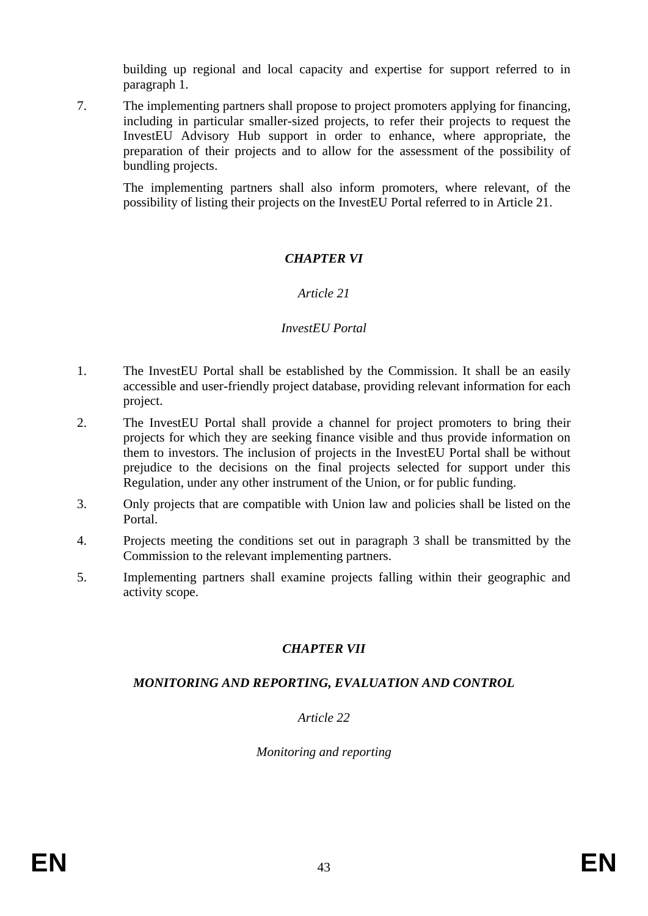building up regional and local capacity and expertise for support referred to in paragraph 1.

7. The implementing partners shall propose to project promoters applying for financing, including in particular smaller-sized projects, to refer their projects to request the InvestEU Advisory Hub support in order to enhance, where appropriate, the preparation of their projects and to allow for the assessment of the possibility of bundling projects.

The implementing partners shall also inform promoters, where relevant, of the possibility of listing their projects on the InvestEU Portal referred to in Article 21.

### *CHAPTER VI*

### *Article 21*

#### *InvestEU Portal*

- 1. The InvestEU Portal shall be established by the Commission. It shall be an easily accessible and user-friendly project database, providing relevant information for each project.
- 2. The InvestEU Portal shall provide a channel for project promoters to bring their projects for which they are seeking finance visible and thus provide information on them to investors. The inclusion of projects in the InvestEU Portal shall be without prejudice to the decisions on the final projects selected for support under this Regulation, under any other instrument of the Union, or for public funding.
- 3. Only projects that are compatible with Union law and policies shall be listed on the Portal.
- 4. Projects meeting the conditions set out in paragraph 3 shall be transmitted by the Commission to the relevant implementing partners.
- 5. Implementing partners shall examine projects falling within their geographic and activity scope.

### *CHAPTER VII*

### *MONITORING AND REPORTING, EVALUATION AND CONTROL*

*Article 22*

*Monitoring and reporting*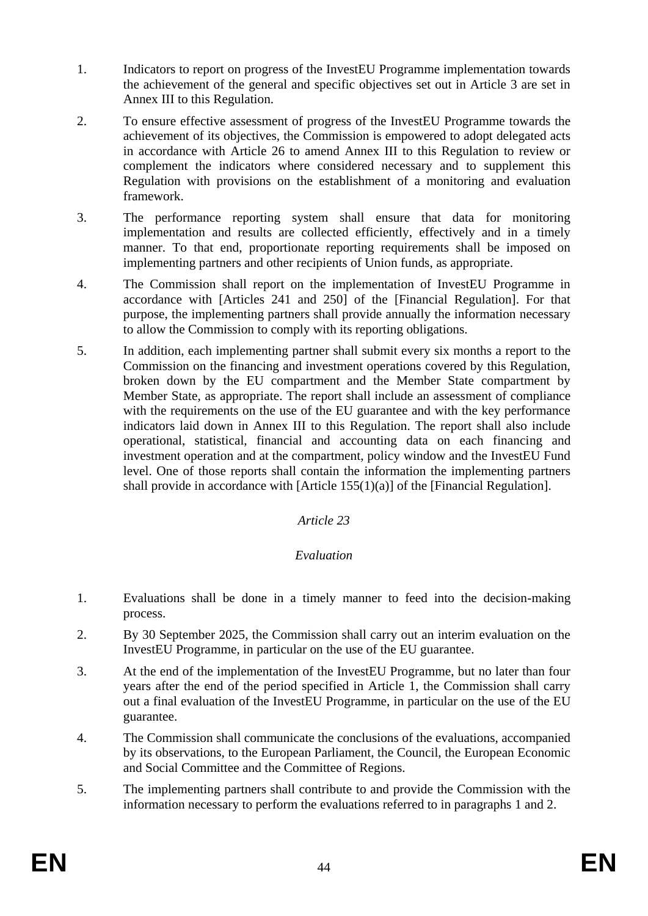- 1. Indicators to report on progress of the InvestEU Programme implementation towards the achievement of the general and specific objectives set out in Article 3 are set in Annex III to this Regulation.
- 2. To ensure effective assessment of progress of the InvestEU Programme towards the achievement of its objectives, the Commission is empowered to adopt delegated acts in accordance with Article 26 to amend Annex III to this Regulation to review or complement the indicators where considered necessary and to supplement this Regulation with provisions on the establishment of a monitoring and evaluation framework.
- 3. The performance reporting system shall ensure that data for monitoring implementation and results are collected efficiently, effectively and in a timely manner. To that end, proportionate reporting requirements shall be imposed on implementing partners and other recipients of Union funds, as appropriate.
- 4. The Commission shall report on the implementation of InvestEU Programme in accordance with [Articles 241 and 250] of the [Financial Regulation]. For that purpose, the implementing partners shall provide annually the information necessary to allow the Commission to comply with its reporting obligations.
- 5. In addition, each implementing partner shall submit every six months a report to the Commission on the financing and investment operations covered by this Regulation, broken down by the EU compartment and the Member State compartment by Member State, as appropriate. The report shall include an assessment of compliance with the requirements on the use of the EU guarantee and with the key performance indicators laid down in Annex III to this Regulation. The report shall also include operational, statistical, financial and accounting data on each financing and investment operation and at the compartment, policy window and the InvestEU Fund level. One of those reports shall contain the information the implementing partners shall provide in accordance with [Article 155(1)(a)] of the [Financial Regulation].

### *Article 23*

### *Evaluation*

- 1. Evaluations shall be done in a timely manner to feed into the decision-making process.
- 2. By 30 September 2025, the Commission shall carry out an interim evaluation on the InvestEU Programme, in particular on the use of the EU guarantee.
- 3. At the end of the implementation of the InvestEU Programme, but no later than four years after the end of the period specified in Article 1, the Commission shall carry out a final evaluation of the InvestEU Programme, in particular on the use of the EU guarantee.
- 4. The Commission shall communicate the conclusions of the evaluations, accompanied by its observations, to the European Parliament, the Council, the European Economic and Social Committee and the Committee of Regions.
- 5. The implementing partners shall contribute to and provide the Commission with the information necessary to perform the evaluations referred to in paragraphs 1 and 2.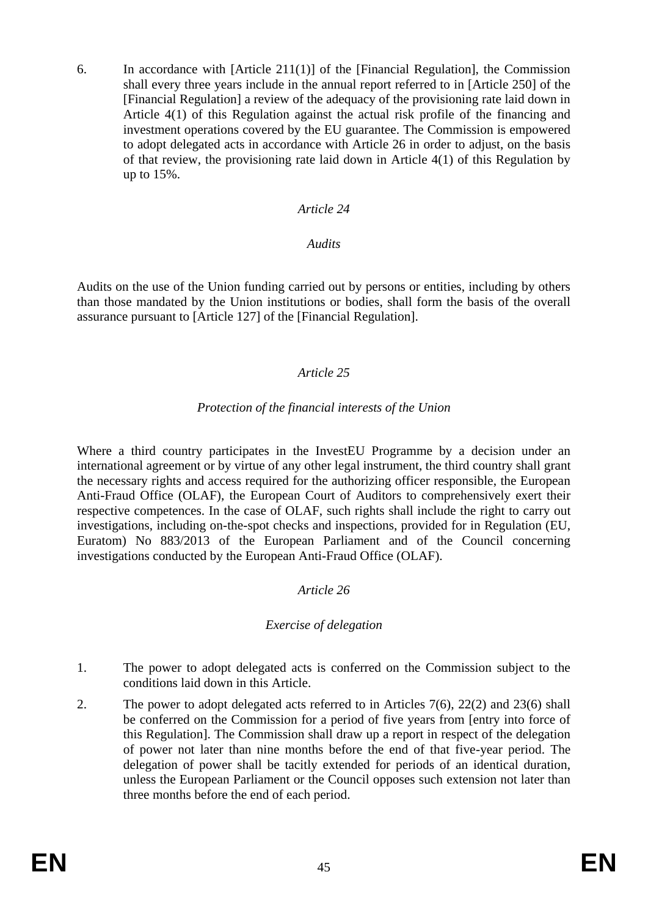6. In accordance with [Article 211(1)] of the [Financial Regulation], the Commission shall every three years include in the annual report referred to in [Article 250] of the [Financial Regulation] a review of the adequacy of the provisioning rate laid down in Article 4(1) of this Regulation against the actual risk profile of the financing and investment operations covered by the EU guarantee. The Commission is empowered to adopt delegated acts in accordance with Article 26 in order to adjust, on the basis of that review, the provisioning rate laid down in Article 4(1) of this Regulation by up to 15%.

#### *Article 24*

#### *Audits*

Audits on the use of the Union funding carried out by persons or entities, including by others than those mandated by the Union institutions or bodies, shall form the basis of the overall assurance pursuant to [Article 127] of the [Financial Regulation].

### *Article 25*

#### *Protection of the financial interests of the Union*

Where a third country participates in the InvestEU Programme by a decision under an international agreement or by virtue of any other legal instrument, the third country shall grant the necessary rights and access required for the authorizing officer responsible, the European Anti-Fraud Office (OLAF), the European Court of Auditors to comprehensively exert their respective competences. In the case of OLAF, such rights shall include the right to carry out investigations, including on-the-spot checks and inspections, provided for in Regulation (EU, Euratom) No 883/2013 of the European Parliament and of the Council concerning investigations conducted by the European Anti-Fraud Office (OLAF).

### *Article 26*

### *Exercise of delegation*

- 1. The power to adopt delegated acts is conferred on the Commission subject to the conditions laid down in this Article.
- 2. The power to adopt delegated acts referred to in Articles 7(6), 22(2) and 23(6) shall be conferred on the Commission for a period of five years from [entry into force of this Regulation]. The Commission shall draw up a report in respect of the delegation of power not later than nine months before the end of that five-year period. The delegation of power shall be tacitly extended for periods of an identical duration, unless the European Parliament or the Council opposes such extension not later than three months before the end of each period.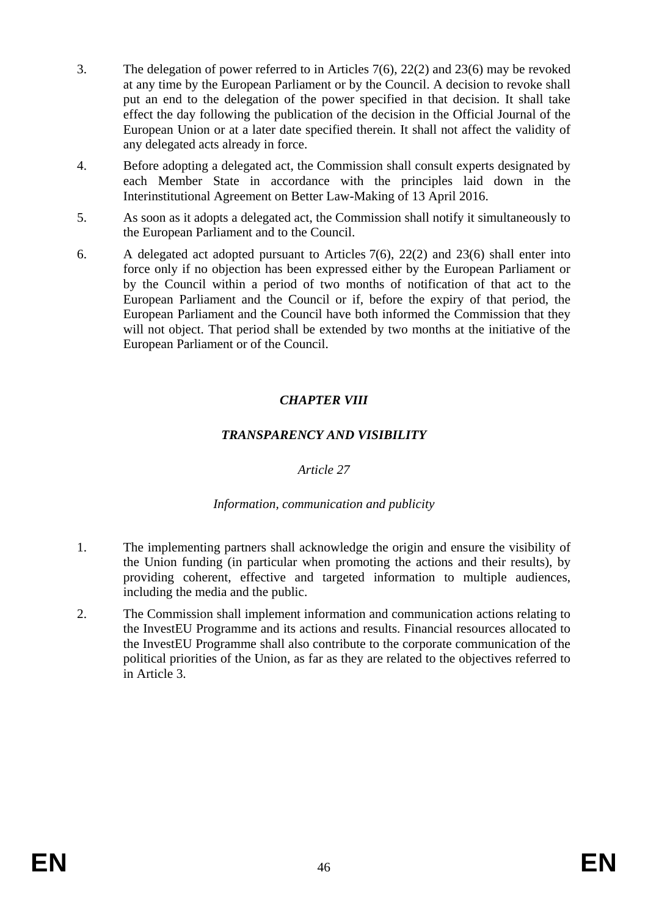- 3. The delegation of power referred to in Articles 7(6), 22(2) and 23(6) may be revoked at any time by the European Parliament or by the Council. A decision to revoke shall put an end to the delegation of the power specified in that decision. It shall take effect the day following the publication of the decision in the Official Journal of the European Union or at a later date specified therein. It shall not affect the validity of any delegated acts already in force.
- 4. Before adopting a delegated act, the Commission shall consult experts designated by each Member State in accordance with the principles laid down in the Interinstitutional Agreement on Better Law-Making of 13 April 2016.
- 5. As soon as it adopts a delegated act, the Commission shall notify it simultaneously to the European Parliament and to the Council.
- 6. A delegated act adopted pursuant to Articles 7(6), 22(2) and 23(6) shall enter into force only if no objection has been expressed either by the European Parliament or by the Council within a period of two months of notification of that act to the European Parliament and the Council or if, before the expiry of that period, the European Parliament and the Council have both informed the Commission that they will not object. That period shall be extended by two months at the initiative of the European Parliament or of the Council.

### *CHAPTER VIII*

### *TRANSPARENCY AND VISIBILITY*

#### *Article 27*

#### *Information, communication and publicity*

- 1. The implementing partners shall acknowledge the origin and ensure the visibility of the Union funding (in particular when promoting the actions and their results), by providing coherent, effective and targeted information to multiple audiences, including the media and the public.
- 2. The Commission shall implement information and communication actions relating to the InvestEU Programme and its actions and results. Financial resources allocated to the InvestEU Programme shall also contribute to the corporate communication of the political priorities of the Union, as far as they are related to the objectives referred to in Article 3.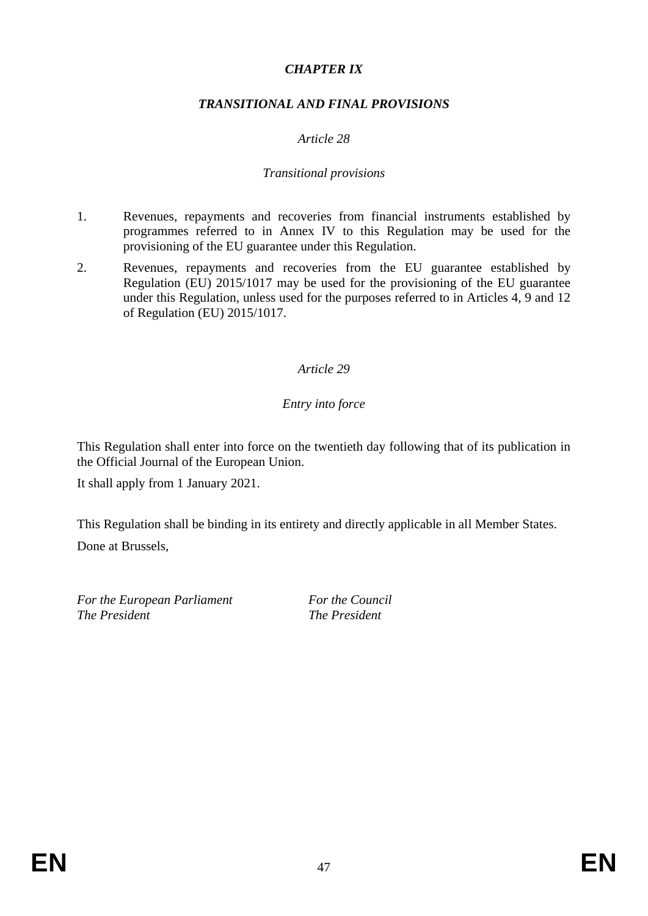### *CHAPTER IX*

### *TRANSITIONAL AND FINAL PROVISIONS*

### *Article 28*

#### *Transitional provisions*

- 1. Revenues, repayments and recoveries from financial instruments established by programmes referred to in Annex IV to this Regulation may be used for the provisioning of the EU guarantee under this Regulation.
- 2. Revenues, repayments and recoveries from the EU guarantee established by Regulation (EU) 2015/1017 may be used for the provisioning of the EU guarantee under this Regulation, unless used for the purposes referred to in Articles 4, 9 and 12 of Regulation (EU) 2015/1017.

#### *Article 29*

### *Entry into force*

This Regulation shall enter into force on the twentieth day following that of its publication in the Official Journal of the European Union.

It shall apply from 1 January 2021.

This Regulation shall be binding in its entirety and directly applicable in all Member States. Done at Brussels,

*For the European Parliament For the Council The President The President*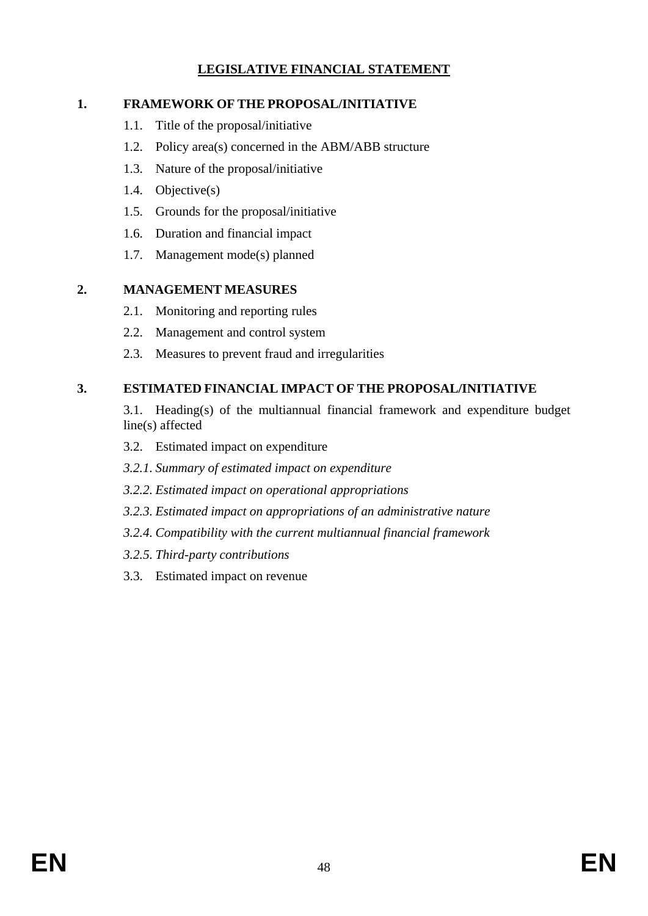# **LEGISLATIVE FINANCIAL STATEMENT**

# **1. FRAMEWORK OF THE PROPOSAL/INITIATIVE**

- 1.1. Title of the proposal/initiative
- 1.2. Policy area(s) concerned in the ABM/ABB structure
- 1.3. Nature of the proposal/initiative
- 1.4. Objective(s)
- 1.5. Grounds for the proposal/initiative
- 1.6. Duration and financial impact
- 1.7. Management mode(s) planned

### **2. MANAGEMENT MEASURES**

- 2.1. Monitoring and reporting rules
- 2.2. Management and control system
- 2.3. Measures to prevent fraud and irregularities

# **3. ESTIMATED FINANCIAL IMPACT OF THE PROPOSAL/INITIATIVE**

- 3.1. Heading(s) of the multiannual financial framework and expenditure budget line(s) affected
- 3.2. Estimated impact on expenditure
- *3.2.1. Summary of estimated impact on expenditure*
- *3.2.2. Estimated impact on operational appropriations*
- *3.2.3. Estimated impact on appropriations of an administrative nature*
- *3.2.4. Compatibility with the current multiannual financial framework*
- *3.2.5. Third-party contributions*
- 3.3. Estimated impact on revenue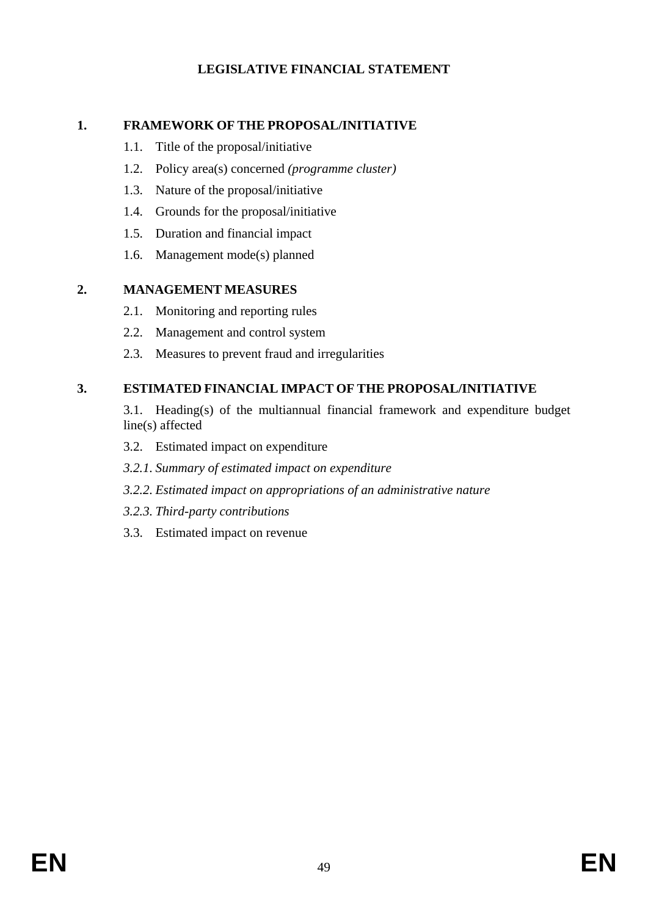### **LEGISLATIVE FINANCIAL STATEMENT**

### **1. FRAMEWORK OF THE PROPOSAL/INITIATIVE**

- 1.1. Title of the proposal/initiative
- 1.2. Policy area(s) concerned *(programme cluster)*
- 1.3. Nature of the proposal/initiative
- 1.4. Grounds for the proposal/initiative
- 1.5. Duration and financial impact
- 1.6. Management mode(s) planned

### **2. MANAGEMENT MEASURES**

- 2.1. Monitoring and reporting rules
- 2.2. Management and control system
- 2.3. Measures to prevent fraud and irregularities

# **3. ESTIMATED FINANCIAL IMPACT OF THE PROPOSAL/INITIATIVE**

- 3.1. Heading(s) of the multiannual financial framework and expenditure budget line(s) affected
- 3.2. Estimated impact on expenditure
- *3.2.1. Summary of estimated impact on expenditure*
- *3.2.2. Estimated impact on appropriations of an administrative nature*
- *3.2.3. Third-party contributions*
- 3.3. Estimated impact on revenue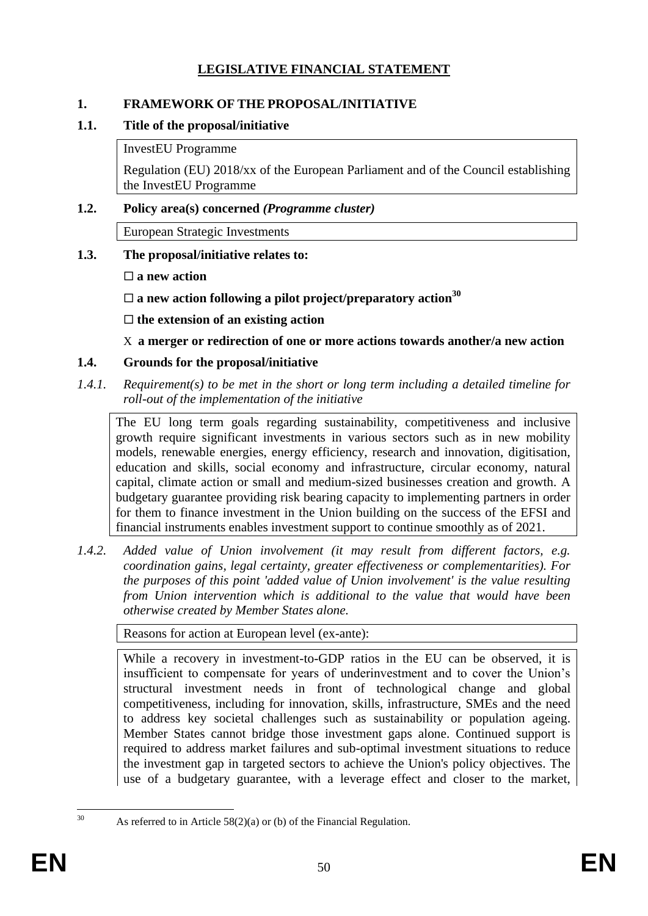# **LEGISLATIVE FINANCIAL STATEMENT**

### **1. FRAMEWORK OF THE PROPOSAL/INITIATIVE**

### **1.1. Title of the proposal/initiative**

InvestEU Programme

Regulation (EU) 2018/xx of the European Parliament and of the Council establishing the InvestEU Programme

### **1.2. Policy area(s) concerned** *(Programme cluster)*

European Strategic Investments

- **1.3. The proposal/initiative relates to:** 
	- **a new action**
	- **a new action following a pilot project/preparatory action<sup>30</sup>**

**the extension of an existing action**

X **a merger or redirection of one or more actions towards another/a new action**

### **1.4. Grounds for the proposal/initiative**

*1.4.1. Requirement(s) to be met in the short or long term including a detailed timeline for roll-out of the implementation of the initiative*

The EU long term goals regarding sustainability, competitiveness and inclusive growth require significant investments in various sectors such as in new mobility models, renewable energies, energy efficiency, research and innovation, digitisation, education and skills, social economy and infrastructure, circular economy, natural capital, climate action or small and medium-sized businesses creation and growth. A budgetary guarantee providing risk bearing capacity to implementing partners in order for them to finance investment in the Union building on the success of the EFSI and financial instruments enables investment support to continue smoothly as of 2021.

*1.4.2. Added value of Union involvement (it may result from different factors, e.g. coordination gains, legal certainty, greater effectiveness or complementarities). For the purposes of this point 'added value of Union involvement' is the value resulting from Union intervention which is additional to the value that would have been otherwise created by Member States alone.*

Reasons for action at European level (ex-ante):

While a recovery in investment-to-GDP ratios in the EU can be observed, it is insufficient to compensate for years of underinvestment and to cover the Union's structural investment needs in front of technological change and global competitiveness, including for innovation, skills, infrastructure, SMEs and the need to address key societal challenges such as sustainability or population ageing. Member States cannot bridge those investment gaps alone. Continued support is required to address market failures and sub-optimal investment situations to reduce the investment gap in targeted sectors to achieve the Union's policy objectives. The use of a budgetary guarantee, with a leverage effect and closer to the market,

 $30$ 

As referred to in Article  $58(2)(a)$  or (b) of the Financial Regulation.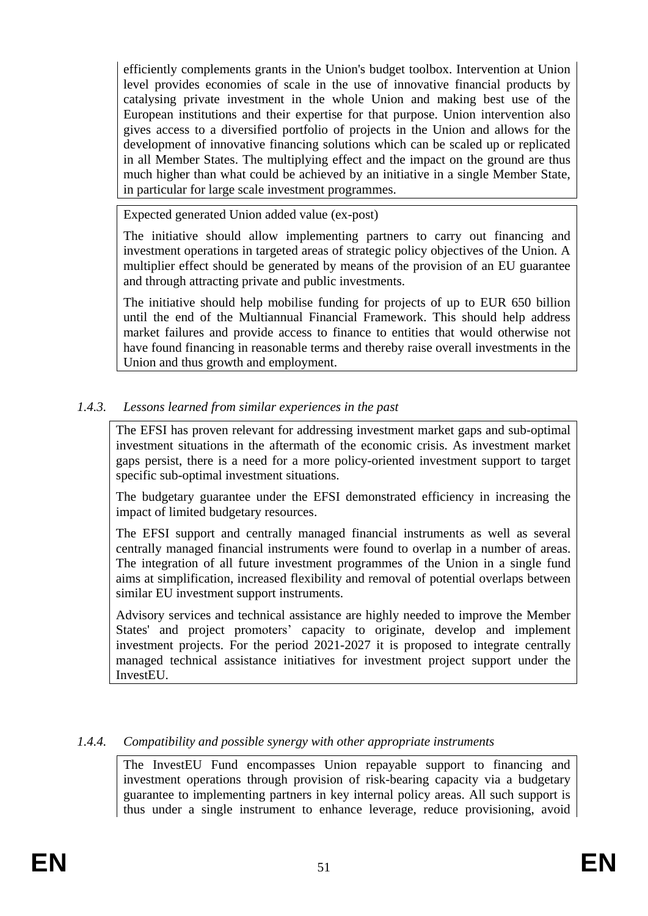efficiently complements grants in the Union's budget toolbox. Intervention at Union level provides economies of scale in the use of innovative financial products by catalysing private investment in the whole Union and making best use of the European institutions and their expertise for that purpose. Union intervention also gives access to a diversified portfolio of projects in the Union and allows for the development of innovative financing solutions which can be scaled up or replicated in all Member States. The multiplying effect and the impact on the ground are thus much higher than what could be achieved by an initiative in a single Member State, in particular for large scale investment programmes.

Expected generated Union added value (ex-post)

The initiative should allow implementing partners to carry out financing and investment operations in targeted areas of strategic policy objectives of the Union. A multiplier effect should be generated by means of the provision of an EU guarantee and through attracting private and public investments.

The initiative should help mobilise funding for projects of up to EUR 650 billion until the end of the Multiannual Financial Framework. This should help address market failures and provide access to finance to entities that would otherwise not have found financing in reasonable terms and thereby raise overall investments in the Union and thus growth and employment.

### *1.4.3. Lessons learned from similar experiences in the past*

The EFSI has proven relevant for addressing investment market gaps and sub-optimal investment situations in the aftermath of the economic crisis. As investment market gaps persist, there is a need for a more policy-oriented investment support to target specific sub-optimal investment situations.

The budgetary guarantee under the EFSI demonstrated efficiency in increasing the impact of limited budgetary resources.

The EFSI support and centrally managed financial instruments as well as several centrally managed financial instruments were found to overlap in a number of areas. The integration of all future investment programmes of the Union in a single fund aims at simplification, increased flexibility and removal of potential overlaps between similar EU investment support instruments.

Advisory services and technical assistance are highly needed to improve the Member States' and project promoters' capacity to originate, develop and implement investment projects. For the period 2021-2027 it is proposed to integrate centrally managed technical assistance initiatives for investment project support under the InvestEU.

#### *1.4.4. Compatibility and possible synergy with other appropriate instruments*

The InvestEU Fund encompasses Union repayable support to financing and investment operations through provision of risk-bearing capacity via a budgetary guarantee to implementing partners in key internal policy areas. All such support is thus under a single instrument to enhance leverage, reduce provisioning, avoid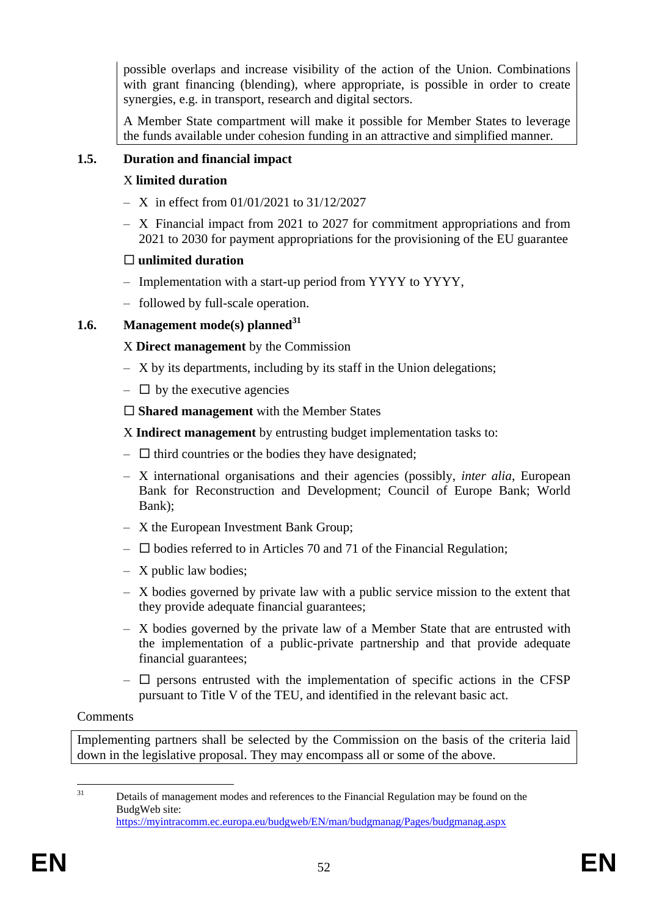possible overlaps and increase visibility of the action of the Union. Combinations with grant financing (blending), where appropriate, is possible in order to create synergies, e.g. in transport, research and digital sectors.

A Member State compartment will make it possible for Member States to leverage the funds available under cohesion funding in an attractive and simplified manner.

### **1.5. Duration and financial impact**

### X **limited duration**

- $X$  in effect from 01/01/2021 to 31/12/2027
- X Financial impact from 2021 to 2027 for commitment appropriations and from 2021 to 2030 for payment appropriations for the provisioning of the EU guarantee

### **unlimited duration**

- Implementation with a start-up period from YYYY to YYYY,
- followed by full-scale operation.

### **1.6. Management mode(s) planned<sup>31</sup>**

### X **Direct management** by the Commission

- X by its departments, including by its staff in the Union delegations;
- $\Box$  by the executive agencies

**Shared management** with the Member States

X **Indirect management** by entrusting budget implementation tasks to:

- $\Box$  third countries or the bodies they have designated;
- X international organisations and their agencies (possibly, *inter alia*, European Bank for Reconstruction and Development; Council of Europe Bank; World Bank);
- X the European Investment Bank Group;
- $\square$  bodies referred to in Articles 70 and 71 of the Financial Regulation;
- X public law bodies;
- X bodies governed by private law with a public service mission to the extent that they provide adequate financial guarantees;
- X bodies governed by the private law of a Member State that are entrusted with the implementation of a public-private partnership and that provide adequate financial guarantees;
- $\Box$  persons entrusted with the implementation of specific actions in the CFSP pursuant to Title V of the TEU, and identified in the relevant basic act.

# Comments

Implementing partners shall be selected by the Commission on the basis of the criteria laid down in the legislative proposal. They may encompass all or some of the above.

 $\overline{31}$ Details of management modes and references to the Financial Regulation may be found on the BudgWeb site: <https://myintracomm.ec.europa.eu/budgweb/EN/man/budgmanag/Pages/budgmanag.aspx>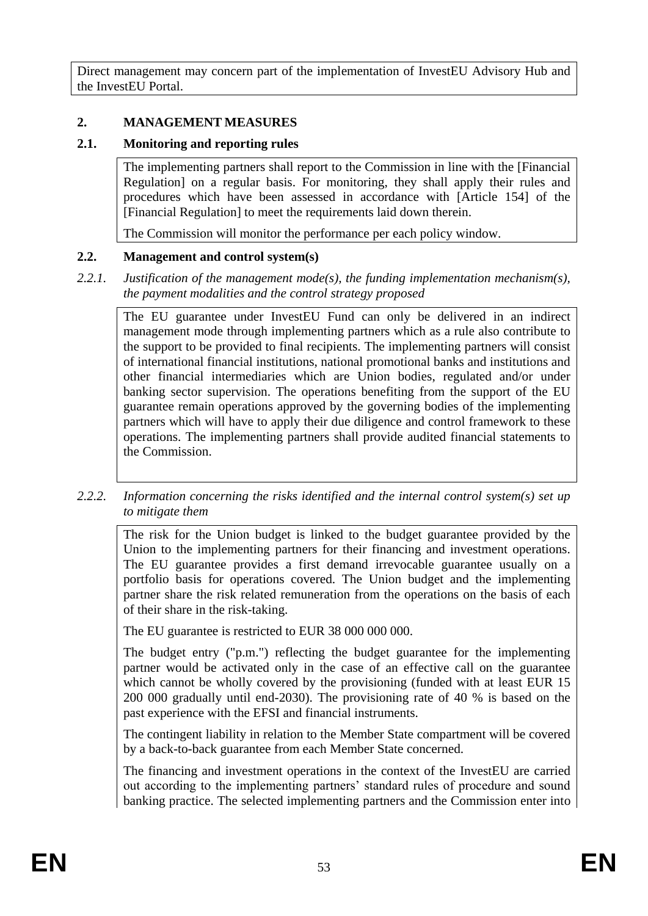Direct management may concern part of the implementation of InvestEU Advisory Hub and the InvestEU Portal.

#### **2. MANAGEMENT MEASURES**

#### **2.1. Monitoring and reporting rules**

The implementing partners shall report to the Commission in line with the [Financial Regulation] on a regular basis. For monitoring, they shall apply their rules and procedures which have been assessed in accordance with [Article 154] of the [Financial Regulation] to meet the requirements laid down therein.

The Commission will monitor the performance per each policy window.

#### **2.2. Management and control system(s)**

*2.2.1. Justification of the management mode(s), the funding implementation mechanism(s), the payment modalities and the control strategy proposed*

The EU guarantee under InvestEU Fund can only be delivered in an indirect management mode through implementing partners which as a rule also contribute to the support to be provided to final recipients. The implementing partners will consist of international financial institutions, national promotional banks and institutions and other financial intermediaries which are Union bodies, regulated and/or under banking sector supervision. The operations benefiting from the support of the EU guarantee remain operations approved by the governing bodies of the implementing partners which will have to apply their due diligence and control framework to these operations. The implementing partners shall provide audited financial statements to the Commission.

*2.2.2. Information concerning the risks identified and the internal control system(s) set up to mitigate them*

The risk for the Union budget is linked to the budget guarantee provided by the Union to the implementing partners for their financing and investment operations. The EU guarantee provides a first demand irrevocable guarantee usually on a portfolio basis for operations covered. The Union budget and the implementing partner share the risk related remuneration from the operations on the basis of each of their share in the risk-taking.

The EU guarantee is restricted to EUR 38 000 000 000.

The budget entry ("p.m.") reflecting the budget guarantee for the implementing partner would be activated only in the case of an effective call on the guarantee which cannot be wholly covered by the provisioning (funded with at least EUR 15 200 000 gradually until end-2030). The provisioning rate of 40 % is based on the past experience with the EFSI and financial instruments.

The contingent liability in relation to the Member State compartment will be covered by a back-to-back guarantee from each Member State concerned.

The financing and investment operations in the context of the InvestEU are carried out according to the implementing partners' standard rules of procedure and sound banking practice. The selected implementing partners and the Commission enter into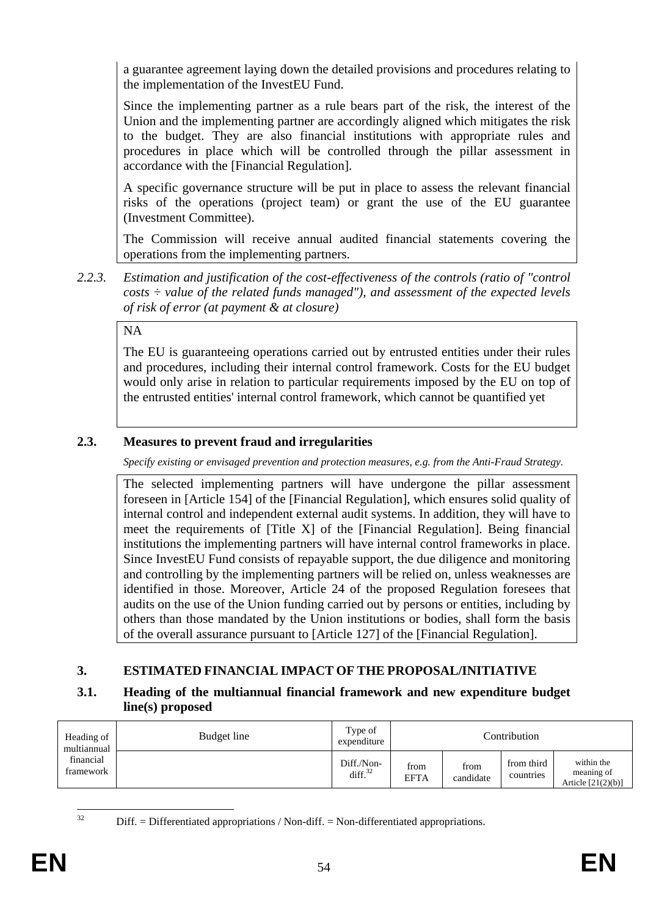a guarantee agreement laying down the detailed provisions and procedures relating to the implementation of the InvestEU Fund.

Since the implementing partner as a rule bears part of the risk, the interest of the Union and the implementing partner are accordingly aligned which mitigates the risk to the budget. They are also financial institutions with appropriate rules and procedures in place which will be controlled through the pillar assessment in accordance with the [Financial Regulation].

A specific governance structure will be put in place to assess the relevant financial risks of the operations (project team) or grant the use of the EU guarantee (Investment Committee).

The Commission will receive annual audited financial statements covering the operations from the implementing partners.

*2.2.3. Estimation and justification of the cost-effectiveness of the controls (ratio of "control costs ÷ value of the related funds managed"), and assessment of the expected levels of risk of error (at payment & at closure)* 

NA

The EU is guaranteeing operations carried out by entrusted entities under their rules and procedures, including their internal control framework. Costs for the EU budget would only arise in relation to particular requirements imposed by the EU on top of the entrusted entities' internal control framework, which cannot be quantified yet

# **2.3. Measures to prevent fraud and irregularities**

*Specify existing or envisaged prevention and protection measures, e.g. from the Anti-Fraud Strategy.*

The selected implementing partners will have undergone the pillar assessment foreseen in [Article 154] of the [Financial Regulation], which ensures solid quality of internal control and independent external audit systems. In addition, they will have to meet the requirements of [Title X] of the [Financial Regulation]. Being financial institutions the implementing partners will have internal control frameworks in place. Since InvestEU Fund consists of repayable support, the due diligence and monitoring and controlling by the implementing partners will be relied on, unless weaknesses are identified in those. Moreover, Article 24 of the proposed Regulation foresees that audits on the use of the Union funding carried out by persons or entities, including by others than those mandated by the Union institutions or bodies, shall form the basis of the overall assurance pursuant to [Article 127] of the [Financial Regulation].

# **3. ESTIMATED FINANCIAL IMPACT OF THE PROPOSAL/INITIATIVE**

### **3.1. Heading of the multiannual financial framework and new expenditure budget line(s) proposed**

| Heading of<br>multiannual | Budget line | Type of<br>expenditure   |                     |                   | Contribution            |                                                  |
|---------------------------|-------------|--------------------------|---------------------|-------------------|-------------------------|--------------------------------------------------|
| financial<br>framework    |             | Diff./Non-<br>diff. $32$ | from<br><b>EFTA</b> | from<br>candidate | from third<br>countries | within the<br>meaning of<br>Article $[21(2)(b)]$ |

Diff. = Differentiated appropriations / Non-diff. = Non-differentiated appropriations.

 $32$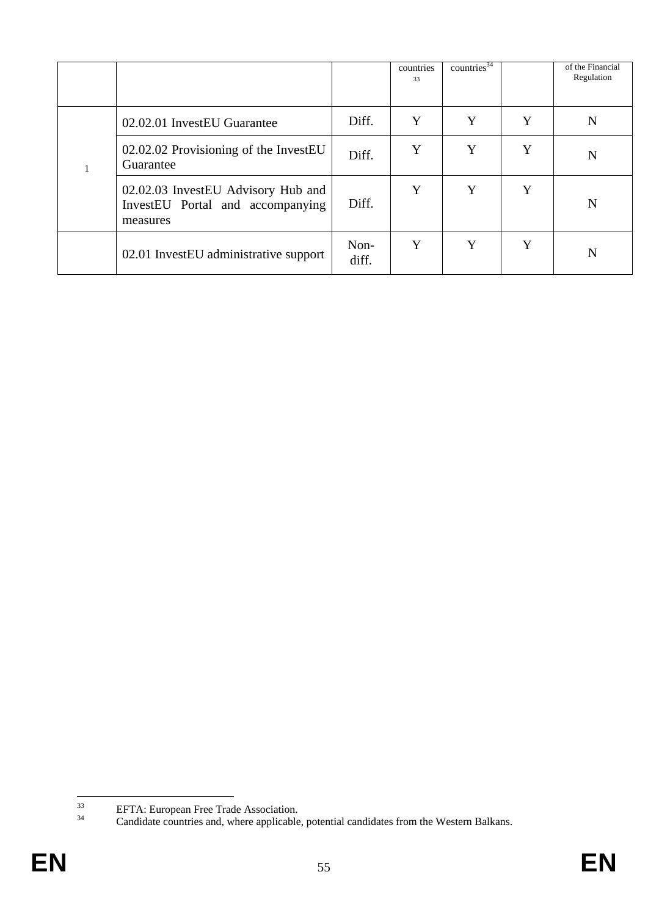|                                                                                    |               | countries<br>33 | countries $34$ |   | of the Financial<br>Regulation |
|------------------------------------------------------------------------------------|---------------|-----------------|----------------|---|--------------------------------|
| 02.02.01 InvestEU Guarantee                                                        | Diff.         | Y               | Y              | Y | N                              |
| 02.02.02 Provisioning of the InvestEU<br>Guarantee                                 | Diff.         | Y               | Y              | Y | N                              |
| 02.02.03 InvestEU Advisory Hub and<br>InvestEU Portal and accompanying<br>measures | Diff.         | Y               | Y              | Y | N                              |
| 02.01 InvestEU administrative support                                              | Non-<br>diff. | Y               | Y              | Y | N                              |

<sup>33</sup> <sup>33</sup> EFTA: European Free Trade Association.

<sup>&</sup>lt;sup>34</sup> Candidate countries and, where applicable, potential candidates from the Western Balkans.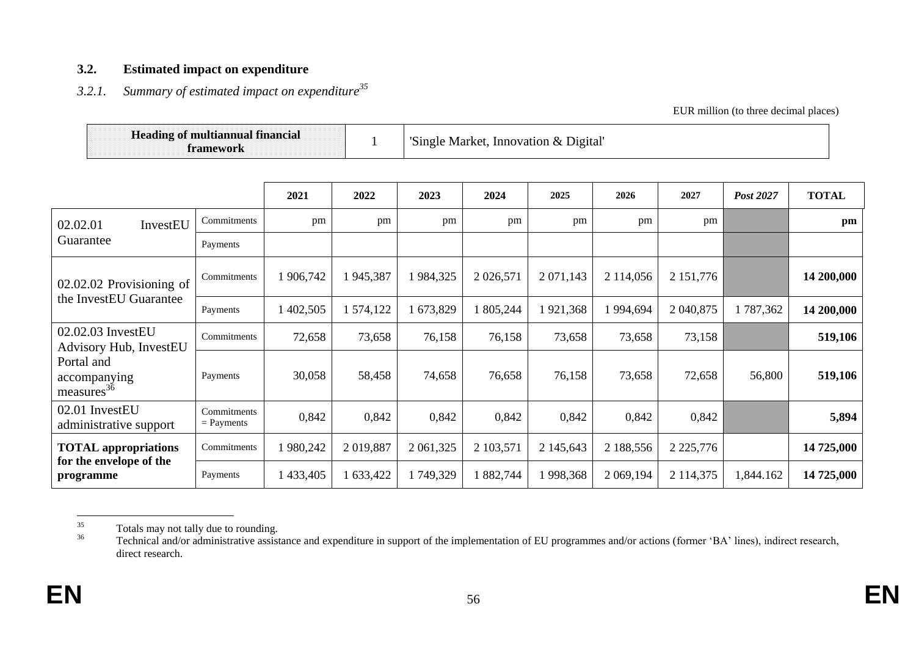#### **3.2. Estimated impact on expenditure**

# *3.2.1. Summary of estimated impact on expenditure<sup>35</sup>*

EUR million (to three decimal places)

|                                                      | <b>Heading of multiannual financial</b><br>framework |           |           |           |             | 'Single Market, Innovation & Digital' |           |               |           |              |
|------------------------------------------------------|------------------------------------------------------|-----------|-----------|-----------|-------------|---------------------------------------|-----------|---------------|-----------|--------------|
|                                                      |                                                      | 2021      | 2022      | 2023      | 2024        | 2025                                  | 2026      | 2027          | Post 2027 | <b>TOTAL</b> |
| 02.02.01<br>InvestEU                                 | Commitments                                          | pm        | pm        | pm        | pm          | pm                                    | pm        | pm            |           | pm           |
| Guarantee                                            | Payments                                             |           |           |           |             |                                       |           |               |           |              |
| 02.02.02 Provisioning of<br>the InvestEU Guarantee   | Commitments                                          | 1 906,742 | 1945,387  | 1984,325  | 2 0 26, 571 | 2 071,143                             | 2 114,056 | 2 151,776     |           | 14 200,000   |
|                                                      | Payments                                             | 402,505   | 1 574,122 | 673,829   | 1 805,244   | 1921,368                              | 1 994,694 | 2 040,875     | 1787,362  | 14 200,000   |
| 02.02.03 InvestEU<br><b>Advisory Hub, InvestEU</b>   | Commitments                                          | 72,658    | 73,658    | 76,158    | 76,158      | 73,658                                | 73,658    | 73,158        |           | 519,106      |
| Portal and<br>accompanying<br>$\text{measures}^{36}$ | Payments                                             | 30,058    | 58,458    | 74,658    | 76,658      | 76,158                                | 73,658    | 72,658        | 56,800    | 519,106      |
| 02.01 InvestEU<br>administrative support             | Commitments<br>$=$ Payments                          | 0,842     | 0,842     | 0,842     | 0,842       | 0,842                                 | 0,842     | 0,842         |           | 5,894        |
| <b>TOTAL appropriations</b>                          | Commitments                                          | 980,242   | 2019,887  | 2 061,325 | 2 103,571   | 2 145,643                             | 2 188,556 | 2 2 2 5,776   |           | 14 725,000   |
| for the envelope of the<br>programme                 | Payments                                             | 433,405   | 1 633,422 | 1749,329  | 1882,744    | 1 998,368                             | 2 069,194 | 2 1 1 4 3 7 5 | 1,844.162 | 14 725,000   |

<sup>35</sup>  $35$  Totals may not tally due to rounding.<br> $36$  Tochnical and/or administrative assist

<sup>36</sup> Technical and/or administrative assistance and expenditure in support of the implementation of EU programmes and/or actions (former 'BA' lines), indirect research, direct research.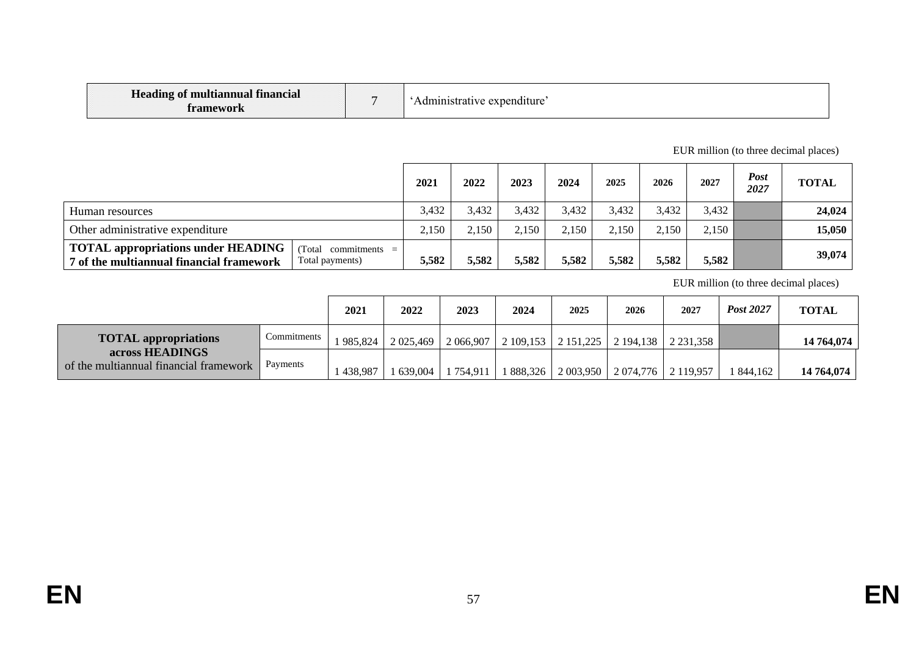| <b>Heading of multiannual financial</b><br>tramework |  | 'Administrative expenditure' |
|------------------------------------------------------|--|------------------------------|
|------------------------------------------------------|--|------------------------------|

#### EUR million (to three decimal places)

|                                                                                                                                    | 2021  | 2022  | 2023  | 2024  | 2025  | 2026  | 2027  | <b>Post</b><br>2027 | <b>TOTAL</b> |
|------------------------------------------------------------------------------------------------------------------------------------|-------|-------|-------|-------|-------|-------|-------|---------------------|--------------|
| Human resources                                                                                                                    | 3,432 | 3,432 | 3,432 | 3,432 | 3,432 | 3,432 | 3,432 |                     | 24,024       |
| Other administrative expenditure                                                                                                   |       | 2,150 | 2,150 | 2.150 | 2.150 | 2.150 | 2,150 |                     | 15,050       |
| <b>TOTAL appropriations under HEADING</b><br>(Total commitments $=$<br>7 of the multiannual financial framework<br>Total payments) | 5.582 | 5,582 | 5,582 | 5,582 | 5,582 | 5,582 | 5,582 |                     | 39,074       |

EUR million (to three decimal places)

|                                                           |             | 2021    | 2022       | 2023      | 2024      | 2025                              | 2026                 | 2027                  | Post 2027 | <b>TOTAL</b> |
|-----------------------------------------------------------|-------------|---------|------------|-----------|-----------|-----------------------------------|----------------------|-----------------------|-----------|--------------|
| <b>TOTAL appropriations</b>                               | Commitments | 985.824 | 2 0 25,469 |           |           | 2 066,907   2 109,153   2 151,225 |                      | $2194,138$   2231,358 |           | 14 764,074   |
| across HEADINGS<br>of the multiannual financial framework | Payments    | 438,987 | 639,004    | 1 754.911 | 1 888,326 | 2 003,950                         | $2074,776$ 2 119,957 |                       | 1 844,162 | 14 764,074   |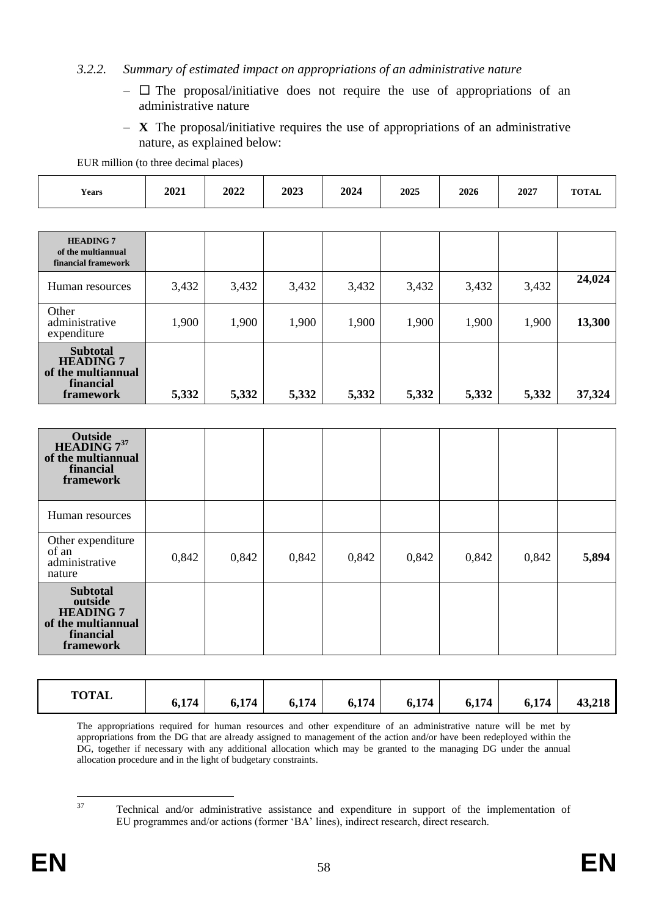#### *3.2.2. Summary of estimated impact on appropriations of an administrative nature*

- $\Box$  The proposal/initiative does not require the use of appropriations of an administrative nature
- **X** The proposal/initiative requires the use of appropriations of an administrative nature, as explained below:

1,900 1,900 1,900 1,900 1,900 1,900 1,900 **13,300**

EUR million (to three decimal places)

| Years                                                         | 2021  | 2022  | 2023  | 2024  | 2025  | 2026  | 2027  | <b>TOTAL</b> |
|---------------------------------------------------------------|-------|-------|-------|-------|-------|-------|-------|--------------|
|                                                               |       |       |       |       |       |       |       |              |
| <b>HEADING 7</b><br>of the multiannual<br>financial framework |       |       |       |       |       |       |       |              |
| Human resources                                               | 3,432 | 3,432 | 3,432 | 3,432 | 3,432 | 3,432 | 3,432 | 24,024       |

| of the multiannual<br>financial<br>framework                                                   | 5,332 | 5,332 | 5,332 | 5,332 | 5,332 | 5,332 | 5,332 | 37,324 |
|------------------------------------------------------------------------------------------------|-------|-------|-------|-------|-------|-------|-------|--------|
|                                                                                                |       |       |       |       |       |       |       |        |
| Outside<br>HEADING 7 <sup>37</sup><br>of the multiannual<br>financial<br>framework             |       |       |       |       |       |       |       |        |
| Human resources                                                                                |       |       |       |       |       |       |       |        |
| Other expenditure<br>of an<br>administrative<br>nature                                         | 0,842 | 0,842 | 0,842 | 0,842 | 0,842 | 0,842 | 0,842 | 5,894  |
| <b>Subtotal</b><br>outside<br><b>HEADING 7</b><br>of the multiannual<br>financial<br>framework |       |       |       |       |       |       |       |        |

| <b>TOTAL</b><br>6,174<br>6,174<br>6,174<br>43,218<br>6,174<br>6,174<br>6,174<br>6,174 |
|---------------------------------------------------------------------------------------|
|---------------------------------------------------------------------------------------|

The appropriations required for human resources and other expenditure of an administrative nature will be met by appropriations from the DG that are already assigned to management of the action and/or have been redeployed within the DG, together if necessary with any additional allocation which may be granted to the managing DG under the annual allocation procedure and in the light of budgetary constraints.

37

**Other** 

administrative expenditure

> **Subtotal HEADING 7**

<sup>37</sup> Technical and/or administrative assistance and expenditure in support of the implementation of EU programmes and/or actions (former 'BA' lines), indirect research, direct research.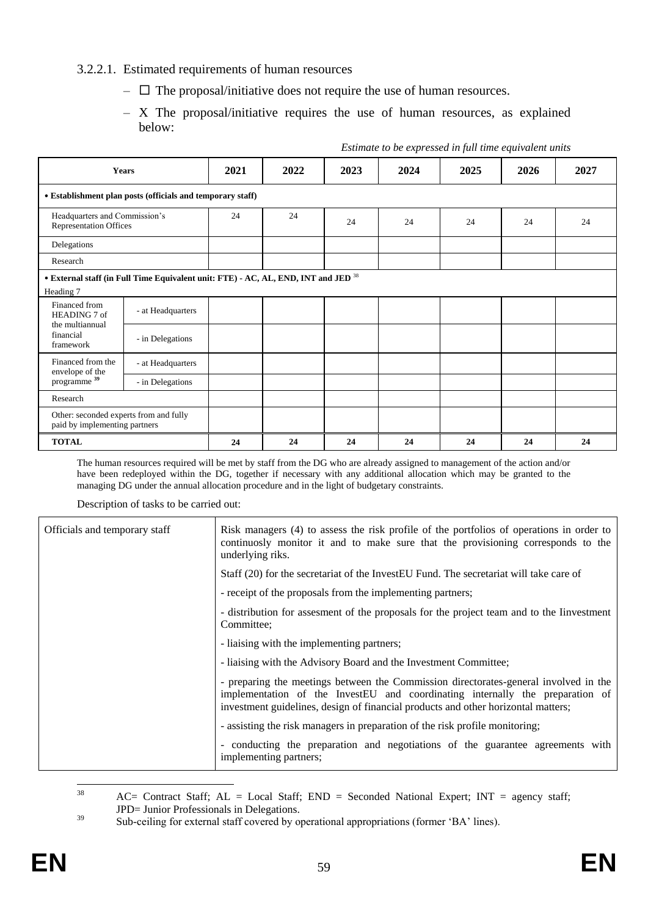#### 3.2.2.1. Estimated requirements of human resources

- $\Box$  The proposal/initiative does not require the use of human resources.
- X The proposal/initiative requires the use of human resources, as explained below:

|                                                                         |                                                                                               |      |      |      | Estimate to be expressed in full time equivalent units |      |      |    |
|-------------------------------------------------------------------------|-----------------------------------------------------------------------------------------------|------|------|------|--------------------------------------------------------|------|------|----|
| <b>Years</b>                                                            | 2021                                                                                          | 2022 | 2023 | 2024 | 2025                                                   | 2026 | 2027 |    |
|                                                                         | • Establishment plan posts (officials and temporary staff)                                    |      |      |      |                                                        |      |      |    |
| Headquarters and Commission's<br><b>Representation Offices</b>          |                                                                                               | 24   | 24   | 24   | 24                                                     | 24   | 24   | 24 |
| Delegations                                                             |                                                                                               |      |      |      |                                                        |      |      |    |
| Research                                                                |                                                                                               |      |      |      |                                                        |      |      |    |
| Heading 7                                                               | • External staff (in Full Time Equivalent unit: FTE) - AC, AL, END, INT and JED <sup>38</sup> |      |      |      |                                                        |      |      |    |
| Financed from<br>HEADING 7 of                                           | - at Headquarters                                                                             |      |      |      |                                                        |      |      |    |
| the multiannual<br>financial<br>framework                               | - in Delegations                                                                              |      |      |      |                                                        |      |      |    |
| Financed from the<br>envelope of the                                    | - at Headquarters                                                                             |      |      |      |                                                        |      |      |    |
| programme <sup>39</sup>                                                 | - in Delegations                                                                              |      |      |      |                                                        |      |      |    |
| Research                                                                |                                                                                               |      |      |      |                                                        |      |      |    |
| Other: seconded experts from and fully<br>paid by implementing partners |                                                                                               |      |      |      |                                                        |      |      |    |
| <b>TOTAL</b>                                                            |                                                                                               | 24   | 24   | 24   | 24                                                     | 24   | 24   | 24 |

The human resources required will be met by staff from the DG who are already assigned to management of the action and/or have been redeployed within the DG, together if necessary with any additional allocation which may be granted to the managing DG under the annual allocation procedure and in the light of budgetary constraints.

Description of tasks to be carried out:

| Officials and temporary staff | Risk managers (4) to assess the risk profile of the portfolios of operations in order to<br>continuosly monitor it and to make sure that the provisioning corresponds to the<br>underlying riks.                                                           |
|-------------------------------|------------------------------------------------------------------------------------------------------------------------------------------------------------------------------------------------------------------------------------------------------------|
|                               | Staff (20) for the secretariat of the InvestEU Fund. The secretariat will take care of                                                                                                                                                                     |
|                               | - receipt of the proposals from the implementing partners;                                                                                                                                                                                                 |
|                               | - distribution for assessment of the proposals for the project team and to the linvestment<br>Committee:                                                                                                                                                   |
|                               | - liaising with the implementing partners;                                                                                                                                                                                                                 |
|                               | - liaising with the Advisory Board and the Investment Committee;                                                                                                                                                                                           |
|                               | - preparing the meetings between the Commission directorates-general involved in the<br>implementation of the InvestEU and coordinating internally the preparation of<br>investment guidelines, design of financial products and other horizontal matters; |
|                               | - assisting the risk managers in preparation of the risk profile monitoring;                                                                                                                                                                               |
|                               | - conducting the preparation and negotiations of the guarantee agreements with<br>implementing partners;                                                                                                                                                   |

<sup>38</sup>  $AC=$  Contract Staff;  $AL = Local$  Staff;  $END = Second$  National Expert; INT = agency staff; JPD= Junior Professionals in Delegations.

<sup>&</sup>lt;sup>39</sup> Sub-ceiling for external staff covered by operational appropriations (former 'BA' lines).